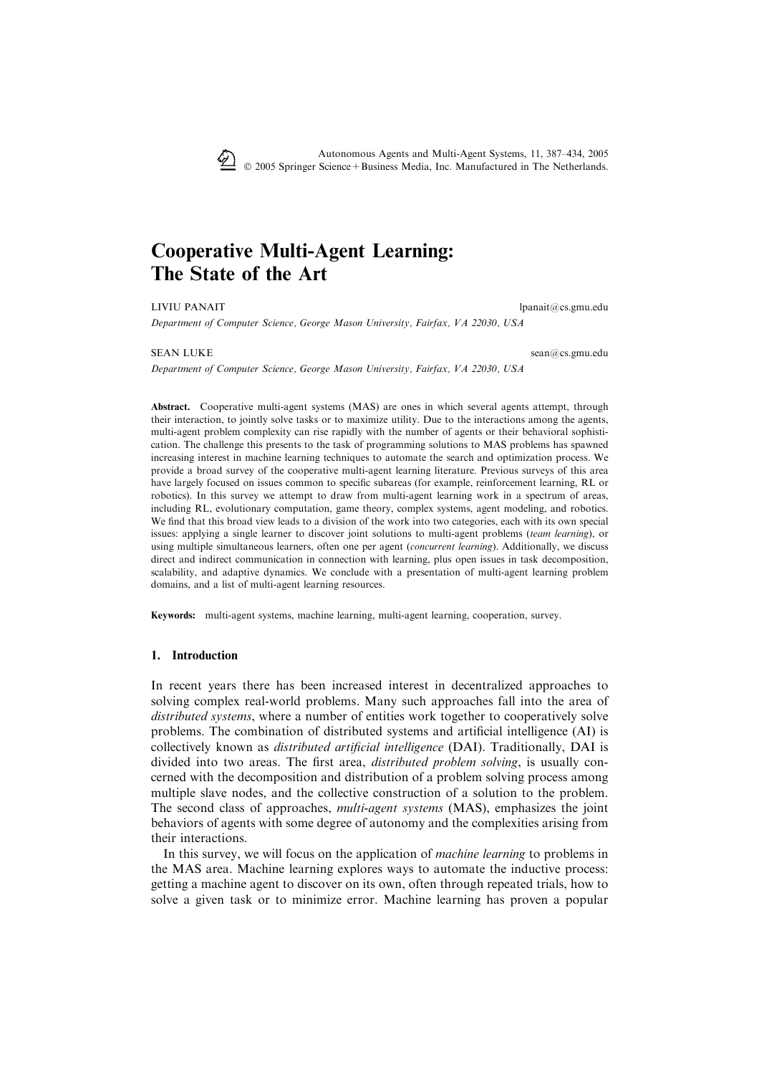Autonomous Agents and Multi-Agent Systems, 11, 387–434, 2005 Autonomous Agents and *Hand Community* of the Netherlands.<br> **2005 Springer Science + Business Media**, Inc. Manufactured in The Netherlands.

# Cooperative Multi-Agent Learning: The State of the Art

LIVIU PANAIT lpanait@cs.gmu.edu

Department of Computer Science, George Mason University, Fairfax, VA 22030, USA

SEAN LUKE sean@cs.gmu.edu

Department of Computer Science, George Mason University, Fairfax, VA 22030, USA

Abstract. Cooperative multi-agent systems (MAS) are ones in which several agents attempt, through their interaction, to jointly solve tasks or to maximize utility. Due to the interactions among the agents, multi-agent problem complexity can rise rapidly with the number of agents or their behavioral sophistication. The challenge this presents to the task of programming solutions to MAS problems has spawned increasing interest in machine learning techniques to automate the search and optimization process. We provide a broad survey of the cooperative multi-agent learning literature. Previous surveys of this area have largely focused on issues common to specific subareas (for example, reinforcement learning, RL or robotics). In this survey we attempt to draw from multi-agent learning work in a spectrum of areas, including RL, evolutionary computation, game theory, complex systems, agent modeling, and robotics. We find that this broad view leads to a division of the work into two categories, each with its own special issues: applying a single learner to discover joint solutions to multi-agent problems (team learning), or using multiple simultaneous learners, often one per agent (concurrent learning). Additionally, we discuss direct and indirect communication in connection with learning, plus open issues in task decomposition, scalability, and adaptive dynamics. We conclude with a presentation of multi-agent learning problem domains, and a list of multi-agent learning resources.

Keywords: multi-agent systems, machine learning, multi-agent learning, cooperation, survey.

#### 1. Introduction

In recent years there has been increased interest in decentralized approaches to solving complex real-world problems. Many such approaches fall into the area of distributed systems, where a number of entities work together to cooperatively solve problems. The combination of distributed systems and artificial intelligence (AI) is collectively known as distributed artificial intelligence (DAI). Traditionally, DAI is divided into two areas. The first area, distributed problem solving, is usually concerned with the decomposition and distribution of a problem solving process among multiple slave nodes, and the collective construction of a solution to the problem. The second class of approaches, multi-agent systems (MAS), emphasizes the joint behaviors of agents with some degree of autonomy and the complexities arising from their interactions.

In this survey, we will focus on the application of machine learning to problems in the MAS area. Machine learning explores ways to automate the inductive process: getting a machine agent to discover on its own, often through repeated trials, how to solve a given task or to minimize error. Machine learning has proven a popular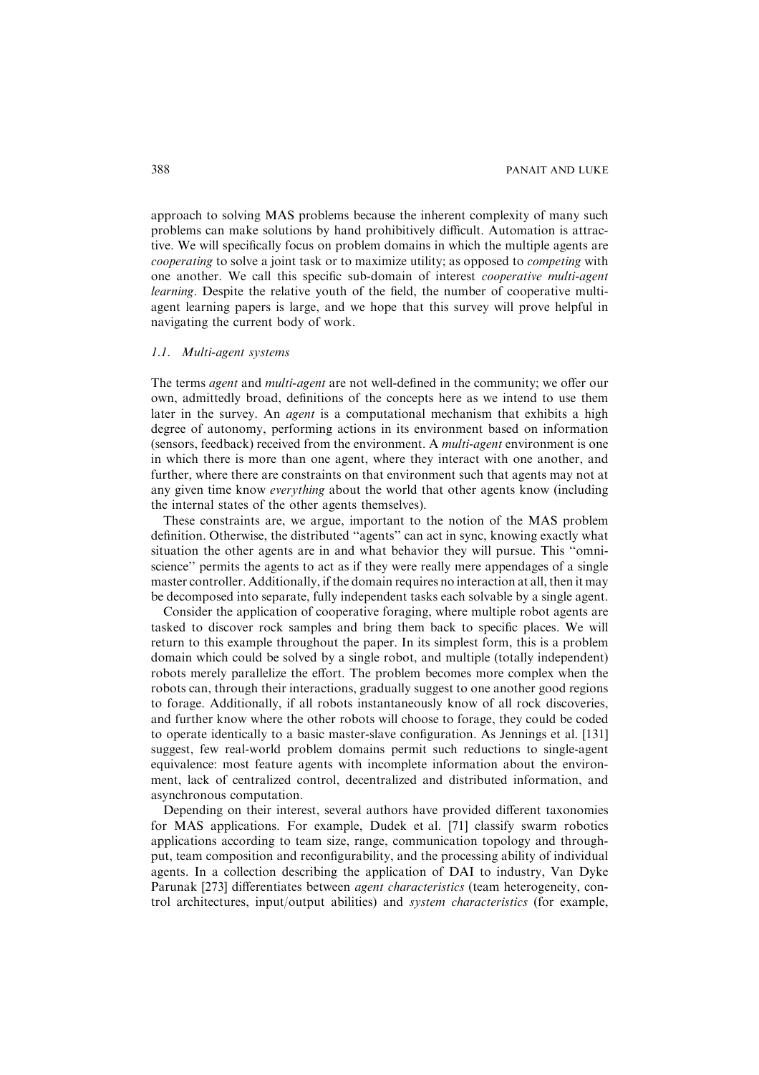approach to solving MAS problems because the inherent complexity of many such problems can make solutions by hand prohibitively difficult. Automation is attractive. We will specifically focus on problem domains in which the multiple agents are cooperating to solve a joint task or to maximize utility; as opposed to competing with one another. We call this specific sub-domain of interest cooperative multi-agent learning. Despite the relative youth of the field, the number of cooperative multiagent learning papers is large, and we hope that this survey will prove helpful in navigating the current body of work.

#### 1.1. Multi-agent systems

The terms agent and multi-agent are not well-defined in the community; we offer our own, admittedly broad, definitions of the concepts here as we intend to use them later in the survey. An agent is a computational mechanism that exhibits a high degree of autonomy, performing actions in its environment based on information (sensors, feedback) received from the environment. A multi-agent environment is one in which there is more than one agent, where they interact with one another, and further, where there are constraints on that environment such that agents may not at any given time know everything about the world that other agents know (including the internal states of the other agents themselves).

These constraints are, we argue, important to the notion of the MAS problem definition. Otherwise, the distributed ''agents'' can act in sync, knowing exactly what situation the other agents are in and what behavior they will pursue. This ''omniscience'' permits the agents to act as if they were really mere appendages of a single master controller. Additionally, if the domain requires no interaction at all, then it may be decomposed into separate, fully independent tasks each solvable by a single agent.

Consider the application of cooperative foraging, where multiple robot agents are tasked to discover rock samples and bring them back to specific places. We will return to this example throughout the paper. In its simplest form, this is a problem domain which could be solved by a single robot, and multiple (totally independent) robots merely parallelize the effort. The problem becomes more complex when the robots can, through their interactions, gradually suggest to one another good regions to forage. Additionally, if all robots instantaneously know of all rock discoveries, and further know where the other robots will choose to forage, they could be coded to operate identically to a basic master-slave configuration. As Jennings et al. [131] suggest, few real-world problem domains permit such reductions to single-agent equivalence: most feature agents with incomplete information about the environment, lack of centralized control, decentralized and distributed information, and asynchronous computation.

Depending on their interest, several authors have provided different taxonomies for MAS applications. For example, Dudek et al. [71] classify swarm robotics applications according to team size, range, communication topology and throughput, team composition and reconfigurability, and the processing ability of individual agents. In a collection describing the application of DAI to industry, Van Dyke Parunak [273] differentiates between agent characteristics (team heterogeneity, control architectures, input/output abilities) and system characteristics (for example,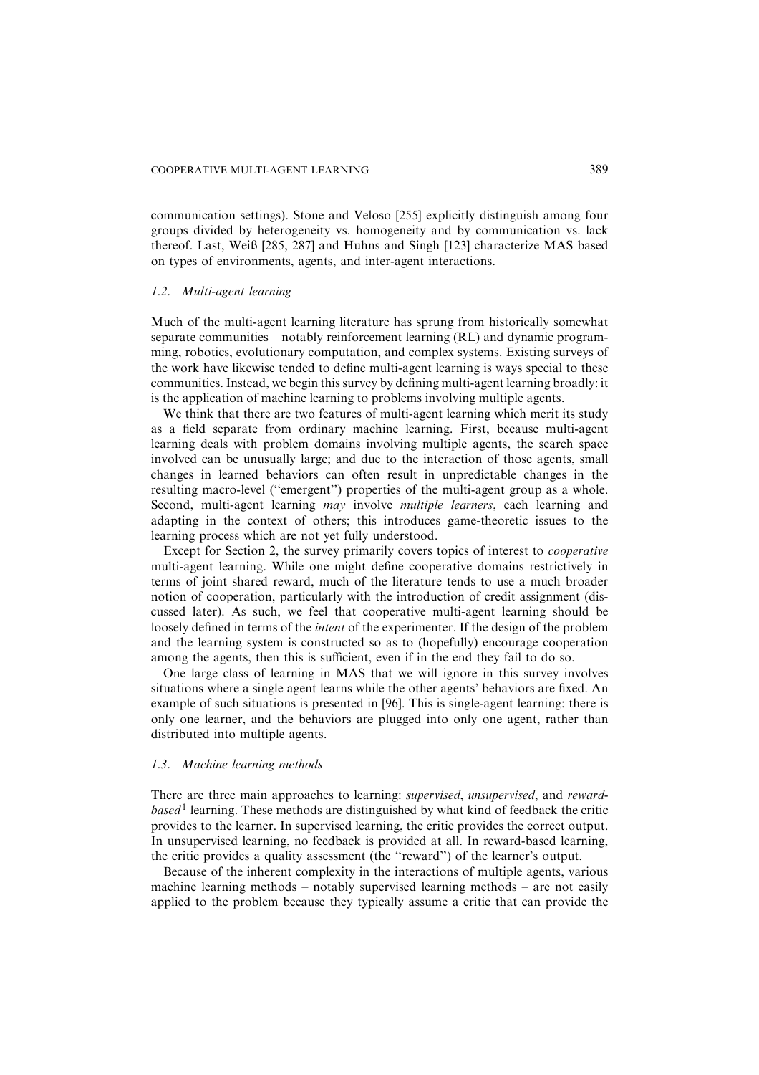communication settings). Stone and Veloso [255] explicitly distinguish among four groups divided by heterogeneity vs. homogeneity and by communication vs. lack thereof. Last, Weiß [285, 287] and Huhns and Singh [123] characterize MAS based on types of environments, agents, and inter-agent interactions.

#### 1.2. Multi-agent learning

Much of the multi-agent learning literature has sprung from historically somewhat separate communities – notably reinforcement learning (RL) and dynamic programming, robotics, evolutionary computation, and complex systems. Existing surveys of the work have likewise tended to define multi-agent learning is ways special to these communities. Instead, we begin this survey by defining multi-agent learning broadly: it is the application of machine learning to problems involving multiple agents.

We think that there are two features of multi-agent learning which merit its study as a field separate from ordinary machine learning. First, because multi-agent learning deals with problem domains involving multiple agents, the search space involved can be unusually large; and due to the interaction of those agents, small changes in learned behaviors can often result in unpredictable changes in the resulting macro-level (''emergent'') properties of the multi-agent group as a whole. Second, multi-agent learning *may* involve *multiple learners*, each learning and adapting in the context of others; this introduces game-theoretic issues to the learning process which are not yet fully understood.

Except for Section 2, the survey primarily covers topics of interest to cooperative multi-agent learning. While one might define cooperative domains restrictively in terms of joint shared reward, much of the literature tends to use a much broader notion of cooperation, particularly with the introduction of credit assignment (discussed later). As such, we feel that cooperative multi-agent learning should be loosely defined in terms of the *intent* of the experimenter. If the design of the problem and the learning system is constructed so as to (hopefully) encourage cooperation among the agents, then this is sufficient, even if in the end they fail to do so.

One large class of learning in MAS that we will ignore in this survey involves situations where a single agent learns while the other agents' behaviors are fixed. An example of such situations is presented in [96]. This is single-agent learning: there is only one learner, and the behaviors are plugged into only one agent, rather than distributed into multiple agents.

#### 1.3. Machine learning methods

There are three main approaches to learning: supervised, unsupervised, and reward*based*<sup>1</sup> learning. These methods are distinguished by what kind of feedback the critic provides to the learner. In supervised learning, the critic provides the correct output. In unsupervised learning, no feedback is provided at all. In reward-based learning, the critic provides a quality assessment (the ''reward'') of the learner's output.

Because of the inherent complexity in the interactions of multiple agents, various machine learning methods – notably supervised learning methods – are not easily applied to the problem because they typically assume a critic that can provide the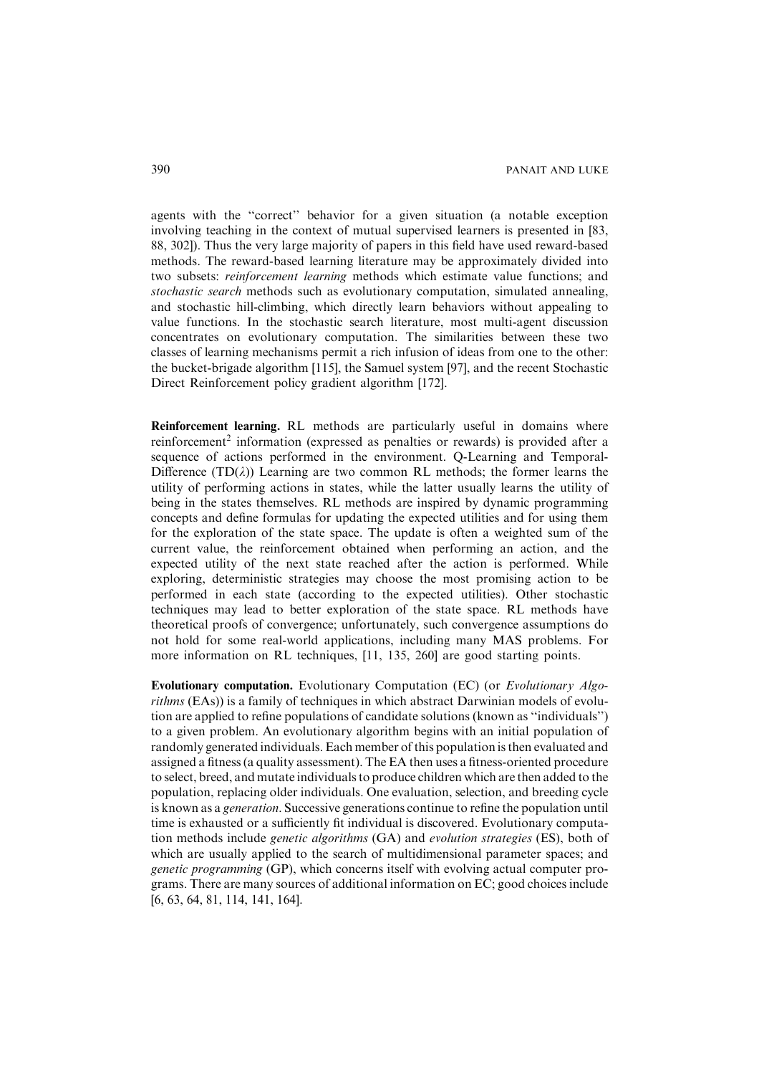agents with the ''correct'' behavior for a given situation (a notable exception involving teaching in the context of mutual supervised learners is presented in [83, 88, 302]). Thus the very large majority of papers in this field have used reward-based methods. The reward-based learning literature may be approximately divided into two subsets: reinforcement learning methods which estimate value functions; and stochastic search methods such as evolutionary computation, simulated annealing, and stochastic hill-climbing, which directly learn behaviors without appealing to value functions. In the stochastic search literature, most multi-agent discussion concentrates on evolutionary computation. The similarities between these two classes of learning mechanisms permit a rich infusion of ideas from one to the other: the bucket-brigade algorithm [115], the Samuel system [97], and the recent Stochastic Direct Reinforcement policy gradient algorithm [172].

Reinforcement learning. RL methods are particularly useful in domains where reinforcement<sup>2</sup> information (expressed as penalties or rewards) is provided after a sequence of actions performed in the environment. Q-Learning and Temporal-Difference  $(TD(\lambda))$  Learning are two common RL methods; the former learns the utility of performing actions in states, while the latter usually learns the utility of being in the states themselves. RL methods are inspired by dynamic programming concepts and define formulas for updating the expected utilities and for using them for the exploration of the state space. The update is often a weighted sum of the current value, the reinforcement obtained when performing an action, and the expected utility of the next state reached after the action is performed. While exploring, deterministic strategies may choose the most promising action to be performed in each state (according to the expected utilities). Other stochastic techniques may lead to better exploration of the state space. RL methods have theoretical proofs of convergence; unfortunately, such convergence assumptions do not hold for some real-world applications, including many MAS problems. For more information on RL techniques, [11, 135, 260] are good starting points.

Evolutionary computation. Evolutionary Computation (EC) (or Evolutionary Algorithms (EAs)) is a family of techniques in which abstract Darwinian models of evolution are applied to refine populations of candidate solutions (known as ''individuals'') to a given problem. An evolutionary algorithm begins with an initial population of randomly generated individuals. Each member of this population is then evaluated and assigned a fitness (a quality assessment). The EA then uses a fitness-oriented procedure to select, breed, and mutate individuals to produce children which are then added to the population, replacing older individuals. One evaluation, selection, and breeding cycle is known as a generation. Successive generations continue to refine the population until time is exhausted or a sufficiently fit individual is discovered. Evolutionary computation methods include genetic algorithms (GA) and evolution strategies (ES), both of which are usually applied to the search of multidimensional parameter spaces; and genetic programming (GP), which concerns itself with evolving actual computer programs. There are many sources of additional information on EC; good choices include [6, 63, 64, 81, 114, 141, 164].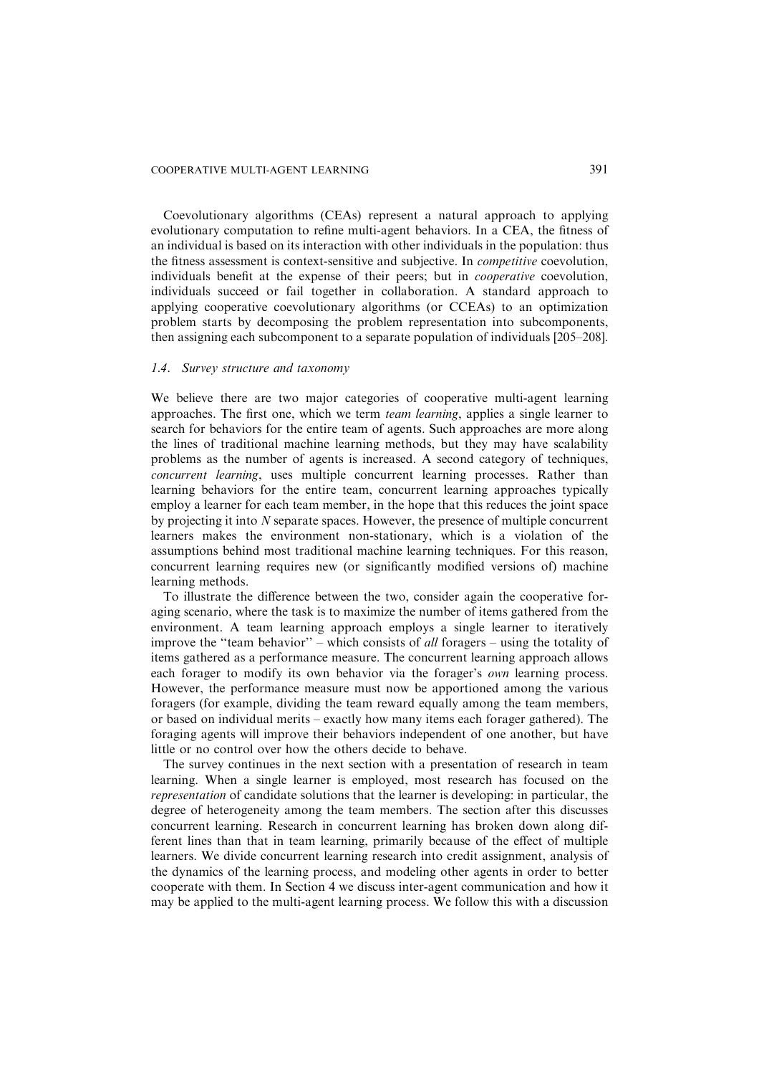Coevolutionary algorithms (CEAs) represent a natural approach to applying evolutionary computation to refine multi-agent behaviors. In a CEA, the fitness of an individual is based on its interaction with other individuals in the population: thus the fitness assessment is context-sensitive and subjective. In competitive coevolution, individuals benefit at the expense of their peers; but in *cooperative* coevolution, individuals succeed or fail together in collaboration. A standard approach to applying cooperative coevolutionary algorithms (or CCEAs) to an optimization problem starts by decomposing the problem representation into subcomponents, then assigning each subcomponent to a separate population of individuals [205–208].

#### 1.4. Survey structure and taxonomy

We believe there are two major categories of cooperative multi-agent learning approaches. The first one, which we term team learning, applies a single learner to search for behaviors for the entire team of agents. Such approaches are more along the lines of traditional machine learning methods, but they may have scalability problems as the number of agents is increased. A second category of techniques, concurrent learning, uses multiple concurrent learning processes. Rather than learning behaviors for the entire team, concurrent learning approaches typically employ a learner for each team member, in the hope that this reduces the joint space by projecting it into N separate spaces. However, the presence of multiple concurrent learners makes the environment non-stationary, which is a violation of the assumptions behind most traditional machine learning techniques. For this reason, concurrent learning requires new (or significantly modified versions of) machine learning methods.

To illustrate the difference between the two, consider again the cooperative foraging scenario, where the task is to maximize the number of items gathered from the environment. A team learning approach employs a single learner to iteratively improve the "team behavior" – which consists of all foragers – using the totality of items gathered as a performance measure. The concurrent learning approach allows each forager to modify its own behavior via the forager's own learning process. However, the performance measure must now be apportioned among the various foragers (for example, dividing the team reward equally among the team members, or based on individual merits – exactly how many items each forager gathered). The foraging agents will improve their behaviors independent of one another, but have little or no control over how the others decide to behave.

The survey continues in the next section with a presentation of research in team learning. When a single learner is employed, most research has focused on the representation of candidate solutions that the learner is developing: in particular, the degree of heterogeneity among the team members. The section after this discusses concurrent learning. Research in concurrent learning has broken down along different lines than that in team learning, primarily because of the effect of multiple learners. We divide concurrent learning research into credit assignment, analysis of the dynamics of the learning process, and modeling other agents in order to better cooperate with them. In Section 4 we discuss inter-agent communication and how it may be applied to the multi-agent learning process. We follow this with a discussion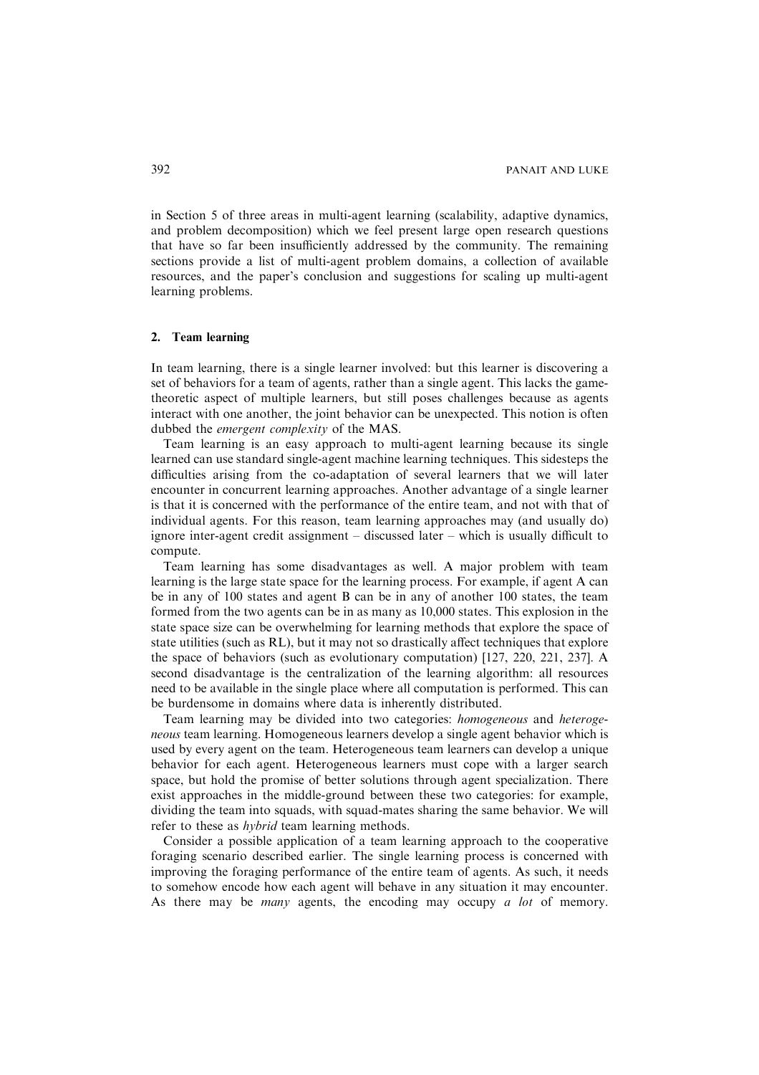in Section 5 of three areas in multi-agent learning (scalability, adaptive dynamics, and problem decomposition) which we feel present large open research questions that have so far been insufficiently addressed by the community. The remaining sections provide a list of multi-agent problem domains, a collection of available resources, and the paper's conclusion and suggestions for scaling up multi-agent learning problems.

## 2. Team learning

In team learning, there is a single learner involved: but this learner is discovering a set of behaviors for a team of agents, rather than a single agent. This lacks the gametheoretic aspect of multiple learners, but still poses challenges because as agents interact with one another, the joint behavior can be unexpected. This notion is often dubbed the emergent complexity of the MAS.

Team learning is an easy approach to multi-agent learning because its single learned can use standard single-agent machine learning techniques. This sidesteps the difficulties arising from the co-adaptation of several learners that we will later encounter in concurrent learning approaches. Another advantage of a single learner is that it is concerned with the performance of the entire team, and not with that of individual agents. For this reason, team learning approaches may (and usually do) ignore inter-agent credit assignment – discussed later – which is usually difficult to compute.

Team learning has some disadvantages as well. A major problem with team learning is the large state space for the learning process. For example, if agent A can be in any of 100 states and agent B can be in any of another 100 states, the team formed from the two agents can be in as many as 10,000 states. This explosion in the state space size can be overwhelming for learning methods that explore the space of state utilities (such as RL), but it may not so drastically affect techniques that explore the space of behaviors (such as evolutionary computation) [127, 220, 221, 237]. A second disadvantage is the centralization of the learning algorithm: all resources need to be available in the single place where all computation is performed. This can be burdensome in domains where data is inherently distributed.

Team learning may be divided into two categories: homogeneous and heterogeneous team learning. Homogeneous learners develop a single agent behavior which is used by every agent on the team. Heterogeneous team learners can develop a unique behavior for each agent. Heterogeneous learners must cope with a larger search space, but hold the promise of better solutions through agent specialization. There exist approaches in the middle-ground between these two categories: for example, dividing the team into squads, with squad-mates sharing the same behavior. We will refer to these as hybrid team learning methods.

Consider a possible application of a team learning approach to the cooperative foraging scenario described earlier. The single learning process is concerned with improving the foraging performance of the entire team of agents. As such, it needs to somehow encode how each agent will behave in any situation it may encounter. As there may be *many* agents, the encoding may occupy a lot of memory.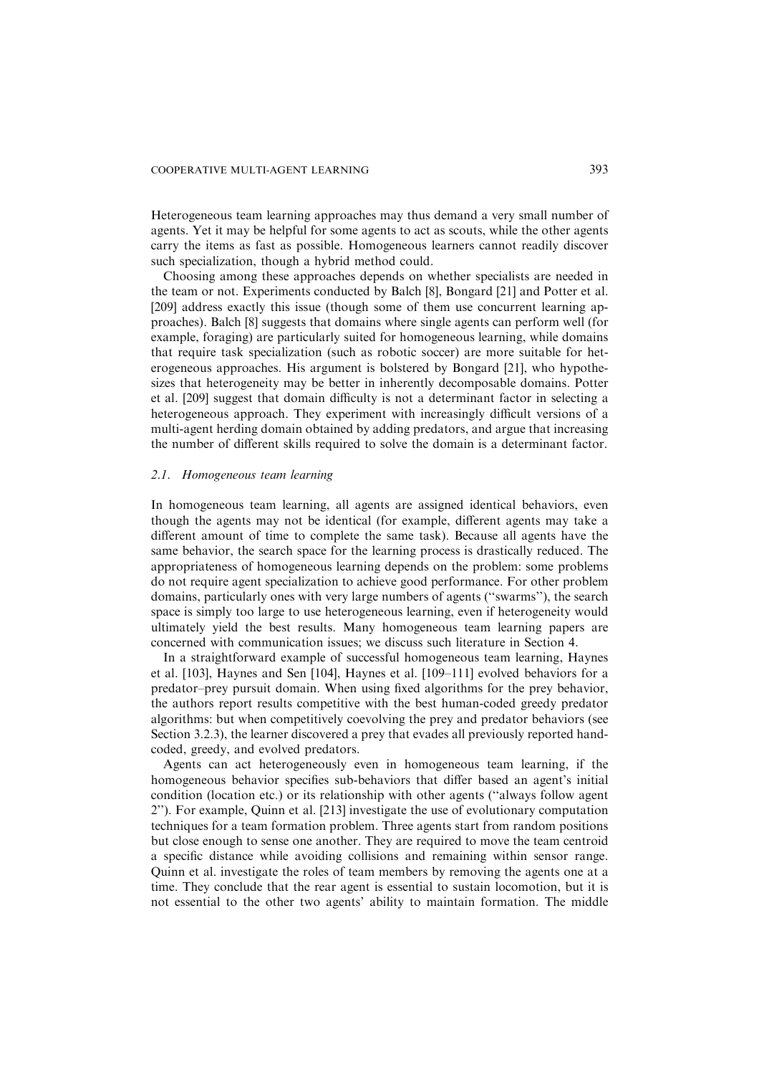Heterogeneous team learning approaches may thus demand a very small number of agents. Yet it may be helpful for some agents to act as scouts, while the other agents carry the items as fast as possible. Homogeneous learners cannot readily discover such specialization, though a hybrid method could.

Choosing among these approaches depends on whether specialists are needed in the team or not. Experiments conducted by Balch [8], Bongard [21] and Potter et al. [209] address exactly this issue (though some of them use concurrent learning approaches). Balch [8] suggests that domains where single agents can perform well (for example, foraging) are particularly suited for homogeneous learning, while domains that require task specialization (such as robotic soccer) are more suitable for heterogeneous approaches. His argument is bolstered by Bongard [21], who hypothesizes that heterogeneity may be better in inherently decomposable domains. Potter et al. [209] suggest that domain difficulty is not a determinant factor in selecting a heterogeneous approach. They experiment with increasingly difficult versions of a multi-agent herding domain obtained by adding predators, and argue that increasing the number of different skills required to solve the domain is a determinant factor.

#### 2.1. Homogeneous team learning

In homogeneous team learning, all agents are assigned identical behaviors, even though the agents may not be identical (for example, different agents may take a different amount of time to complete the same task). Because all agents have the same behavior, the search space for the learning process is drastically reduced. The appropriateness of homogeneous learning depends on the problem: some problems do not require agent specialization to achieve good performance. For other problem domains, particularly ones with very large numbers of agents (''swarms''), the search space is simply too large to use heterogeneous learning, even if heterogeneity would ultimately yield the best results. Many homogeneous team learning papers are concerned with communication issues; we discuss such literature in Section 4.

In a straightforward example of successful homogeneous team learning, Haynes et al. [103], Haynes and Sen [104], Haynes et al. [109–111] evolved behaviors for a predator–prey pursuit domain. When using fixed algorithms for the prey behavior, the authors report results competitive with the best human-coded greedy predator algorithms: but when competitively coevolving the prey and predator behaviors (see Section 3.2.3), the learner discovered a prey that evades all previously reported handcoded, greedy, and evolved predators.

Agents can act heterogeneously even in homogeneous team learning, if the homogeneous behavior specifies sub-behaviors that differ based an agent's initial condition (location etc.) or its relationship with other agents (''always follow agent 2''). For example, Quinn et al. [213] investigate the use of evolutionary computation techniques for a team formation problem. Three agents start from random positions but close enough to sense one another. They are required to move the team centroid a specific distance while avoiding collisions and remaining within sensor range. Quinn et al. investigate the roles of team members by removing the agents one at a time. They conclude that the rear agent is essential to sustain locomotion, but it is not essential to the other two agents' ability to maintain formation. The middle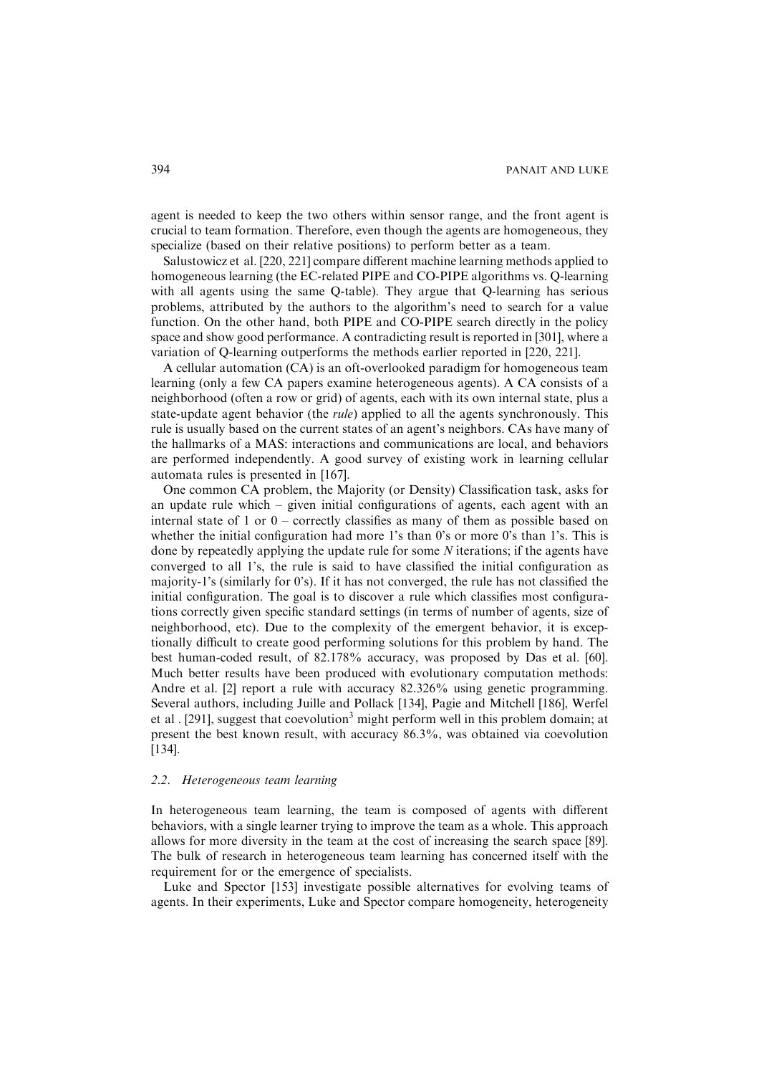agent is needed to keep the two others within sensor range, and the front agent is crucial to team formation. Therefore, even though the agents are homogeneous, they specialize (based on their relative positions) to perform better as a team.

Salustowicz et al. [220, 221] compare different machine learning methods applied to homogeneous learning (the EC-related PIPE and CO-PIPE algorithms vs. Q-learning with all agents using the same Q-table). They argue that Q-learning has serious problems, attributed by the authors to the algorithm's need to search for a value function. On the other hand, both PIPE and CO-PIPE search directly in the policy space and show good performance. A contradicting result is reported in [301], where a variation of Q-learning outperforms the methods earlier reported in [220, 221].

A cellular automation (CA) is an oft-overlooked paradigm for homogeneous team learning (only a few CA papers examine heterogeneous agents). A CA consists of a neighborhood (often a row or grid) of agents, each with its own internal state, plus a state-update agent behavior (the rule) applied to all the agents synchronously. This rule is usually based on the current states of an agent's neighbors. CAs have many of the hallmarks of a MAS: interactions and communications are local, and behaviors are performed independently. A good survey of existing work in learning cellular automata rules is presented in [167].

One common CA problem, the Majority (or Density) Classification task, asks for an update rule which – given initial configurations of agents, each agent with an internal state of 1 or 0 – correctly classifies as many of them as possible based on whether the initial configuration had more 1's than 0's or more 0's than 1's. This is done by repeatedly applying the update rule for some N iterations; if the agents have converged to all 1's, the rule is said to have classified the initial configuration as majority-1's (similarly for 0's). If it has not converged, the rule has not classified the initial configuration. The goal is to discover a rule which classifies most configurations correctly given specific standard settings (in terms of number of agents, size of neighborhood, etc). Due to the complexity of the emergent behavior, it is exceptionally difficult to create good performing solutions for this problem by hand. The best human-coded result, of 82.178% accuracy, was proposed by Das et al. [60]. Much better results have been produced with evolutionary computation methods: Andre et al. [2] report a rule with accuracy 82.326% using genetic programming. Several authors, including Juille and Pollack [134], Pagie and Mitchell [186], Werfel et al . [291], suggest that coevolution<sup>3</sup> might perform well in this problem domain; at present the best known result, with accuracy 86.3%, was obtained via coevolution [134].

#### 2.2. Heterogeneous team learning

In heterogeneous team learning, the team is composed of agents with different behaviors, with a single learner trying to improve the team as a whole. This approach allows for more diversity in the team at the cost of increasing the search space [89]. The bulk of research in heterogeneous team learning has concerned itself with the requirement for or the emergence of specialists.

Luke and Spector [153] investigate possible alternatives for evolving teams of agents. In their experiments, Luke and Spector compare homogeneity, heterogeneity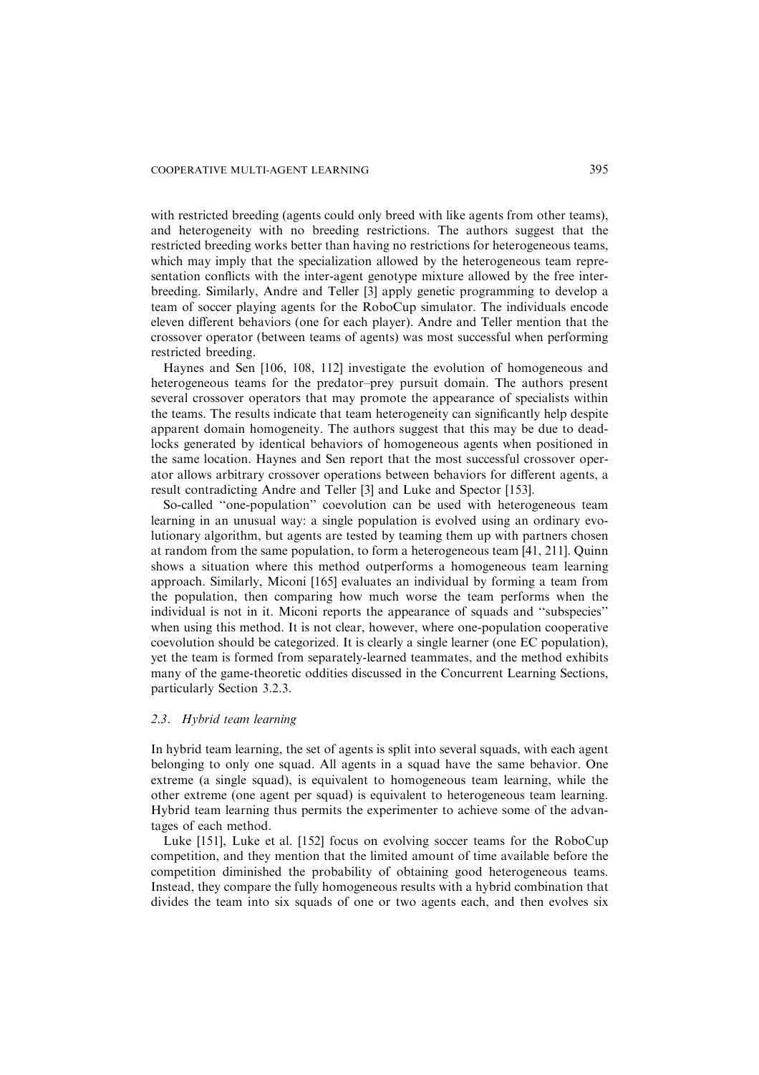with restricted breeding (agents could only breed with like agents from other teams), and heterogeneity with no breeding restrictions. The authors suggest that the restricted breeding works better than having no restrictions for heterogeneous teams, which may imply that the specialization allowed by the heterogeneous team representation conflicts with the inter-agent genotype mixture allowed by the free interbreeding. Similarly, Andre and Teller [3] apply genetic programming to develop a team of soccer playing agents for the RoboCup simulator. The individuals encode eleven different behaviors (one for each player). Andre and Teller mention that the crossover operator (between teams of agents) was most successful when performing restricted breeding.

Haynes and Sen [106, 108, 112] investigate the evolution of homogeneous and heterogeneous teams for the predator–prey pursuit domain. The authors present several crossover operators that may promote the appearance of specialists within the teams. The results indicate that team heterogeneity can significantly help despite apparent domain homogeneity. The authors suggest that this may be due to deadlocks generated by identical behaviors of homogeneous agents when positioned in the same location. Haynes and Sen report that the most successful crossover operator allows arbitrary crossover operations between behaviors for different agents, a result contradicting Andre and Teller [3] and Luke and Spector [153].

So-called ''one-population'' coevolution can be used with heterogeneous team learning in an unusual way: a single population is evolved using an ordinary evolutionary algorithm, but agents are tested by teaming them up with partners chosen at random from the same population, to form a heterogeneous team [41, 211]. Quinn shows a situation where this method outperforms a homogeneous team learning approach. Similarly, Miconi [165] evaluates an individual by forming a team from the population, then comparing how much worse the team performs when the individual is not in it. Miconi reports the appearance of squads and ''subspecies'' when using this method. It is not clear, however, where one-population cooperative coevolution should be categorized. It is clearly a single learner (one EC population), yet the team is formed from separately-learned teammates, and the method exhibits many of the game-theoretic oddities discussed in the Concurrent Learning Sections, particularly Section 3.2.3.

#### 2.3. Hybrid team learning

In hybrid team learning, the set of agents is split into several squads, with each agent belonging to only one squad. All agents in a squad have the same behavior. One extreme (a single squad), is equivalent to homogeneous team learning, while the other extreme (one agent per squad) is equivalent to heterogeneous team learning. Hybrid team learning thus permits the experimenter to achieve some of the advantages of each method.

Luke [151], Luke et al. [152] focus on evolving soccer teams for the RoboCup competition, and they mention that the limited amount of time available before the competition diminished the probability of obtaining good heterogeneous teams. Instead, they compare the fully homogeneous results with a hybrid combination that divides the team into six squads of one or two agents each, and then evolves six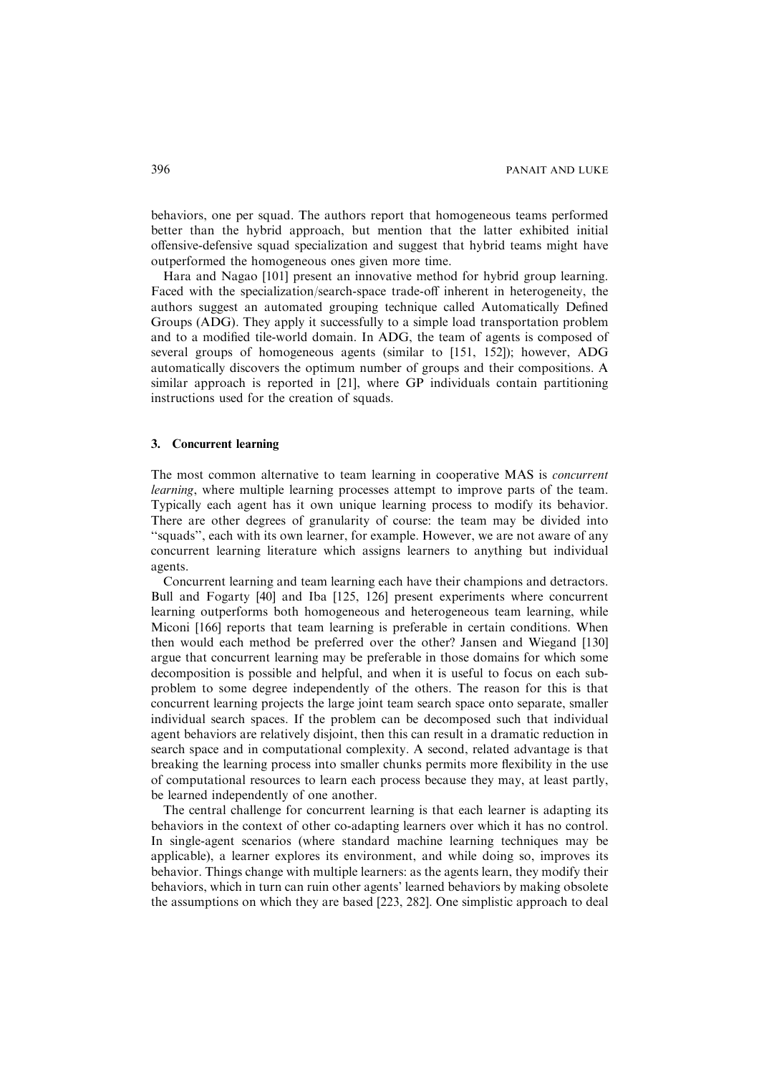behaviors, one per squad. The authors report that homogeneous teams performed better than the hybrid approach, but mention that the latter exhibited initial offensive-defensive squad specialization and suggest that hybrid teams might have outperformed the homogeneous ones given more time.

Hara and Nagao [101] present an innovative method for hybrid group learning. Faced with the specialization/search-space trade-off inherent in heterogeneity, the authors suggest an automated grouping technique called Automatically Defined Groups (ADG). They apply it successfully to a simple load transportation problem and to a modified tile-world domain. In ADG, the team of agents is composed of several groups of homogeneous agents (similar to [151, 152]); however, ADG automatically discovers the optimum number of groups and their compositions. A similar approach is reported in [21], where GP individuals contain partitioning instructions used for the creation of squads.

#### 3. Concurrent learning

The most common alternative to team learning in cooperative MAS is concurrent learning, where multiple learning processes attempt to improve parts of the team. Typically each agent has it own unique learning process to modify its behavior. There are other degrees of granularity of course: the team may be divided into ''squads'', each with its own learner, for example. However, we are not aware of any concurrent learning literature which assigns learners to anything but individual agents.

Concurrent learning and team learning each have their champions and detractors. Bull and Fogarty [40] and Iba [125, 126] present experiments where concurrent learning outperforms both homogeneous and heterogeneous team learning, while Miconi [166] reports that team learning is preferable in certain conditions. When then would each method be preferred over the other? Jansen and Wiegand [130] argue that concurrent learning may be preferable in those domains for which some decomposition is possible and helpful, and when it is useful to focus on each subproblem to some degree independently of the others. The reason for this is that concurrent learning projects the large joint team search space onto separate, smaller individual search spaces. If the problem can be decomposed such that individual agent behaviors are relatively disjoint, then this can result in a dramatic reduction in search space and in computational complexity. A second, related advantage is that breaking the learning process into smaller chunks permits more flexibility in the use of computational resources to learn each process because they may, at least partly, be learned independently of one another.

The central challenge for concurrent learning is that each learner is adapting its behaviors in the context of other co-adapting learners over which it has no control. In single-agent scenarios (where standard machine learning techniques may be applicable), a learner explores its environment, and while doing so, improves its behavior. Things change with multiple learners: as the agents learn, they modify their behaviors, which in turn can ruin other agents' learned behaviors by making obsolete the assumptions on which they are based [223, 282]. One simplistic approach to deal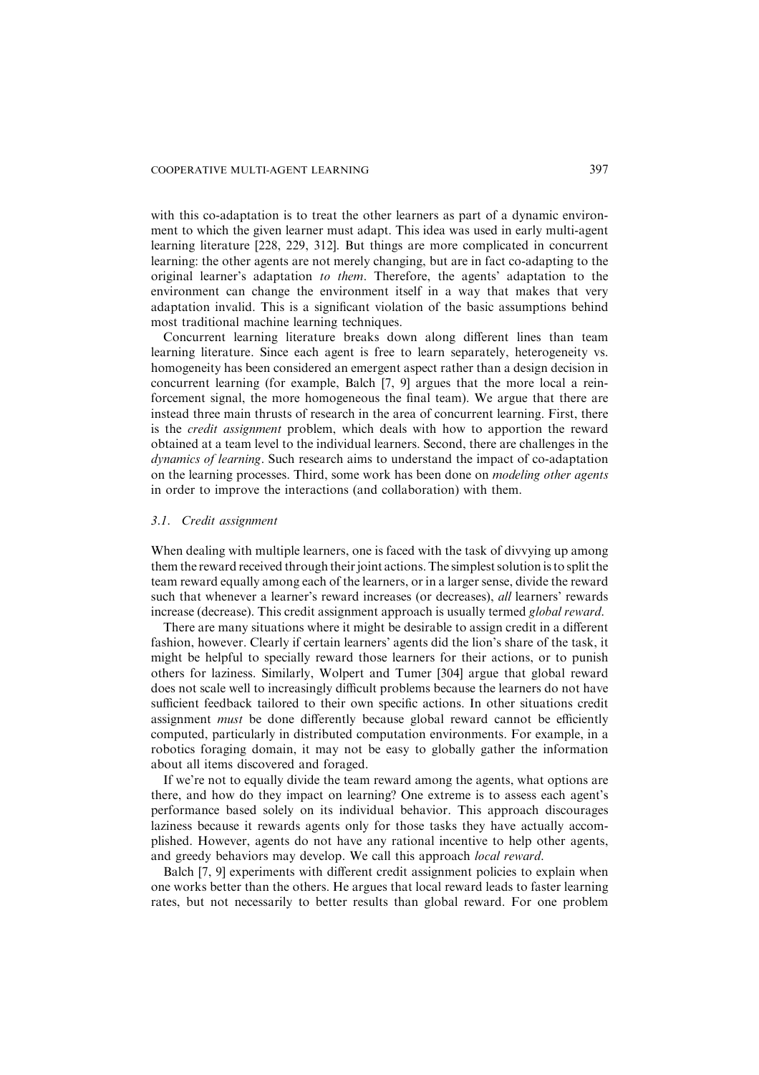with this co-adaptation is to treat the other learners as part of a dynamic environment to which the given learner must adapt. This idea was used in early multi-agent learning literature [228, 229, 312]. But things are more complicated in concurrent learning: the other agents are not merely changing, but are in fact co-adapting to the original learner's adaptation to them. Therefore, the agents' adaptation to the environment can change the environment itself in a way that makes that very adaptation invalid. This is a significant violation of the basic assumptions behind most traditional machine learning techniques.

Concurrent learning literature breaks down along different lines than team learning literature. Since each agent is free to learn separately, heterogeneity vs. homogeneity has been considered an emergent aspect rather than a design decision in concurrent learning (for example, Balch [7, 9] argues that the more local a reinforcement signal, the more homogeneous the final team). We argue that there are instead three main thrusts of research in the area of concurrent learning. First, there is the credit assignment problem, which deals with how to apportion the reward obtained at a team level to the individual learners. Second, there are challenges in the dynamics of learning. Such research aims to understand the impact of co-adaptation on the learning processes. Third, some work has been done on modeling other agents in order to improve the interactions (and collaboration) with them.

#### 3.1. Credit assignment

When dealing with multiple learners, one is faced with the task of divvying up among them the reward received through their joint actions. The simplest solution is to split the team reward equally among each of the learners, or in a larger sense, divide the reward such that whenever a learner's reward increases (or decreases), *all* learners' rewards increase (decrease). This credit assignment approach is usually termed global reward.

There are many situations where it might be desirable to assign credit in a different fashion, however. Clearly if certain learners' agents did the lion's share of the task, it might be helpful to specially reward those learners for their actions, or to punish others for laziness. Similarly, Wolpert and Tumer [304] argue that global reward does not scale well to increasingly difficult problems because the learners do not have sufficient feedback tailored to their own specific actions. In other situations credit assignment *must* be done differently because global reward cannot be efficiently computed, particularly in distributed computation environments. For example, in a robotics foraging domain, it may not be easy to globally gather the information about all items discovered and foraged.

If we're not to equally divide the team reward among the agents, what options are there, and how do they impact on learning? One extreme is to assess each agent's performance based solely on its individual behavior. This approach discourages laziness because it rewards agents only for those tasks they have actually accomplished. However, agents do not have any rational incentive to help other agents, and greedy behaviors may develop. We call this approach local reward.

Balch [7, 9] experiments with different credit assignment policies to explain when one works better than the others. He argues that local reward leads to faster learning rates, but not necessarily to better results than global reward. For one problem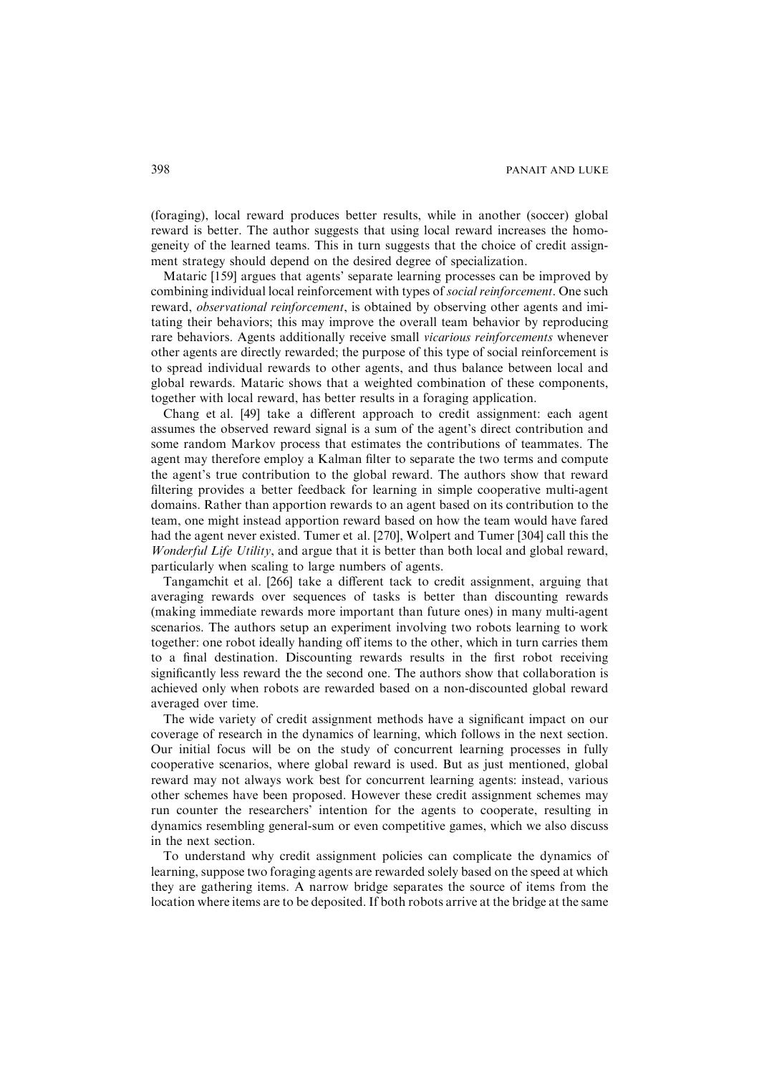(foraging), local reward produces better results, while in another (soccer) global reward is better. The author suggests that using local reward increases the homogeneity of the learned teams. This in turn suggests that the choice of credit assignment strategy should depend on the desired degree of specialization.

Mataric [159] argues that agents' separate learning processes can be improved by combining individual local reinforcement with types of social reinforcement. One such reward, observational reinforcement, is obtained by observing other agents and imitating their behaviors; this may improve the overall team behavior by reproducing rare behaviors. Agents additionally receive small vicarious reinforcements whenever other agents are directly rewarded; the purpose of this type of social reinforcement is to spread individual rewards to other agents, and thus balance between local and global rewards. Mataric shows that a weighted combination of these components, together with local reward, has better results in a foraging application.

Chang et al. [49] take a different approach to credit assignment: each agent assumes the observed reward signal is a sum of the agent's direct contribution and some random Markov process that estimates the contributions of teammates. The agent may therefore employ a Kalman filter to separate the two terms and compute the agent's true contribution to the global reward. The authors show that reward filtering provides a better feedback for learning in simple cooperative multi-agent domains. Rather than apportion rewards to an agent based on its contribution to the team, one might instead apportion reward based on how the team would have fared had the agent never existed. Tumer et al. [270], Wolpert and Tumer [304] call this the Wonderful Life Utility, and argue that it is better than both local and global reward, particularly when scaling to large numbers of agents.

Tangamchit et al. [266] take a different tack to credit assignment, arguing that averaging rewards over sequences of tasks is better than discounting rewards (making immediate rewards more important than future ones) in many multi-agent scenarios. The authors setup an experiment involving two robots learning to work together: one robot ideally handing off items to the other, which in turn carries them to a final destination. Discounting rewards results in the first robot receiving significantly less reward the the second one. The authors show that collaboration is achieved only when robots are rewarded based on a non-discounted global reward averaged over time.

The wide variety of credit assignment methods have a significant impact on our coverage of research in the dynamics of learning, which follows in the next section. Our initial focus will be on the study of concurrent learning processes in fully cooperative scenarios, where global reward is used. But as just mentioned, global reward may not always work best for concurrent learning agents: instead, various other schemes have been proposed. However these credit assignment schemes may run counter the researchers' intention for the agents to cooperate, resulting in dynamics resembling general-sum or even competitive games, which we also discuss in the next section.

To understand why credit assignment policies can complicate the dynamics of learning, suppose two foraging agents are rewarded solely based on the speed at which they are gathering items. A narrow bridge separates the source of items from the location where items are to be deposited. If both robots arrive at the bridge at the same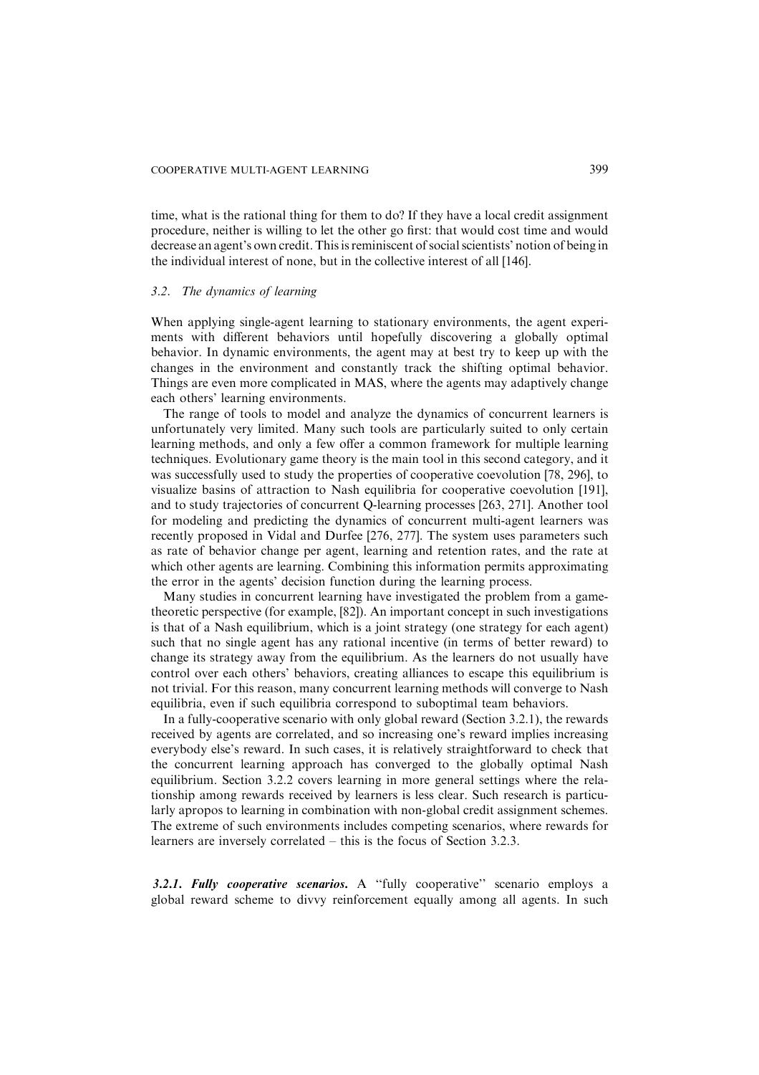time, what is the rational thing for them to do? If they have a local credit assignment procedure, neither is willing to let the other go first: that would cost time and would decrease an agent's own credit. This is reminiscent of social scientists' notion of being in the individual interest of none, but in the collective interest of all [146].

#### 3.2. The dynamics of learning

When applying single-agent learning to stationary environments, the agent experiments with different behaviors until hopefully discovering a globally optimal behavior. In dynamic environments, the agent may at best try to keep up with the changes in the environment and constantly track the shifting optimal behavior. Things are even more complicated in MAS, where the agents may adaptively change each others' learning environments.

The range of tools to model and analyze the dynamics of concurrent learners is unfortunately very limited. Many such tools are particularly suited to only certain learning methods, and only a few offer a common framework for multiple learning techniques. Evolutionary game theory is the main tool in this second category, and it was successfully used to study the properties of cooperative coevolution [78, 296], to visualize basins of attraction to Nash equilibria for cooperative coevolution [191], and to study trajectories of concurrent Q-learning processes [263, 271]. Another tool for modeling and predicting the dynamics of concurrent multi-agent learners was recently proposed in Vidal and Durfee [276, 277]. The system uses parameters such as rate of behavior change per agent, learning and retention rates, and the rate at which other agents are learning. Combining this information permits approximating the error in the agents' decision function during the learning process.

Many studies in concurrent learning have investigated the problem from a gametheoretic perspective (for example, [82]). An important concept in such investigations is that of a Nash equilibrium, which is a joint strategy (one strategy for each agent) such that no single agent has any rational incentive (in terms of better reward) to change its strategy away from the equilibrium. As the learners do not usually have control over each others' behaviors, creating alliances to escape this equilibrium is not trivial. For this reason, many concurrent learning methods will converge to Nash equilibria, even if such equilibria correspond to suboptimal team behaviors.

In a fully-cooperative scenario with only global reward (Section 3.2.1), the rewards received by agents are correlated, and so increasing one's reward implies increasing everybody else's reward. In such cases, it is relatively straightforward to check that the concurrent learning approach has converged to the globally optimal Nash equilibrium. Section 3.2.2 covers learning in more general settings where the relationship among rewards received by learners is less clear. Such research is particularly apropos to learning in combination with non-global credit assignment schemes. The extreme of such environments includes competing scenarios, where rewards for learners are inversely correlated – this is the focus of Section 3.2.3.

3.2.1. Fully cooperative scenarios. A "fully cooperative" scenario employs a global reward scheme to divvy reinforcement equally among all agents. In such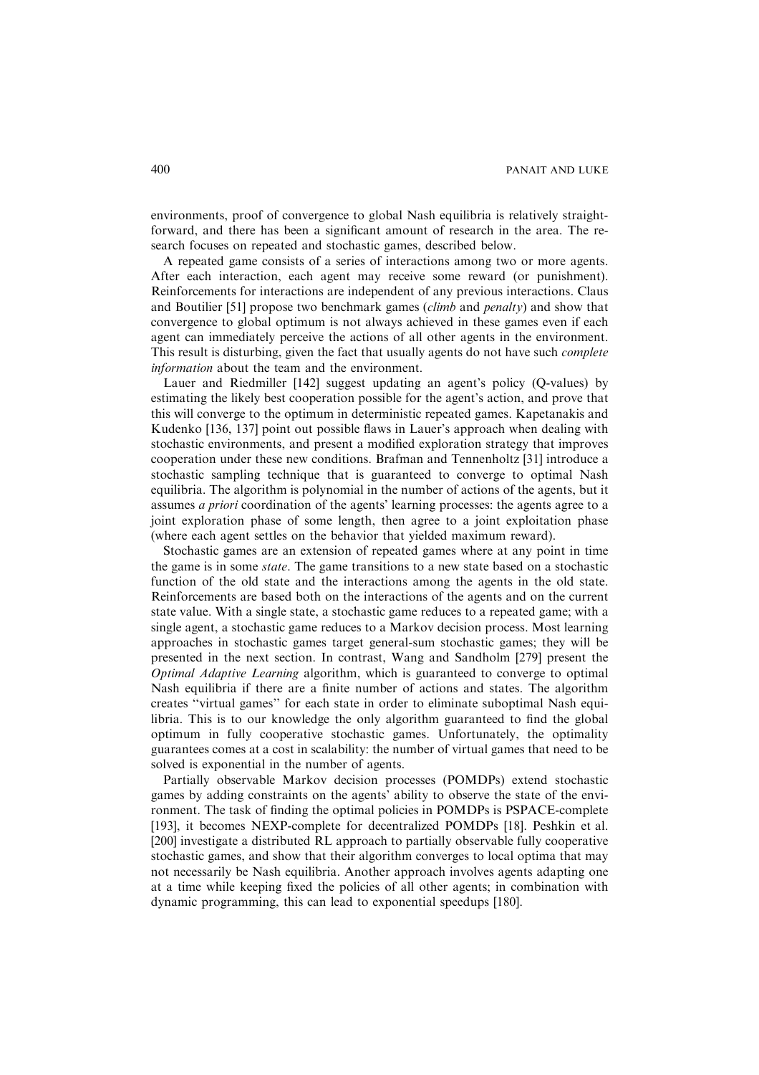environments, proof of convergence to global Nash equilibria is relatively straightforward, and there has been a significant amount of research in the area. The research focuses on repeated and stochastic games, described below.

A repeated game consists of a series of interactions among two or more agents. After each interaction, each agent may receive some reward (or punishment). Reinforcements for interactions are independent of any previous interactions. Claus and Boutilier [51] propose two benchmark games (climb and penalty) and show that convergence to global optimum is not always achieved in these games even if each agent can immediately perceive the actions of all other agents in the environment. This result is disturbing, given the fact that usually agents do not have such complete information about the team and the environment.

Lauer and Riedmiller [142] suggest updating an agent's policy (Q-values) by estimating the likely best cooperation possible for the agent's action, and prove that this will converge to the optimum in deterministic repeated games. Kapetanakis and Kudenko [136, 137] point out possible flaws in Lauer's approach when dealing with stochastic environments, and present a modified exploration strategy that improves cooperation under these new conditions. Brafman and Tennenholtz [31] introduce a stochastic sampling technique that is guaranteed to converge to optimal Nash equilibria. The algorithm is polynomial in the number of actions of the agents, but it assumes a priori coordination of the agents' learning processes: the agents agree to a joint exploration phase of some length, then agree to a joint exploitation phase (where each agent settles on the behavior that yielded maximum reward).

Stochastic games are an extension of repeated games where at any point in time the game is in some state. The game transitions to a new state based on a stochastic function of the old state and the interactions among the agents in the old state. Reinforcements are based both on the interactions of the agents and on the current state value. With a single state, a stochastic game reduces to a repeated game; with a single agent, a stochastic game reduces to a Markov decision process. Most learning approaches in stochastic games target general-sum stochastic games; they will be presented in the next section. In contrast, Wang and Sandholm [279] present the Optimal Adaptive Learning algorithm, which is guaranteed to converge to optimal Nash equilibria if there are a finite number of actions and states. The algorithm creates ''virtual games'' for each state in order to eliminate suboptimal Nash equilibria. This is to our knowledge the only algorithm guaranteed to find the global optimum in fully cooperative stochastic games. Unfortunately, the optimality guarantees comes at a cost in scalability: the number of virtual games that need to be solved is exponential in the number of agents.

Partially observable Markov decision processes (POMDPs) extend stochastic games by adding constraints on the agents' ability to observe the state of the environment. The task of finding the optimal policies in POMDPs is PSPACE-complete [193], it becomes NEXP-complete for decentralized POMDPs [18]. Peshkin et al. [200] investigate a distributed RL approach to partially observable fully cooperative stochastic games, and show that their algorithm converges to local optima that may not necessarily be Nash equilibria. Another approach involves agents adapting one at a time while keeping fixed the policies of all other agents; in combination with dynamic programming, this can lead to exponential speedups [180].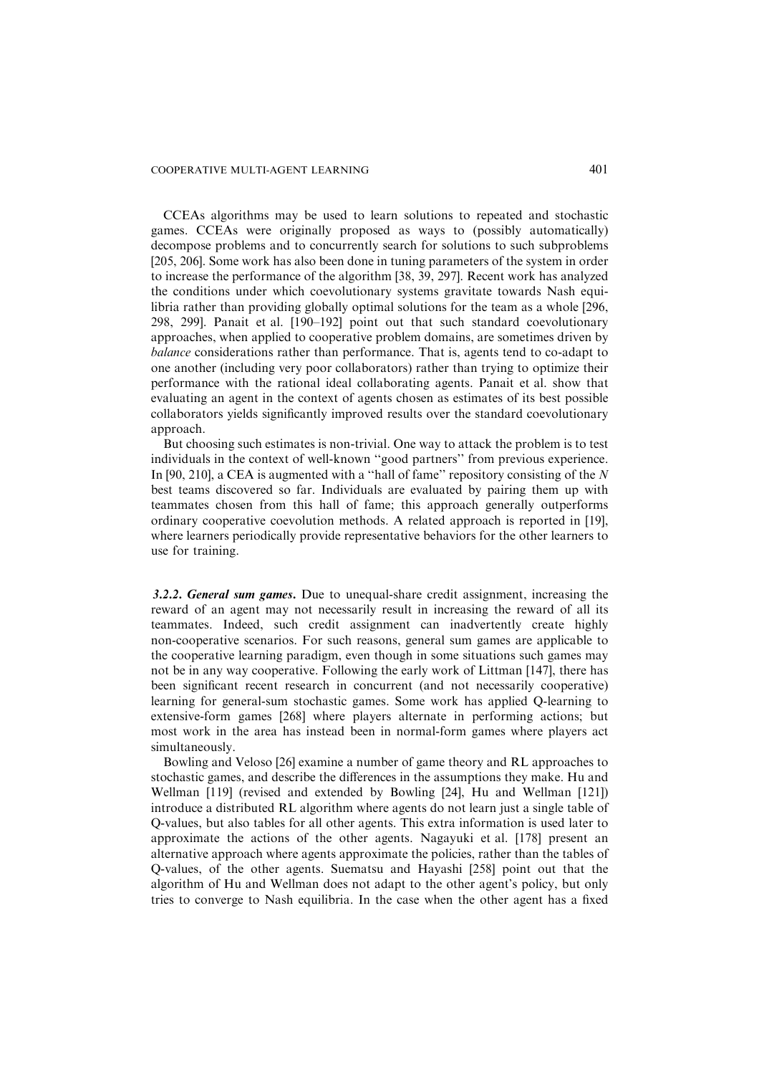# COOPERATIVE MULTI-AGENT LEARNING 401

CCEAs algorithms may be used to learn solutions to repeated and stochastic games. CCEAs were originally proposed as ways to (possibly automatically) decompose problems and to concurrently search for solutions to such subproblems [205, 206]. Some work has also been done in tuning parameters of the system in order to increase the performance of the algorithm [38, 39, 297]. Recent work has analyzed the conditions under which coevolutionary systems gravitate towards Nash equilibria rather than providing globally optimal solutions for the team as a whole [296, 298, 299]. Panait et al. [190–192] point out that such standard coevolutionary approaches, when applied to cooperative problem domains, are sometimes driven by balance considerations rather than performance. That is, agents tend to co-adapt to one another (including very poor collaborators) rather than trying to optimize their performance with the rational ideal collaborating agents. Panait et al. show that evaluating an agent in the context of agents chosen as estimates of its best possible collaborators yields significantly improved results over the standard coevolutionary approach.

But choosing such estimates is non-trivial. One way to attack the problem is to test individuals in the context of well-known ''good partners'' from previous experience. In [90, 210], a CEA is augmented with a "hall of fame" repository consisting of the  $N$ best teams discovered so far. Individuals are evaluated by pairing them up with teammates chosen from this hall of fame; this approach generally outperforms ordinary cooperative coevolution methods. A related approach is reported in [19], where learners periodically provide representative behaviors for the other learners to use for training.

3.2.2. General sum games. Due to unequal-share credit assignment, increasing the reward of an agent may not necessarily result in increasing the reward of all its teammates. Indeed, such credit assignment can inadvertently create highly non-cooperative scenarios. For such reasons, general sum games are applicable to the cooperative learning paradigm, even though in some situations such games may not be in any way cooperative. Following the early work of Littman [147], there has been significant recent research in concurrent (and not necessarily cooperative) learning for general-sum stochastic games. Some work has applied Q-learning to extensive-form games [268] where players alternate in performing actions; but most work in the area has instead been in normal-form games where players act simultaneously.

Bowling and Veloso [26] examine a number of game theory and RL approaches to stochastic games, and describe the differences in the assumptions they make. Hu and Wellman [119] (revised and extended by Bowling [24], Hu and Wellman [121]) introduce a distributed RL algorithm where agents do not learn just a single table of Q-values, but also tables for all other agents. This extra information is used later to approximate the actions of the other agents. Nagayuki et al. [178] present an alternative approach where agents approximate the policies, rather than the tables of Q-values, of the other agents. Suematsu and Hayashi [258] point out that the algorithm of Hu and Wellman does not adapt to the other agent's policy, but only tries to converge to Nash equilibria. In the case when the other agent has a fixed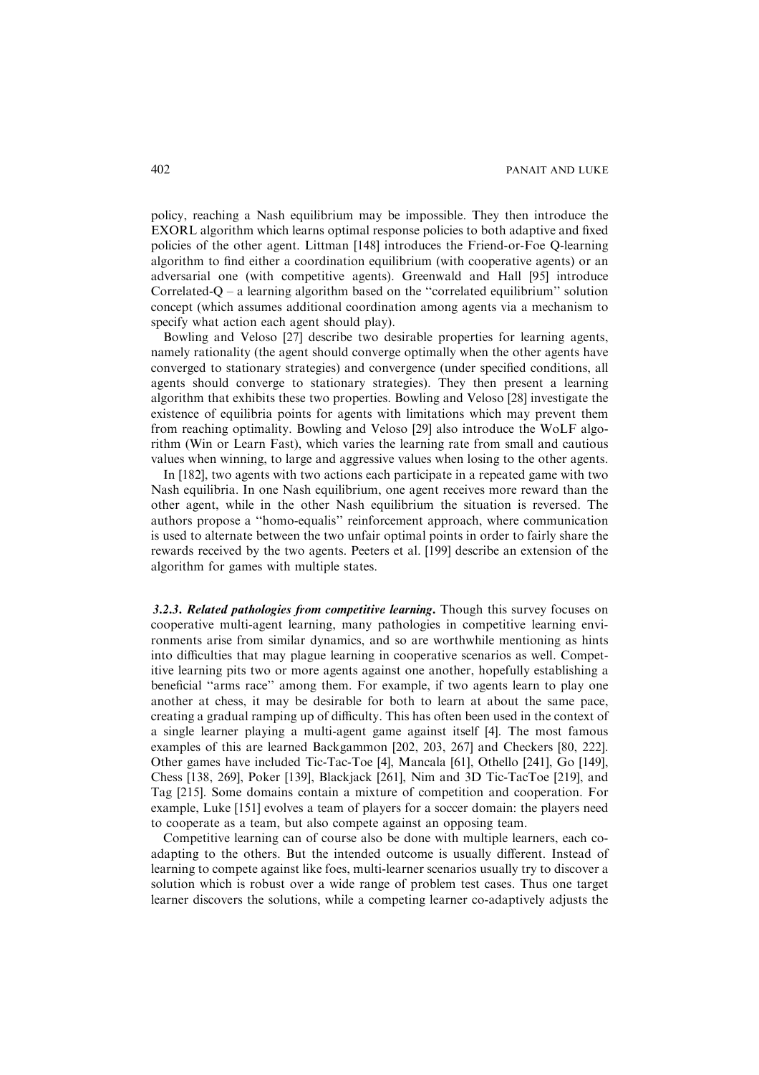policy, reaching a Nash equilibrium may be impossible. They then introduce the EXORL algorithm which learns optimal response policies to both adaptive and fixed policies of the other agent. Littman [148] introduces the Friend-or-Foe Q-learning algorithm to find either a coordination equilibrium (with cooperative agents) or an adversarial one (with competitive agents). Greenwald and Hall [95] introduce Correlated-Q – a learning algorithm based on the ''correlated equilibrium'' solution concept (which assumes additional coordination among agents via a mechanism to specify what action each agent should play).

Bowling and Veloso [27] describe two desirable properties for learning agents, namely rationality (the agent should converge optimally when the other agents have converged to stationary strategies) and convergence (under specified conditions, all agents should converge to stationary strategies). They then present a learning algorithm that exhibits these two properties. Bowling and Veloso [28] investigate the existence of equilibria points for agents with limitations which may prevent them from reaching optimality. Bowling and Veloso [29] also introduce the WoLF algorithm (Win or Learn Fast), which varies the learning rate from small and cautious values when winning, to large and aggressive values when losing to the other agents.

In [182], two agents with two actions each participate in a repeated game with two Nash equilibria. In one Nash equilibrium, one agent receives more reward than the other agent, while in the other Nash equilibrium the situation is reversed. The authors propose a ''homo-equalis'' reinforcement approach, where communication is used to alternate between the two unfair optimal points in order to fairly share the rewards received by the two agents. Peeters et al. [199] describe an extension of the algorithm for games with multiple states.

3.2.3. Related pathologies from competitive learning. Though this survey focuses on cooperative multi-agent learning, many pathologies in competitive learning environments arise from similar dynamics, and so are worthwhile mentioning as hints into difficulties that may plague learning in cooperative scenarios as well. Competitive learning pits two or more agents against one another, hopefully establishing a beneficial ''arms race'' among them. For example, if two agents learn to play one another at chess, it may be desirable for both to learn at about the same pace, creating a gradual ramping up of difficulty. This has often been used in the context of a single learner playing a multi-agent game against itself [4]. The most famous examples of this are learned Backgammon [202, 203, 267] and Checkers [80, 222]. Other games have included Tic-Tac-Toe [4], Mancala [61], Othello [241], Go [149], Chess [138, 269], Poker [139], Blackjack [261], Nim and 3D Tic-TacToe [219], and Tag [215]. Some domains contain a mixture of competition and cooperation. For example, Luke [151] evolves a team of players for a soccer domain: the players need to cooperate as a team, but also compete against an opposing team.

Competitive learning can of course also be done with multiple learners, each coadapting to the others. But the intended outcome is usually different. Instead of learning to compete against like foes, multi-learner scenarios usually try to discover a solution which is robust over a wide range of problem test cases. Thus one target learner discovers the solutions, while a competing learner co-adaptively adjusts the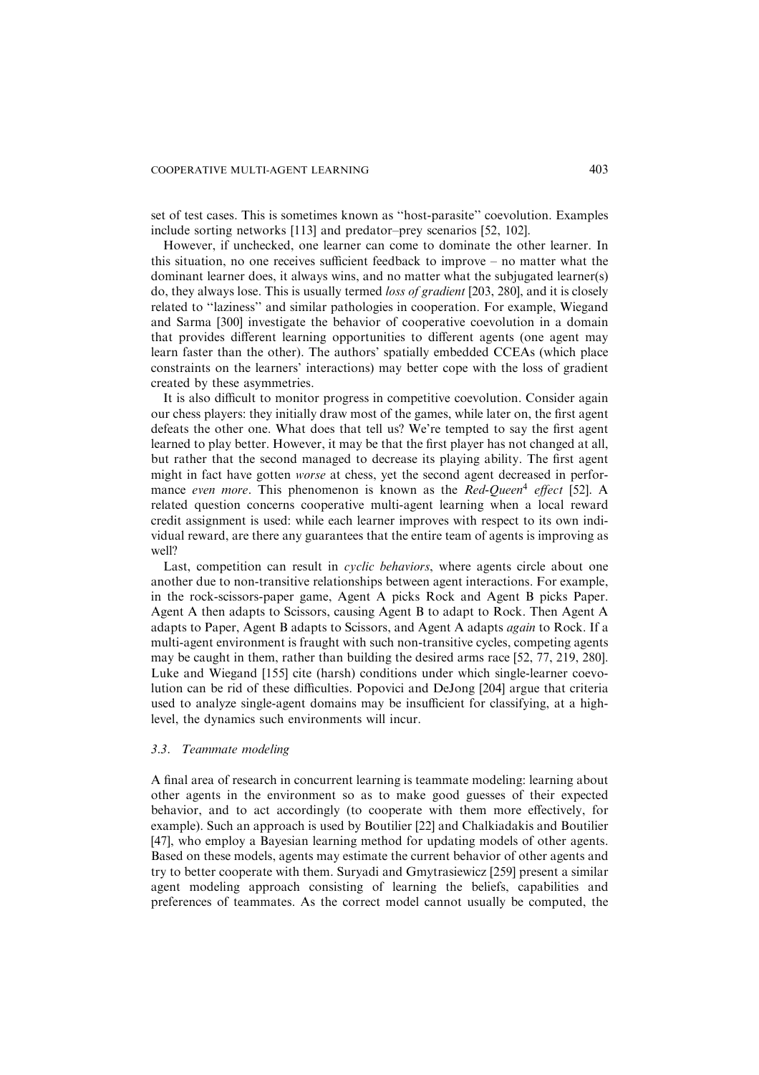set of test cases. This is sometimes known as ''host-parasite'' coevolution. Examples include sorting networks [113] and predator–prey scenarios [52, 102].

However, if unchecked, one learner can come to dominate the other learner. In this situation, no one receives sufficient feedback to improve – no matter what the dominant learner does, it always wins, and no matter what the subjugated learner(s) do, they always lose. This is usually termed loss of gradient [203, 280], and it is closely related to ''laziness'' and similar pathologies in cooperation. For example, Wiegand and Sarma [300] investigate the behavior of cooperative coevolution in a domain that provides different learning opportunities to different agents (one agent may learn faster than the other). The authors' spatially embedded CCEAs (which place constraints on the learners' interactions) may better cope with the loss of gradient created by these asymmetries.

It is also difficult to monitor progress in competitive coevolution. Consider again our chess players: they initially draw most of the games, while later on, the first agent defeats the other one. What does that tell us? We're tempted to say the first agent learned to play better. However, it may be that the first player has not changed at all, but rather that the second managed to decrease its playing ability. The first agent might in fact have gotten worse at chess, yet the second agent decreased in performance even more. This phenomenon is known as the  $Red-Queen^4$  effect [52]. A related question concerns cooperative multi-agent learning when a local reward credit assignment is used: while each learner improves with respect to its own individual reward, are there any guarantees that the entire team of agents is improving as well?

Last, competition can result in *cyclic behaviors*, where agents circle about one another due to non-transitive relationships between agent interactions. For example, in the rock-scissors-paper game, Agent A picks Rock and Agent B picks Paper. Agent A then adapts to Scissors, causing Agent B to adapt to Rock. Then Agent A adapts to Paper, Agent B adapts to Scissors, and Agent A adapts again to Rock. If a multi-agent environment is fraught with such non-transitive cycles, competing agents may be caught in them, rather than building the desired arms race [52, 77, 219, 280]. Luke and Wiegand [155] cite (harsh) conditions under which single-learner coevolution can be rid of these difficulties. Popovici and DeJong [204] argue that criteria used to analyze single-agent domains may be insufficient for classifying, at a highlevel, the dynamics such environments will incur.

#### 3.3. Teammate modeling

A final area of research in concurrent learning is teammate modeling: learning about other agents in the environment so as to make good guesses of their expected behavior, and to act accordingly (to cooperate with them more effectively, for example). Such an approach is used by Boutilier [22] and Chalkiadakis and Boutilier [47], who employ a Bayesian learning method for updating models of other agents. Based on these models, agents may estimate the current behavior of other agents and try to better cooperate with them. Suryadi and Gmytrasiewicz [259] present a similar agent modeling approach consisting of learning the beliefs, capabilities and preferences of teammates. As the correct model cannot usually be computed, the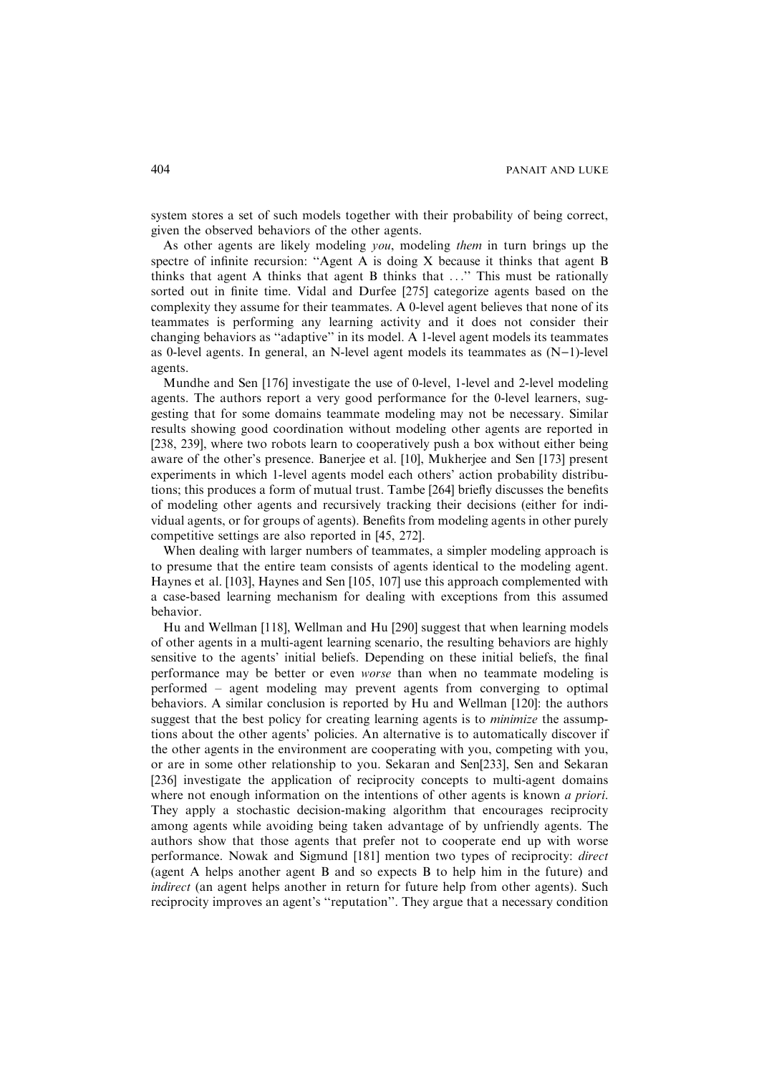system stores a set of such models together with their probability of being correct, given the observed behaviors of the other agents.

As other agents are likely modeling *you*, modeling *them* in turn brings up the spectre of infinite recursion: ''Agent A is doing X because it thinks that agent B thinks that agent A thinks that agent B thinks that ...'' This must be rationally sorted out in finite time. Vidal and Durfee [275] categorize agents based on the complexity they assume for their teammates. A 0-level agent believes that none of its teammates is performing any learning activity and it does not consider their changing behaviors as ''adaptive'' in its model. A 1-level agent models its teammates as 0-level agents. In general, an N-level agent models its teammates as  $(N-1)$ -level agents.

Mundhe and Sen [176] investigate the use of 0-level, 1-level and 2-level modeling agents. The authors report a very good performance for the 0-level learners, suggesting that for some domains teammate modeling may not be necessary. Similar results showing good coordination without modeling other agents are reported in [238, 239], where two robots learn to cooperatively push a box without either being aware of the other's presence. Banerjee et al. [10], Mukherjee and Sen [173] present experiments in which 1-level agents model each others' action probability distributions; this produces a form of mutual trust. Tambe [264] briefly discusses the benefits of modeling other agents and recursively tracking their decisions (either for individual agents, or for groups of agents). Benefits from modeling agents in other purely competitive settings are also reported in [45, 272].

When dealing with larger numbers of teammates, a simpler modeling approach is to presume that the entire team consists of agents identical to the modeling agent. Haynes et al. [103], Haynes and Sen [105, 107] use this approach complemented with a case-based learning mechanism for dealing with exceptions from this assumed behavior.

Hu and Wellman [118], Wellman and Hu [290] suggest that when learning models of other agents in a multi-agent learning scenario, the resulting behaviors are highly sensitive to the agents' initial beliefs. Depending on these initial beliefs, the final performance may be better or even worse than when no teammate modeling is performed – agent modeling may prevent agents from converging to optimal behaviors. A similar conclusion is reported by Hu and Wellman [120]: the authors suggest that the best policy for creating learning agents is to *minimize* the assumptions about the other agents' policies. An alternative is to automatically discover if the other agents in the environment are cooperating with you, competing with you, or are in some other relationship to you. Sekaran and Sen[233], Sen and Sekaran [236] investigate the application of reciprocity concepts to multi-agent domains where not enough information on the intentions of other agents is known *a priori*. They apply a stochastic decision-making algorithm that encourages reciprocity among agents while avoiding being taken advantage of by unfriendly agents. The authors show that those agents that prefer not to cooperate end up with worse performance. Nowak and Sigmund [181] mention two types of reciprocity: direct (agent A helps another agent B and so expects B to help him in the future) and indirect (an agent helps another in return for future help from other agents). Such reciprocity improves an agent's ''reputation''. They argue that a necessary condition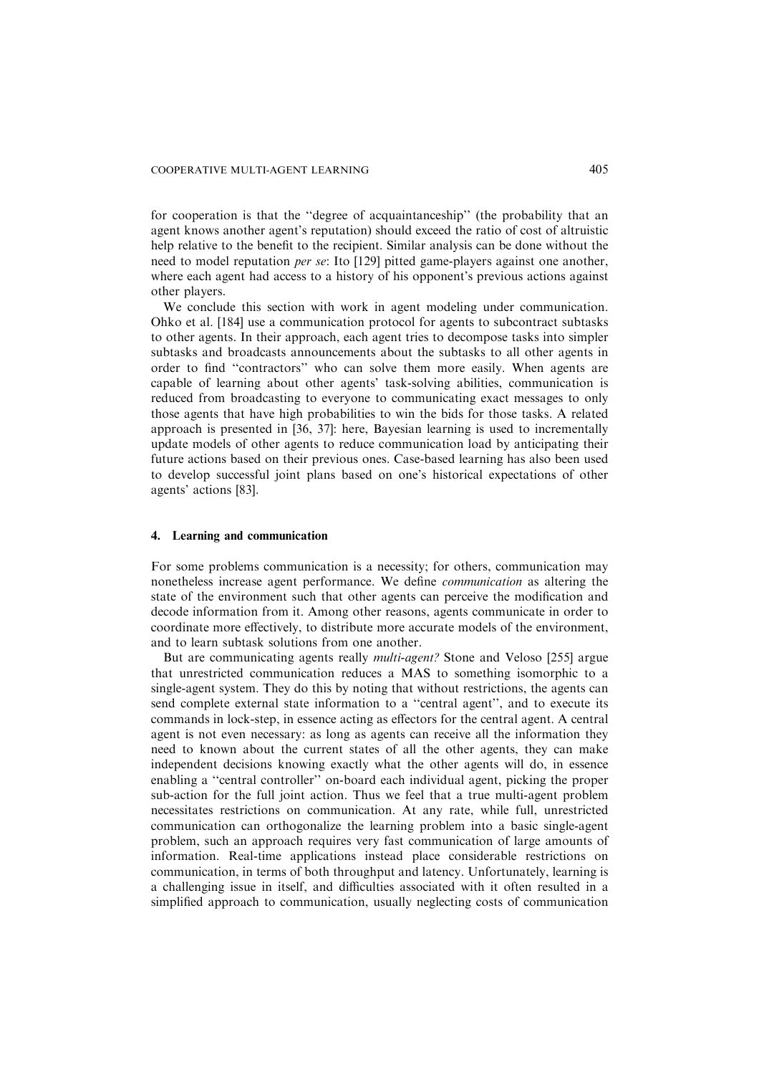for cooperation is that the ''degree of acquaintanceship'' (the probability that an agent knows another agent's reputation) should exceed the ratio of cost of altruistic help relative to the benefit to the recipient. Similar analysis can be done without the need to model reputation per se: Ito [129] pitted game-players against one another, where each agent had access to a history of his opponent's previous actions against other players.

We conclude this section with work in agent modeling under communication. Ohko et al. [184] use a communication protocol for agents to subcontract subtasks to other agents. In their approach, each agent tries to decompose tasks into simpler subtasks and broadcasts announcements about the subtasks to all other agents in order to find ''contractors'' who can solve them more easily. When agents are capable of learning about other agents' task-solving abilities, communication is reduced from broadcasting to everyone to communicating exact messages to only those agents that have high probabilities to win the bids for those tasks. A related approach is presented in [36, 37]: here, Bayesian learning is used to incrementally update models of other agents to reduce communication load by anticipating their future actions based on their previous ones. Case-based learning has also been used to develop successful joint plans based on one's historical expectations of other agents' actions [83].

## 4. Learning and communication

For some problems communication is a necessity; for others, communication may nonetheless increase agent performance. We define communication as altering the state of the environment such that other agents can perceive the modification and decode information from it. Among other reasons, agents communicate in order to coordinate more effectively, to distribute more accurate models of the environment, and to learn subtask solutions from one another.

But are communicating agents really multi-agent? Stone and Veloso [255] argue that unrestricted communication reduces a MAS to something isomorphic to a single-agent system. They do this by noting that without restrictions, the agents can send complete external state information to a ''central agent'', and to execute its commands in lock-step, in essence acting as effectors for the central agent. A central agent is not even necessary: as long as agents can receive all the information they need to known about the current states of all the other agents, they can make independent decisions knowing exactly what the other agents will do, in essence enabling a ''central controller'' on-board each individual agent, picking the proper sub-action for the full joint action. Thus we feel that a true multi-agent problem necessitates restrictions on communication. At any rate, while full, unrestricted communication can orthogonalize the learning problem into a basic single-agent problem, such an approach requires very fast communication of large amounts of information. Real-time applications instead place considerable restrictions on communication, in terms of both throughput and latency. Unfortunately, learning is a challenging issue in itself, and difficulties associated with it often resulted in a simplified approach to communication, usually neglecting costs of communication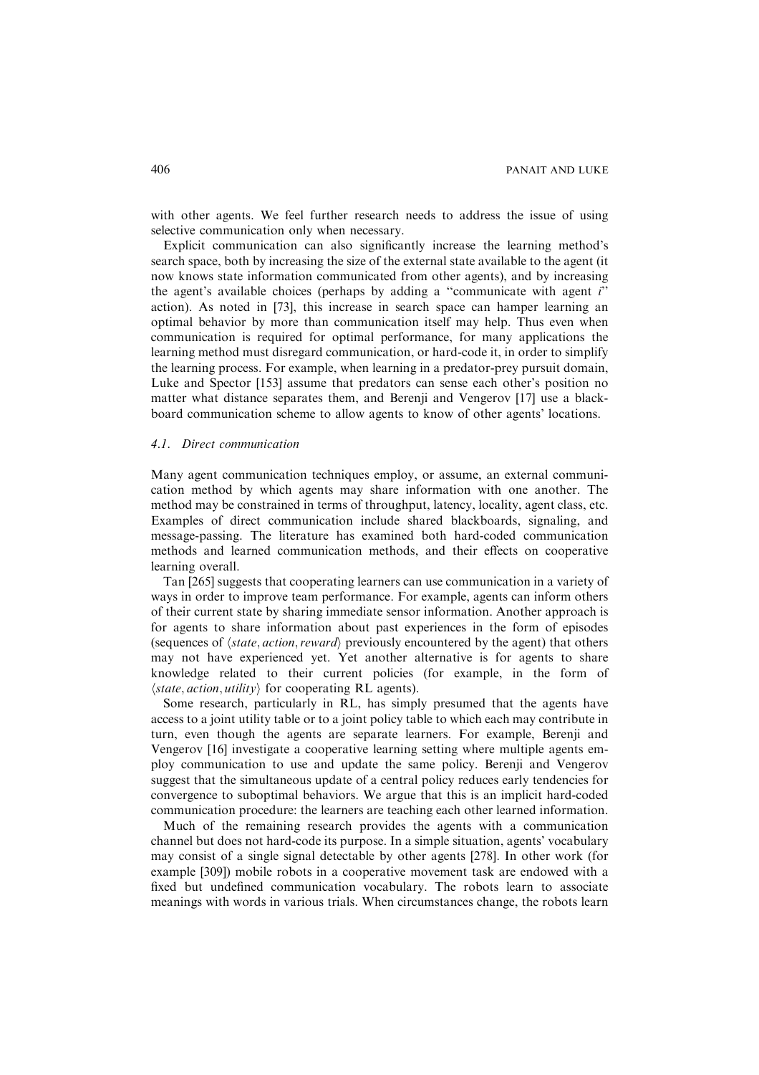with other agents. We feel further research needs to address the issue of using selective communication only when necessary.

Explicit communication can also significantly increase the learning method's search space, both by increasing the size of the external state available to the agent (it now knows state information communicated from other agents), and by increasing the agent's available choices (perhaps by adding a "communicate with agent  $i$ " action). As noted in [73], this increase in search space can hamper learning an optimal behavior by more than communication itself may help. Thus even when communication is required for optimal performance, for many applications the learning method must disregard communication, or hard-code it, in order to simplify the learning process. For example, when learning in a predator-prey pursuit domain, Luke and Spector [153] assume that predators can sense each other's position no matter what distance separates them, and Berenji and Vengerov [17] use a blackboard communication scheme to allow agents to know of other agents' locations.

#### 4.1. Direct communication

Many agent communication techniques employ, or assume, an external communication method by which agents may share information with one another. The method may be constrained in terms of throughput, latency, locality, agent class, etc. Examples of direct communication include shared blackboards, signaling, and message-passing. The literature has examined both hard-coded communication methods and learned communication methods, and their effects on cooperative learning overall.

Tan [265] suggests that cooperating learners can use communication in a variety of ways in order to improve team performance. For example, agents can inform others of their current state by sharing immediate sensor information. Another approach is for agents to share information about past experiences in the form of episodes (sequences of  $\langle state, action, reward \rangle$  previously encountered by the agent) that others may not have experienced yet. Yet another alternative is for agents to share knowledge related to their current policies (for example, in the form of  $\langle state, action, utility \rangle$  for cooperating RL agents).

Some research, particularly in RL, has simply presumed that the agents have access to a joint utility table or to a joint policy table to which each may contribute in turn, even though the agents are separate learners. For example, Berenji and Vengerov [16] investigate a cooperative learning setting where multiple agents employ communication to use and update the same policy. Berenji and Vengerov suggest that the simultaneous update of a central policy reduces early tendencies for convergence to suboptimal behaviors. We argue that this is an implicit hard-coded communication procedure: the learners are teaching each other learned information.

Much of the remaining research provides the agents with a communication channel but does not hard-code its purpose. In a simple situation, agents' vocabulary may consist of a single signal detectable by other agents [278]. In other work (for example [309]) mobile robots in a cooperative movement task are endowed with a fixed but undefined communication vocabulary. The robots learn to associate meanings with words in various trials. When circumstances change, the robots learn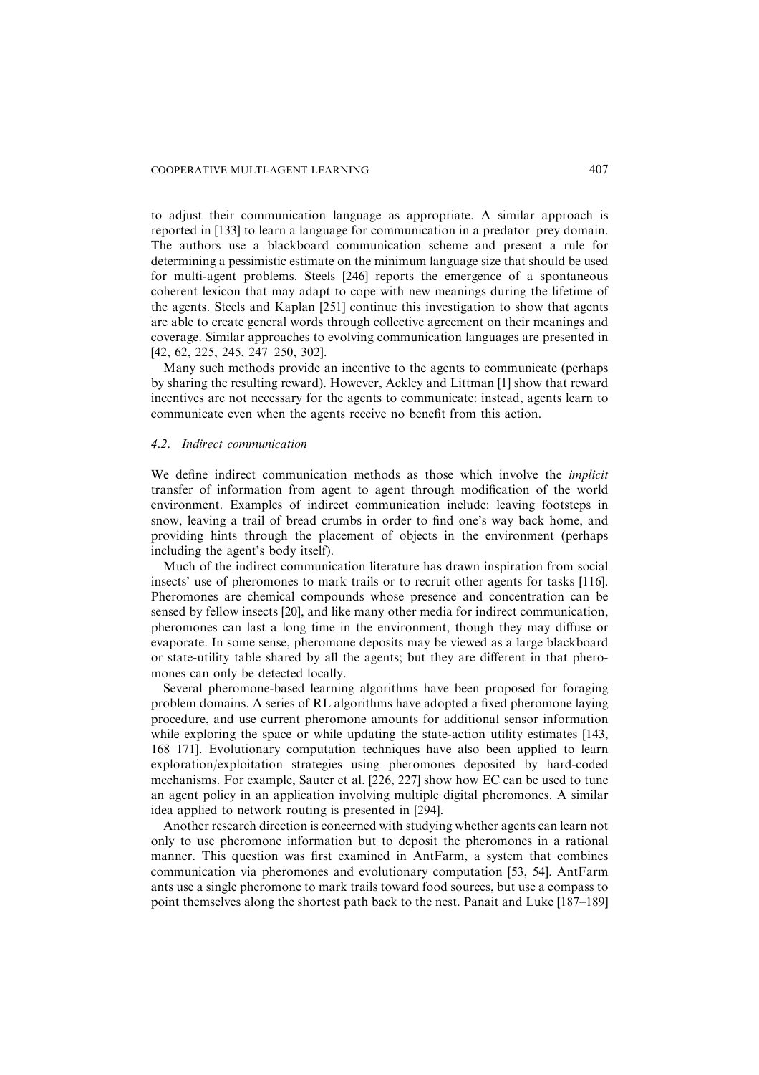to adjust their communication language as appropriate. A similar approach is reported in [133] to learn a language for communication in a predator–prey domain. The authors use a blackboard communication scheme and present a rule for determining a pessimistic estimate on the minimum language size that should be used for multi-agent problems. Steels [246] reports the emergence of a spontaneous coherent lexicon that may adapt to cope with new meanings during the lifetime of the agents. Steels and Kaplan [251] continue this investigation to show that agents are able to create general words through collective agreement on their meanings and coverage. Similar approaches to evolving communication languages are presented in [42, 62, 225, 245, 247–250, 302].

Many such methods provide an incentive to the agents to communicate (perhaps by sharing the resulting reward). However, Ackley and Littman [1] show that reward incentives are not necessary for the agents to communicate: instead, agents learn to communicate even when the agents receive no benefit from this action.

#### 4.2. Indirect communication

We define indirect communication methods as those which involve the implicit transfer of information from agent to agent through modification of the world environment. Examples of indirect communication include: leaving footsteps in snow, leaving a trail of bread crumbs in order to find one's way back home, and providing hints through the placement of objects in the environment (perhaps including the agent's body itself).

Much of the indirect communication literature has drawn inspiration from social insects' use of pheromones to mark trails or to recruit other agents for tasks [116]. Pheromones are chemical compounds whose presence and concentration can be sensed by fellow insects [20], and like many other media for indirect communication, pheromones can last a long time in the environment, though they may diffuse or evaporate. In some sense, pheromone deposits may be viewed as a large blackboard or state-utility table shared by all the agents; but they are different in that pheromones can only be detected locally.

Several pheromone-based learning algorithms have been proposed for foraging problem domains. A series of RL algorithms have adopted a fixed pheromone laying procedure, and use current pheromone amounts for additional sensor information while exploring the space or while updating the state-action utility estimates [143, 168–171]. Evolutionary computation techniques have also been applied to learn exploration/exploitation strategies using pheromones deposited by hard-coded mechanisms. For example, Sauter et al. [226, 227] show how EC can be used to tune an agent policy in an application involving multiple digital pheromones. A similar idea applied to network routing is presented in [294].

Another research direction is concerned with studying whether agents can learn not only to use pheromone information but to deposit the pheromones in a rational manner. This question was first examined in AntFarm, a system that combines communication via pheromones and evolutionary computation [53, 54]. AntFarm ants use a single pheromone to mark trails toward food sources, but use a compass to point themselves along the shortest path back to the nest. Panait and Luke [187–189]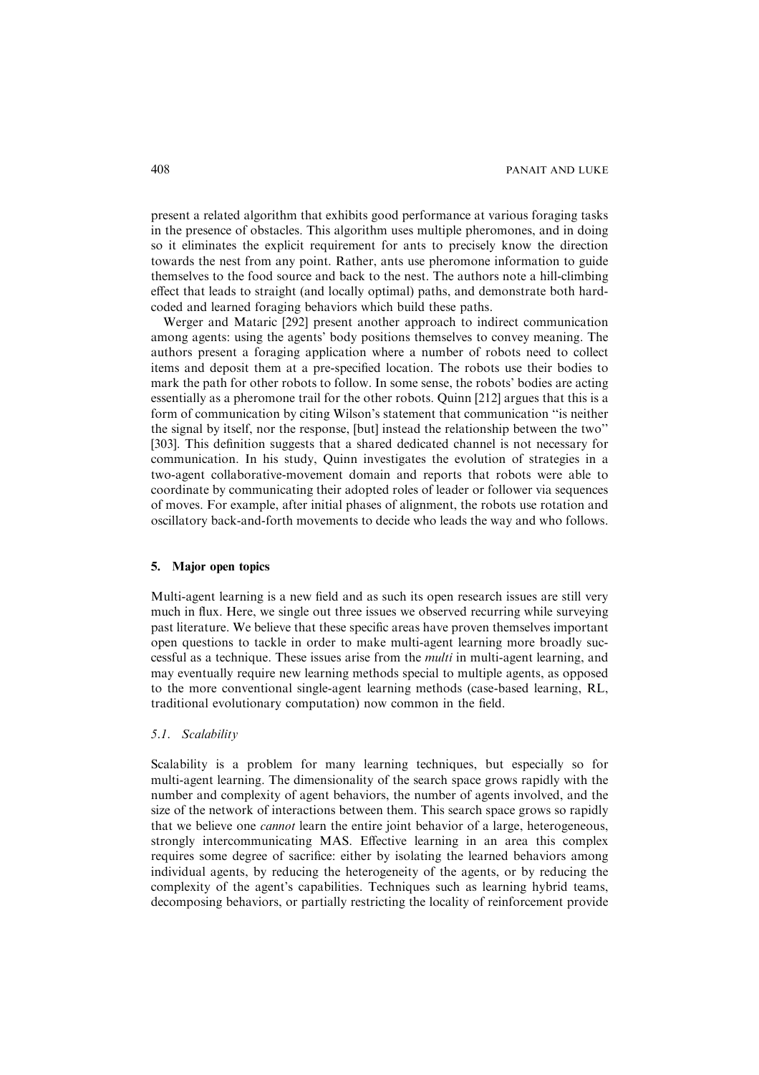present a related algorithm that exhibits good performance at various foraging tasks in the presence of obstacles. This algorithm uses multiple pheromones, and in doing so it eliminates the explicit requirement for ants to precisely know the direction towards the nest from any point. Rather, ants use pheromone information to guide themselves to the food source and back to the nest. The authors note a hill-climbing effect that leads to straight (and locally optimal) paths, and demonstrate both hardcoded and learned foraging behaviors which build these paths.

Werger and Mataric [292] present another approach to indirect communication among agents: using the agents' body positions themselves to convey meaning. The authors present a foraging application where a number of robots need to collect items and deposit them at a pre-specified location. The robots use their bodies to mark the path for other robots to follow. In some sense, the robots' bodies are acting essentially as a pheromone trail for the other robots. Quinn [212] argues that this is a form of communication by citing Wilson's statement that communication ''is neither the signal by itself, nor the response, [but] instead the relationship between the two'' [303]. This definition suggests that a shared dedicated channel is not necessary for communication. In his study, Quinn investigates the evolution of strategies in a two-agent collaborative-movement domain and reports that robots were able to coordinate by communicating their adopted roles of leader or follower via sequences of moves. For example, after initial phases of alignment, the robots use rotation and oscillatory back-and-forth movements to decide who leads the way and who follows.

## 5. Major open topics

Multi-agent learning is a new field and as such its open research issues are still very much in flux. Here, we single out three issues we observed recurring while surveying past literature. We believe that these specific areas have proven themselves important open questions to tackle in order to make multi-agent learning more broadly successful as a technique. These issues arise from the multi in multi-agent learning, and may eventually require new learning methods special to multiple agents, as opposed to the more conventional single-agent learning methods (case-based learning, RL, traditional evolutionary computation) now common in the field.

#### 5.1. Scalability

Scalability is a problem for many learning techniques, but especially so for multi-agent learning. The dimensionality of the search space grows rapidly with the number and complexity of agent behaviors, the number of agents involved, and the size of the network of interactions between them. This search space grows so rapidly that we believe one cannot learn the entire joint behavior of a large, heterogeneous, strongly intercommunicating MAS. Effective learning in an area this complex requires some degree of sacrifice: either by isolating the learned behaviors among individual agents, by reducing the heterogeneity of the agents, or by reducing the complexity of the agent's capabilities. Techniques such as learning hybrid teams, decomposing behaviors, or partially restricting the locality of reinforcement provide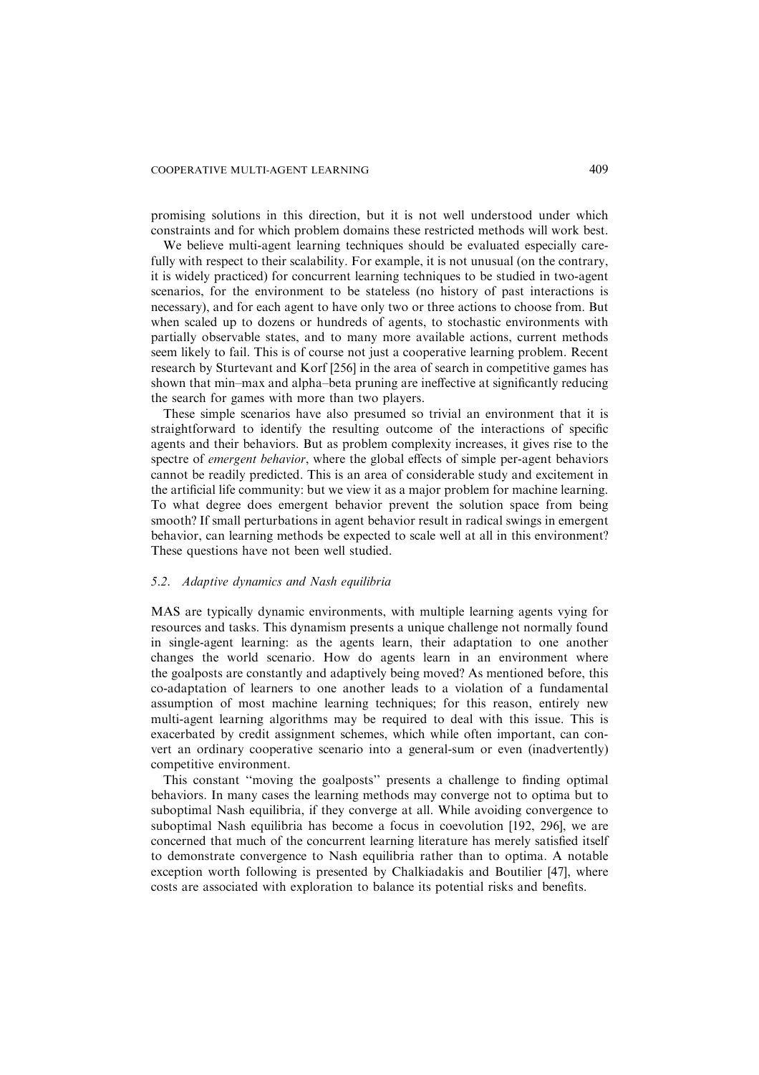promising solutions in this direction, but it is not well understood under which constraints and for which problem domains these restricted methods will work best.

We believe multi-agent learning techniques should be evaluated especially carefully with respect to their scalability. For example, it is not unusual (on the contrary, it is widely practiced) for concurrent learning techniques to be studied in two-agent scenarios, for the environment to be stateless (no history of past interactions is necessary), and for each agent to have only two or three actions to choose from. But when scaled up to dozens or hundreds of agents, to stochastic environments with partially observable states, and to many more available actions, current methods seem likely to fail. This is of course not just a cooperative learning problem. Recent research by Sturtevant and Korf [256] in the area of search in competitive games has shown that min–max and alpha–beta pruning are ineffective at significantly reducing the search for games with more than two players.

These simple scenarios have also presumed so trivial an environment that it is straightforward to identify the resulting outcome of the interactions of specific agents and their behaviors. But as problem complexity increases, it gives rise to the spectre of emergent behavior, where the global effects of simple per-agent behaviors cannot be readily predicted. This is an area of considerable study and excitement in the artificial life community: but we view it as a major problem for machine learning. To what degree does emergent behavior prevent the solution space from being smooth? If small perturbations in agent behavior result in radical swings in emergent behavior, can learning methods be expected to scale well at all in this environment? These questions have not been well studied.

# 5.2. Adaptive dynamics and Nash equilibria

MAS are typically dynamic environments, with multiple learning agents vying for resources and tasks. This dynamism presents a unique challenge not normally found in single-agent learning: as the agents learn, their adaptation to one another changes the world scenario. How do agents learn in an environment where the goalposts are constantly and adaptively being moved? As mentioned before, this co-adaptation of learners to one another leads to a violation of a fundamental assumption of most machine learning techniques; for this reason, entirely new multi-agent learning algorithms may be required to deal with this issue. This is exacerbated by credit assignment schemes, which while often important, can convert an ordinary cooperative scenario into a general-sum or even (inadvertently) competitive environment.

This constant ''moving the goalposts'' presents a challenge to finding optimal behaviors. In many cases the learning methods may converge not to optima but to suboptimal Nash equilibria, if they converge at all. While avoiding convergence to suboptimal Nash equilibria has become a focus in coevolution [192, 296], we are concerned that much of the concurrent learning literature has merely satisfied itself to demonstrate convergence to Nash equilibria rather than to optima. A notable exception worth following is presented by Chalkiadakis and Boutilier [47], where costs are associated with exploration to balance its potential risks and benefits.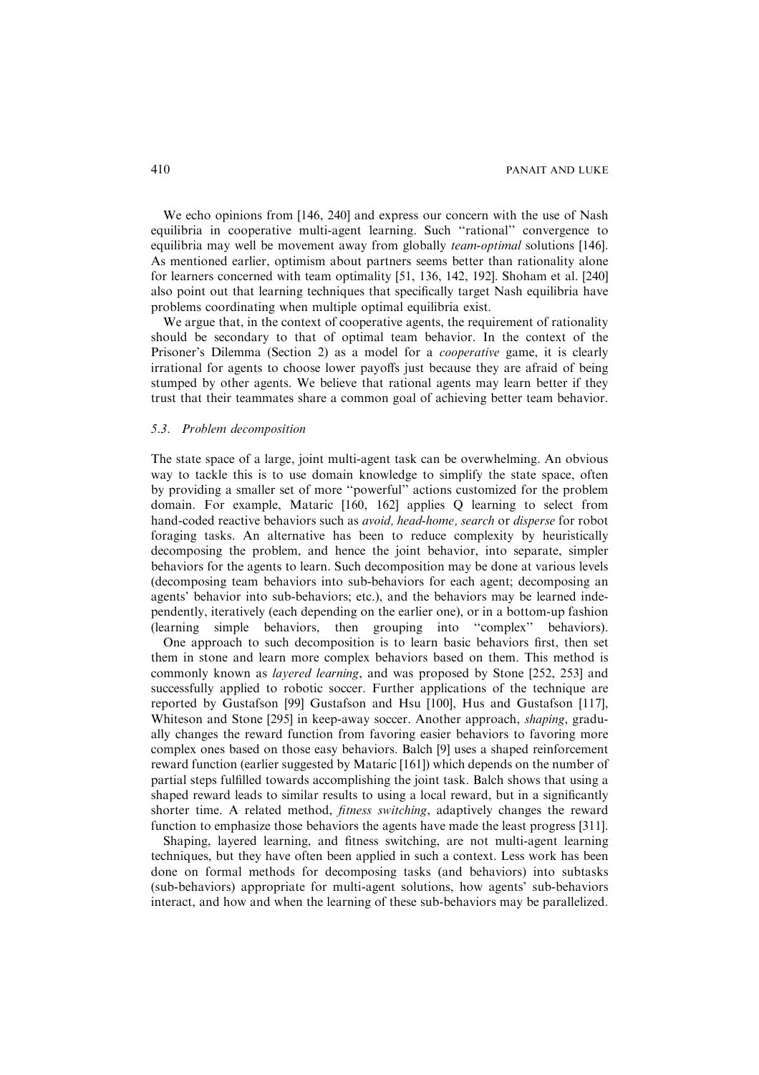We echo opinions from [146, 240] and express our concern with the use of Nash equilibria in cooperative multi-agent learning. Such ''rational'' convergence to equilibria may well be movement away from globally team-optimal solutions [146]. As mentioned earlier, optimism about partners seems better than rationality alone for learners concerned with team optimality [51, 136, 142, 192]. Shoham et al. [240] also point out that learning techniques that specifically target Nash equilibria have problems coordinating when multiple optimal equilibria exist.

We argue that, in the context of cooperative agents, the requirement of rationality should be secondary to that of optimal team behavior. In the context of the Prisoner's Dilemma (Section 2) as a model for a *cooperative* game, it is clearly irrational for agents to choose lower payoffs just because they are afraid of being stumped by other agents. We believe that rational agents may learn better if they trust that their teammates share a common goal of achieving better team behavior.

#### 5.3. Problem decomposition

The state space of a large, joint multi-agent task can be overwhelming. An obvious way to tackle this is to use domain knowledge to simplify the state space, often by providing a smaller set of more ''powerful'' actions customized for the problem domain. For example, Mataric [160, 162] applies Q learning to select from hand-coded reactive behaviors such as avoid, head-home, search or disperse for robot foraging tasks. An alternative has been to reduce complexity by heuristically decomposing the problem, and hence the joint behavior, into separate, simpler behaviors for the agents to learn. Such decomposition may be done at various levels (decomposing team behaviors into sub-behaviors for each agent; decomposing an agents' behavior into sub-behaviors; etc.), and the behaviors may be learned independently, iteratively (each depending on the earlier one), or in a bottom-up fashion (learning simple behaviors, then grouping into ''complex'' behaviors).

One approach to such decomposition is to learn basic behaviors first, then set them in stone and learn more complex behaviors based on them. This method is commonly known as layered learning, and was proposed by Stone [252, 253] and successfully applied to robotic soccer. Further applications of the technique are reported by Gustafson [99] Gustafson and Hsu [100], Hus and Gustafson [117], Whiteson and Stone [295] in keep-away soccer. Another approach, *shaping*, gradually changes the reward function from favoring easier behaviors to favoring more complex ones based on those easy behaviors. Balch [9] uses a shaped reinforcement reward function (earlier suggested by Mataric [161]) which depends on the number of partial steps fulfilled towards accomplishing the joint task. Balch shows that using a shaped reward leads to similar results to using a local reward, but in a significantly shorter time. A related method, fitness switching, adaptively changes the reward function to emphasize those behaviors the agents have made the least progress [311].

Shaping, layered learning, and fitness switching, are not multi-agent learning techniques, but they have often been applied in such a context. Less work has been done on formal methods for decomposing tasks (and behaviors) into subtasks (sub-behaviors) appropriate for multi-agent solutions, how agents' sub-behaviors interact, and how and when the learning of these sub-behaviors may be parallelized.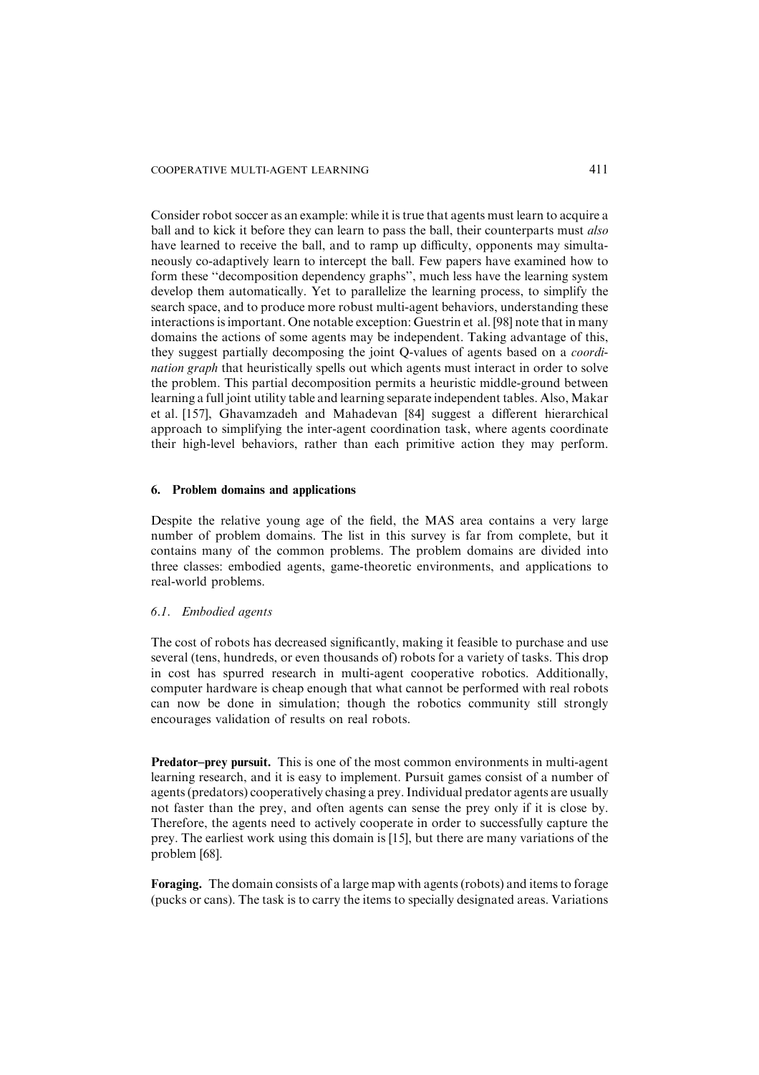Consider robot soccer as an example: while it is true that agents must learn to acquire a ball and to kick it before they can learn to pass the ball, their counterparts must *also* have learned to receive the ball, and to ramp up difficulty, opponents may simultaneously co-adaptively learn to intercept the ball. Few papers have examined how to form these ''decomposition dependency graphs'', much less have the learning system develop them automatically. Yet to parallelize the learning process, to simplify the search space, and to produce more robust multi-agent behaviors, understanding these interactions is important. One notable exception: Guestrin et al. [98] note that in many domains the actions of some agents may be independent. Taking advantage of this, they suggest partially decomposing the joint Q-values of agents based on a coordination graph that heuristically spells out which agents must interact in order to solve the problem. This partial decomposition permits a heuristic middle-ground between learning a full joint utility table and learning separate independent tables. Also, Makar et al. [157], Ghavamzadeh and Mahadevan [84] suggest a different hierarchical approach to simplifying the inter-agent coordination task, where agents coordinate their high-level behaviors, rather than each primitive action they may perform.

## 6. Problem domains and applications

Despite the relative young age of the field, the MAS area contains a very large number of problem domains. The list in this survey is far from complete, but it contains many of the common problems. The problem domains are divided into three classes: embodied agents, game-theoretic environments, and applications to real-world problems.

#### 6.1. Embodied agents

The cost of robots has decreased significantly, making it feasible to purchase and use several (tens, hundreds, or even thousands of) robots for a variety of tasks. This drop in cost has spurred research in multi-agent cooperative robotics. Additionally, computer hardware is cheap enough that what cannot be performed with real robots can now be done in simulation; though the robotics community still strongly encourages validation of results on real robots.

Predator–prey pursuit. This is one of the most common environments in multi-agent learning research, and it is easy to implement. Pursuit games consist of a number of agents (predators) cooperatively chasing a prey. Individual predator agents are usually not faster than the prey, and often agents can sense the prey only if it is close by. Therefore, the agents need to actively cooperate in order to successfully capture the prey. The earliest work using this domain is [15], but there are many variations of the problem [68].

Foraging. The domain consists of a large map with agents (robots) and items to forage (pucks or cans). The task is to carry the items to specially designated areas. Variations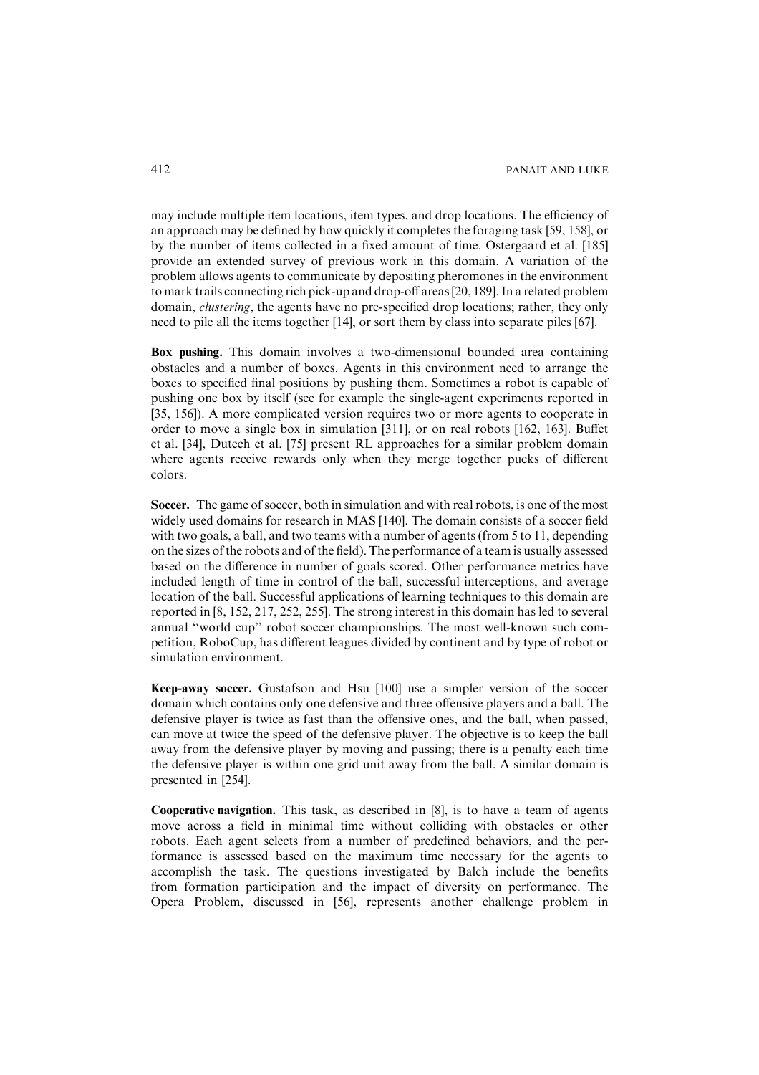may include multiple item locations, item types, and drop locations. The efficiency of an approach may be defined by how quickly it completes the foraging task [59, 158], or by the number of items collected in a fixed amount of time. Ostergaard et al. [185] provide an extended survey of previous work in this domain. A variation of the problem allows agents to communicate by depositing pheromones in the environment to mark trails connecting rich pick-up and drop-off areas [20, 189]. In a related problem domain, clustering, the agents have no pre-specified drop locations; rather, they only need to pile all the items together [14], or sort them by class into separate piles [67].

Box pushing. This domain involves a two-dimensional bounded area containing obstacles and a number of boxes. Agents in this environment need to arrange the boxes to specified final positions by pushing them. Sometimes a robot is capable of pushing one box by itself (see for example the single-agent experiments reported in [35, 156]). A more complicated version requires two or more agents to cooperate in order to move a single box in simulation [311], or on real robots [162, 163]. Buffet et al. [34], Dutech et al. [75] present RL approaches for a similar problem domain where agents receive rewards only when they merge together pucks of different colors.

Soccer. The game of soccer, both in simulation and with real robots, is one of the most widely used domains for research in MAS [140]. The domain consists of a soccer field with two goals, a ball, and two teams with a number of agents (from 5 to 11, depending on the sizes of the robots and of the field). The performance of a team is usually assessed based on the difference in number of goals scored. Other performance metrics have included length of time in control of the ball, successful interceptions, and average location of the ball. Successful applications of learning techniques to this domain are reported in [8, 152, 217, 252, 255]. The strong interest in this domain has led to several annual ''world cup'' robot soccer championships. The most well-known such competition, RoboCup, has different leagues divided by continent and by type of robot or simulation environment.

Keep-away soccer. Gustafson and Hsu [100] use a simpler version of the soccer domain which contains only one defensive and three offensive players and a ball. The defensive player is twice as fast than the offensive ones, and the ball, when passed, can move at twice the speed of the defensive player. The objective is to keep the ball away from the defensive player by moving and passing; there is a penalty each time the defensive player is within one grid unit away from the ball. A similar domain is presented in [254].

Cooperative navigation. This task, as described in [8], is to have a team of agents move across a field in minimal time without colliding with obstacles or other robots. Each agent selects from a number of predefined behaviors, and the performance is assessed based on the maximum time necessary for the agents to accomplish the task. The questions investigated by Balch include the benefits from formation participation and the impact of diversity on performance. The Opera Problem, discussed in [56], represents another challenge problem in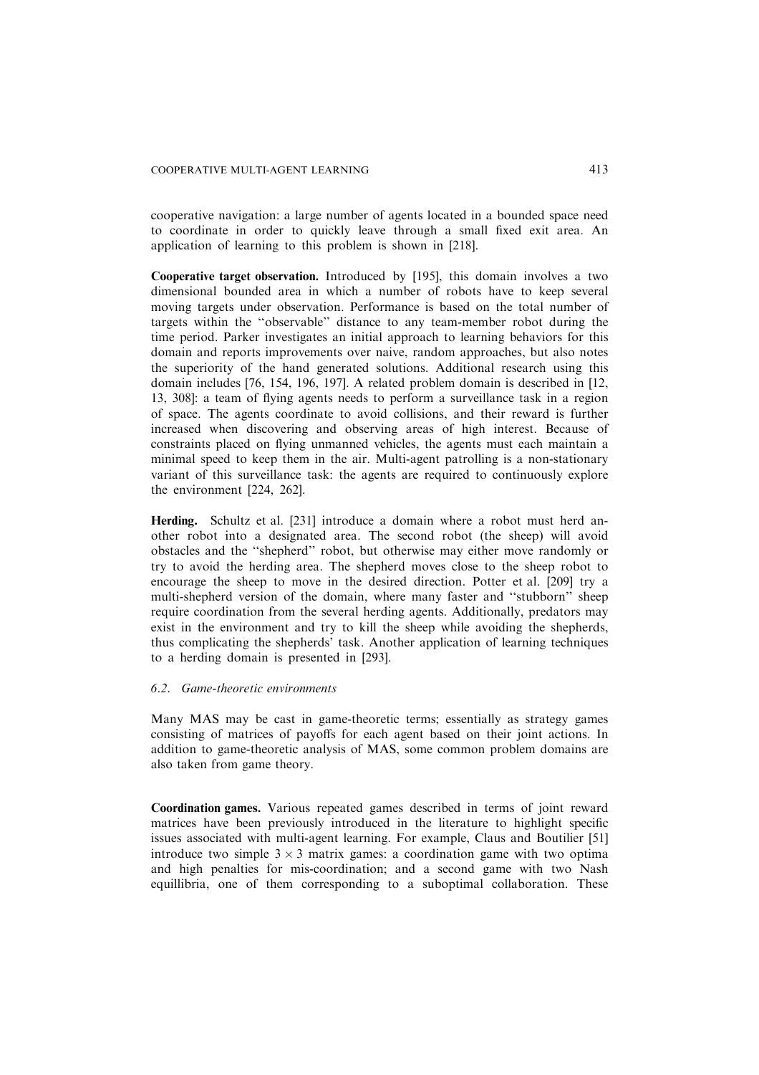cooperative navigation: a large number of agents located in a bounded space need to coordinate in order to quickly leave through a small fixed exit area. An application of learning to this problem is shown in [218].

Cooperative target observation. Introduced by [195], this domain involves a two dimensional bounded area in which a number of robots have to keep several moving targets under observation. Performance is based on the total number of targets within the ''observable'' distance to any team-member robot during the time period. Parker investigates an initial approach to learning behaviors for this domain and reports improvements over naive, random approaches, but also notes the superiority of the hand generated solutions. Additional research using this domain includes [76, 154, 196, 197]. A related problem domain is described in [12, 13, 308]: a team of flying agents needs to perform a surveillance task in a region of space. The agents coordinate to avoid collisions, and their reward is further increased when discovering and observing areas of high interest. Because of constraints placed on flying unmanned vehicles, the agents must each maintain a minimal speed to keep them in the air. Multi-agent patrolling is a non-stationary variant of this surveillance task: the agents are required to continuously explore the environment [224, 262].

Herding. Schultz et al. [231] introduce a domain where a robot must herd another robot into a designated area. The second robot (the sheep) will avoid obstacles and the ''shepherd'' robot, but otherwise may either move randomly or try to avoid the herding area. The shepherd moves close to the sheep robot to encourage the sheep to move in the desired direction. Potter et al. [209] try a multi-shepherd version of the domain, where many faster and ''stubborn'' sheep require coordination from the several herding agents. Additionally, predators may exist in the environment and try to kill the sheep while avoiding the shepherds, thus complicating the shepherds' task. Another application of learning techniques to a herding domain is presented in [293].

#### 6.2. Game-theoretic environments

Many MAS may be cast in game-theoretic terms; essentially as strategy games consisting of matrices of payoffs for each agent based on their joint actions. In addition to game-theoretic analysis of MAS, some common problem domains are also taken from game theory.

Coordination games. Various repeated games described in terms of joint reward matrices have been previously introduced in the literature to highlight specific issues associated with multi-agent learning. For example, Claus and Boutilier [51] introduce two simple  $3 \times 3$  matrix games: a coordination game with two optima and high penalties for mis-coordination; and a second game with two Nash equillibria, one of them corresponding to a suboptimal collaboration. These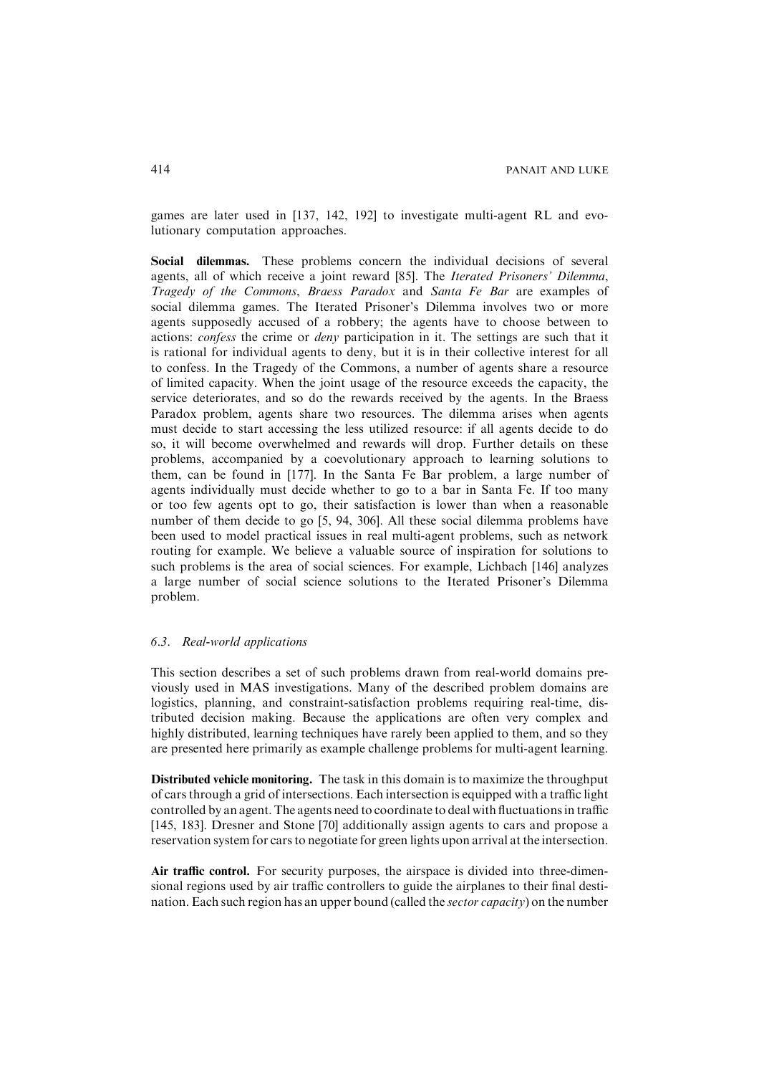games are later used in [137, 142, 192] to investigate multi-agent RL and evolutionary computation approaches.

Social dilemmas. These problems concern the individual decisions of several agents, all of which receive a joint reward [85]. The Iterated Prisoners' Dilemma, Tragedy of the Commons, Braess Paradox and Santa Fe Bar are examples of social dilemma games. The Iterated Prisoner's Dilemma involves two or more agents supposedly accused of a robbery; the agents have to choose between to actions: confess the crime or deny participation in it. The settings are such that it is rational for individual agents to deny, but it is in their collective interest for all to confess. In the Tragedy of the Commons, a number of agents share a resource of limited capacity. When the joint usage of the resource exceeds the capacity, the service deteriorates, and so do the rewards received by the agents. In the Braess Paradox problem, agents share two resources. The dilemma arises when agents must decide to start accessing the less utilized resource: if all agents decide to do so, it will become overwhelmed and rewards will drop. Further details on these problems, accompanied by a coevolutionary approach to learning solutions to them, can be found in [177]. In the Santa Fe Bar problem, a large number of agents individually must decide whether to go to a bar in Santa Fe. If too many or too few agents opt to go, their satisfaction is lower than when a reasonable number of them decide to go [5, 94, 306]. All these social dilemma problems have been used to model practical issues in real multi-agent problems, such as network routing for example. We believe a valuable source of inspiration for solutions to such problems is the area of social sciences. For example, Lichbach [146] analyzes a large number of social science solutions to the Iterated Prisoner's Dilemma problem.

## 6.3. Real-world applications

This section describes a set of such problems drawn from real-world domains previously used in MAS investigations. Many of the described problem domains are logistics, planning, and constraint-satisfaction problems requiring real-time, distributed decision making. Because the applications are often very complex and highly distributed, learning techniques have rarely been applied to them, and so they are presented here primarily as example challenge problems for multi-agent learning.

Distributed vehicle monitoring. The task in this domain is to maximize the throughput of cars through a grid of intersections. Each intersection is equipped with a traffic light controlled by an agent. The agents need to coordinate to deal with fluctuations in traffic [145, 183]. Dresner and Stone [70] additionally assign agents to cars and propose a reservation system for cars to negotiate for green lights upon arrival at the intersection.

Air traffic control. For security purposes, the airspace is divided into three-dimensional regions used by air traffic controllers to guide the airplanes to their final destination. Each such region has an upper bound (called the *sector capacity*) on the number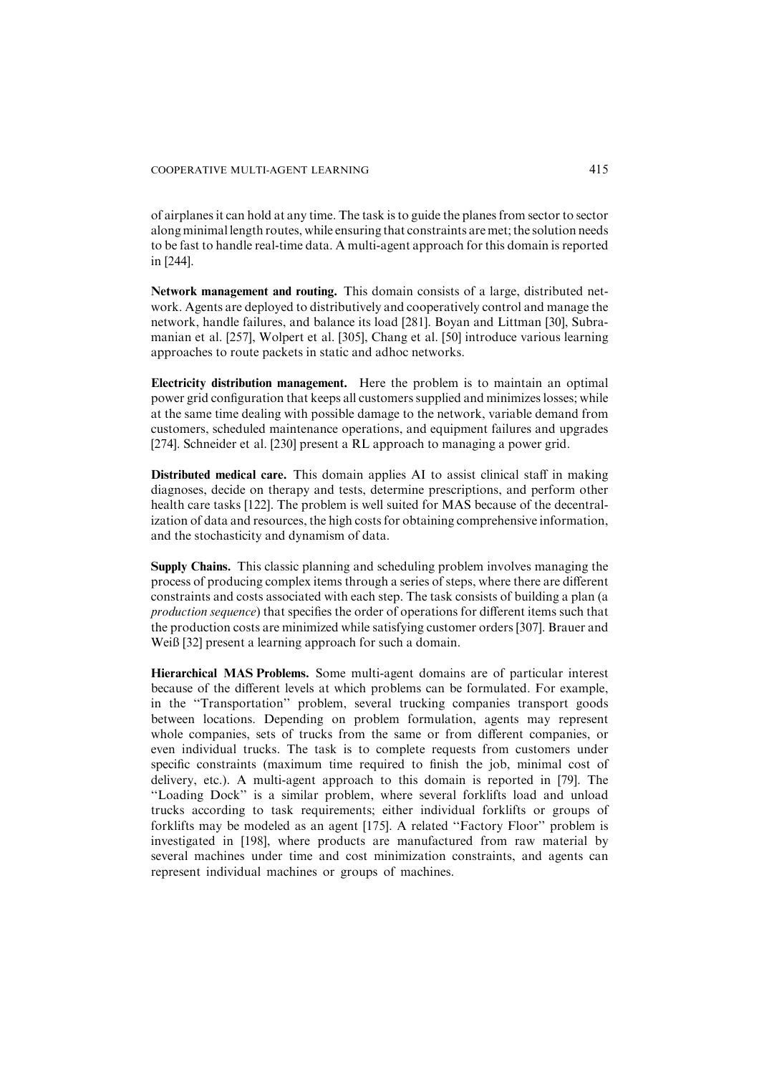of airplanes it can hold at any time. The task is to guide the planes from sector to sector along minimal length routes, while ensuring that constraints are met; the solution needs to be fast to handle real-time data. A multi-agent approach for this domain is reported in [244].

Network management and routing. This domain consists of a large, distributed network. Agents are deployed to distributively and cooperatively control and manage the network, handle failures, and balance its load [281]. Boyan and Littman [30], Subramanian et al. [257], Wolpert et al. [305], Chang et al. [50] introduce various learning approaches to route packets in static and adhoc networks.

Electricity distribution management. Here the problem is to maintain an optimal power grid configuration that keeps all customers supplied and minimizes losses; while at the same time dealing with possible damage to the network, variable demand from customers, scheduled maintenance operations, and equipment failures and upgrades [274]. Schneider et al. [230] present a RL approach to managing a power grid.

Distributed medical care. This domain applies AI to assist clinical staff in making diagnoses, decide on therapy and tests, determine prescriptions, and perform other health care tasks [122]. The problem is well suited for MAS because of the decentralization of data and resources, the high costs for obtaining comprehensive information, and the stochasticity and dynamism of data.

Supply Chains. This classic planning and scheduling problem involves managing the process of producing complex items through a series of steps, where there are different constraints and costs associated with each step. The task consists of building a plan (a production sequence) that specifies the order of operations for different items such that the production costs are minimized while satisfying customer orders [307]. Brauer and Weiß [32] present a learning approach for such a domain.

Hierarchical MAS Problems. Some multi-agent domains are of particular interest because of the different levels at which problems can be formulated. For example, in the ''Transportation'' problem, several trucking companies transport goods between locations. Depending on problem formulation, agents may represent whole companies, sets of trucks from the same or from different companies, or even individual trucks. The task is to complete requests from customers under specific constraints (maximum time required to finish the job, minimal cost of delivery, etc.). A multi-agent approach to this domain is reported in [79]. The ''Loading Dock'' is a similar problem, where several forklifts load and unload trucks according to task requirements; either individual forklifts or groups of forklifts may be modeled as an agent [175]. A related ''Factory Floor'' problem is investigated in [198], where products are manufactured from raw material by several machines under time and cost minimization constraints, and agents can represent individual machines or groups of machines.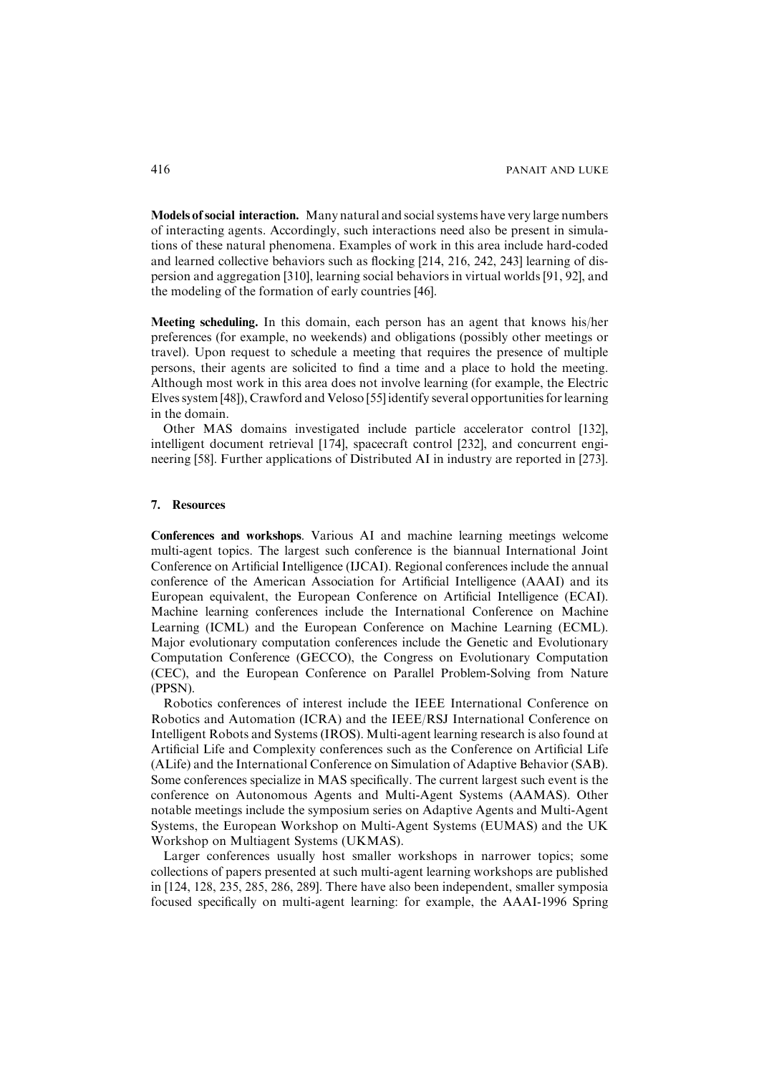Models of social interaction. Many natural and social systems have very large numbers of interacting agents. Accordingly, such interactions need also be present in simulations of these natural phenomena. Examples of work in this area include hard-coded and learned collective behaviors such as flocking [214, 216, 242, 243] learning of dispersion and aggregation [310], learning social behaviors in virtual worlds [91, 92], and the modeling of the formation of early countries [46].

Meeting scheduling. In this domain, each person has an agent that knows his/her preferences (for example, no weekends) and obligations (possibly other meetings or travel). Upon request to schedule a meeting that requires the presence of multiple persons, their agents are solicited to find a time and a place to hold the meeting. Although most work in this area does not involve learning (for example, the Electric Elves system [48]), Crawford and Veloso [55] identify several opportunities for learning in the domain.

Other MAS domains investigated include particle accelerator control [132], intelligent document retrieval [174], spacecraft control [232], and concurrent engineering [58]. Further applications of Distributed AI in industry are reported in [273].

#### 7. Resources

Conferences and workshops. Various AI and machine learning meetings welcome multi-agent topics. The largest such conference is the biannual International Joint Conference on Artificial Intelligence (IJCAI). Regional conferences include the annual conference of the American Association for Artificial Intelligence (AAAI) and its European equivalent, the European Conference on Artificial Intelligence (ECAI). Machine learning conferences include the International Conference on Machine Learning (ICML) and the European Conference on Machine Learning (ECML). Major evolutionary computation conferences include the Genetic and Evolutionary Computation Conference (GECCO), the Congress on Evolutionary Computation (CEC), and the European Conference on Parallel Problem-Solving from Nature (PPSN).

Robotics conferences of interest include the IEEE International Conference on Robotics and Automation (ICRA) and the IEEE/RSJ International Conference on Intelligent Robots and Systems (IROS). Multi-agent learning research is also found at Artificial Life and Complexity conferences such as the Conference on Artificial Life (ALife) and the International Conference on Simulation of Adaptive Behavior (SAB). Some conferences specialize in MAS specifically. The current largest such event is the conference on Autonomous Agents and Multi-Agent Systems (AAMAS). Other notable meetings include the symposium series on Adaptive Agents and Multi-Agent Systems, the European Workshop on Multi-Agent Systems (EUMAS) and the UK Workshop on Multiagent Systems (UKMAS).

Larger conferences usually host smaller workshops in narrower topics; some collections of papers presented at such multi-agent learning workshops are published in [124, 128, 235, 285, 286, 289]. There have also been independent, smaller symposia focused specifically on multi-agent learning: for example, the AAAI-1996 Spring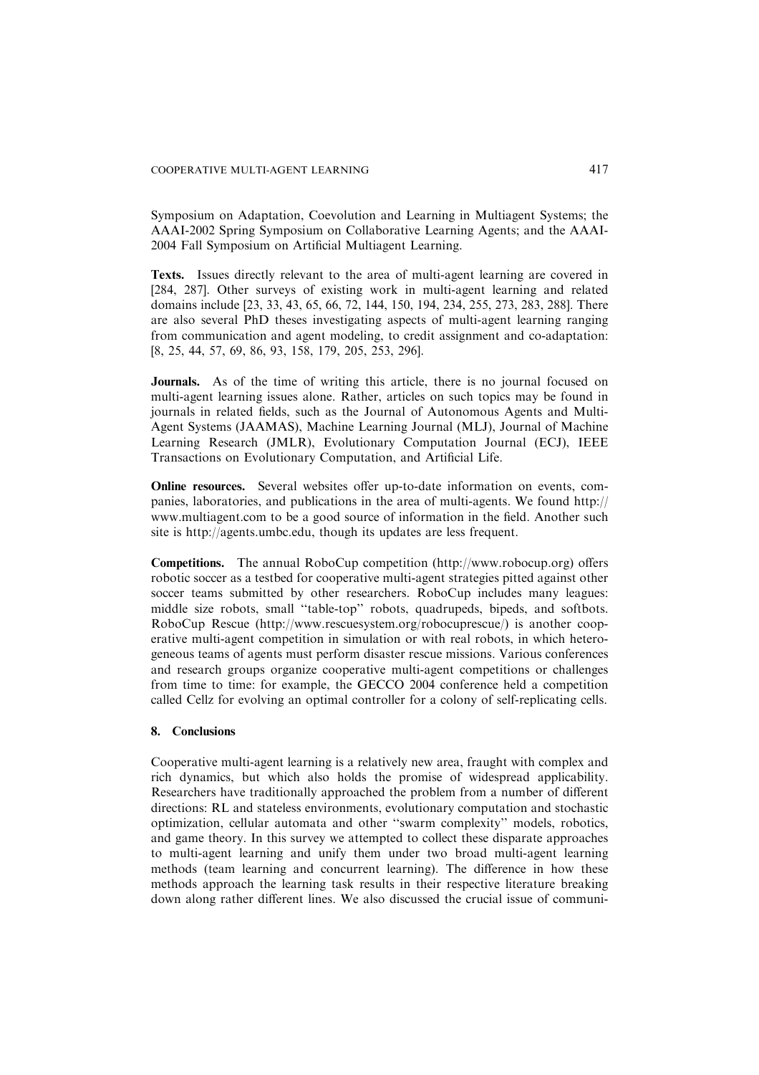Symposium on Adaptation, Coevolution and Learning in Multiagent Systems; the AAAI-2002 Spring Symposium on Collaborative Learning Agents; and the AAAI-2004 Fall Symposium on Artificial Multiagent Learning.

Texts. Issues directly relevant to the area of multi-agent learning are covered in [284, 287]. Other surveys of existing work in multi-agent learning and related domains include [23, 33, 43, 65, 66, 72, 144, 150, 194, 234, 255, 273, 283, 288]. There are also several PhD theses investigating aspects of multi-agent learning ranging from communication and agent modeling, to credit assignment and co-adaptation: [8, 25, 44, 57, 69, 86, 93, 158, 179, 205, 253, 296].

Journals. As of the time of writing this article, there is no journal focused on multi-agent learning issues alone. Rather, articles on such topics may be found in journals in related fields, such as the Journal of Autonomous Agents and Multi-Agent Systems (JAAMAS), Machine Learning Journal (MLJ), Journal of Machine Learning Research (JMLR), Evolutionary Computation Journal (ECJ), IEEE Transactions on Evolutionary Computation, and Artificial Life.

Online resources. Several websites offer up-to-date information on events, companies, laboratories, and publications in the area of multi-agents. We found http:// www.multiagent.com to be a good source of information in the field. Another such site is http://agents.umbc.edu, though its updates are less frequent.

Competitions. The annual RoboCup competition (http://www.robocup.org) offers robotic soccer as a testbed for cooperative multi-agent strategies pitted against other soccer teams submitted by other researchers. RoboCup includes many leagues: middle size robots, small ''table-top'' robots, quadrupeds, bipeds, and softbots. RoboCup Rescue (http://www.rescuesystem.org/robocuprescue/) is another cooperative multi-agent competition in simulation or with real robots, in which heterogeneous teams of agents must perform disaster rescue missions. Various conferences and research groups organize cooperative multi-agent competitions or challenges from time to time: for example, the GECCO 2004 conference held a competition called Cellz for evolving an optimal controller for a colony of self-replicating cells.

# 8. Conclusions

Cooperative multi-agent learning is a relatively new area, fraught with complex and rich dynamics, but which also holds the promise of widespread applicability. Researchers have traditionally approached the problem from a number of different directions: RL and stateless environments, evolutionary computation and stochastic optimization, cellular automata and other ''swarm complexity'' models, robotics, and game theory. In this survey we attempted to collect these disparate approaches to multi-agent learning and unify them under two broad multi-agent learning methods (team learning and concurrent learning). The difference in how these methods approach the learning task results in their respective literature breaking down along rather different lines. We also discussed the crucial issue of communi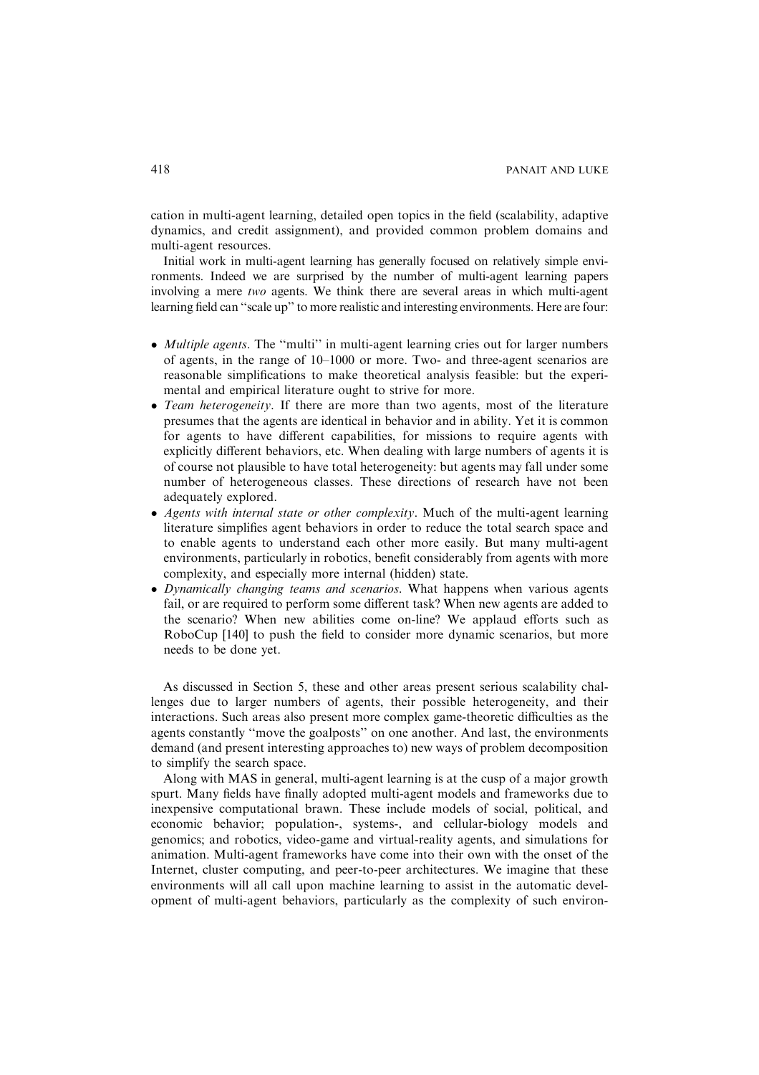cation in multi-agent learning, detailed open topics in the field (scalability, adaptive dynamics, and credit assignment), and provided common problem domains and multi-agent resources.

Initial work in multi-agent learning has generally focused on relatively simple environments. Indeed we are surprised by the number of multi-agent learning papers involving a mere two agents. We think there are several areas in which multi-agent learning field can ''scale up'' to more realistic and interesting environments. Here are four:

- Multiple agents. The "multi" in multi-agent learning cries out for larger numbers of agents, in the range of 10–1000 or more. Two- and three-agent scenarios are reasonable simplifications to make theoretical analysis feasible: but the experimental and empirical literature ought to strive for more.
- Team heterogeneity. If there are more than two agents, most of the literature presumes that the agents are identical in behavior and in ability. Yet it is common for agents to have different capabilities, for missions to require agents with explicitly different behaviors, etc. When dealing with large numbers of agents it is of course not plausible to have total heterogeneity: but agents may fall under some number of heterogeneous classes. These directions of research have not been adequately explored.
- Agents with internal state or other complexity. Much of the multi-agent learning literature simplifies agent behaviors in order to reduce the total search space and to enable agents to understand each other more easily. But many multi-agent environments, particularly in robotics, benefit considerably from agents with more complexity, and especially more internal (hidden) state.
- Dynamically changing teams and scenarios. What happens when various agents fail, or are required to perform some different task? When new agents are added to the scenario? When new abilities come on-line? We applaud efforts such as RoboCup [140] to push the field to consider more dynamic scenarios, but more needs to be done yet.

As discussed in Section 5, these and other areas present serious scalability challenges due to larger numbers of agents, their possible heterogeneity, and their interactions. Such areas also present more complex game-theoretic difficulties as the agents constantly ''move the goalposts'' on one another. And last, the environments demand (and present interesting approaches to) new ways of problem decomposition to simplify the search space.

Along with MAS in general, multi-agent learning is at the cusp of a major growth spurt. Many fields have finally adopted multi-agent models and frameworks due to inexpensive computational brawn. These include models of social, political, and economic behavior; population-, systems-, and cellular-biology models and genomics; and robotics, video-game and virtual-reality agents, and simulations for animation. Multi-agent frameworks have come into their own with the onset of the Internet, cluster computing, and peer-to-peer architectures. We imagine that these environments will all call upon machine learning to assist in the automatic development of multi-agent behaviors, particularly as the complexity of such environ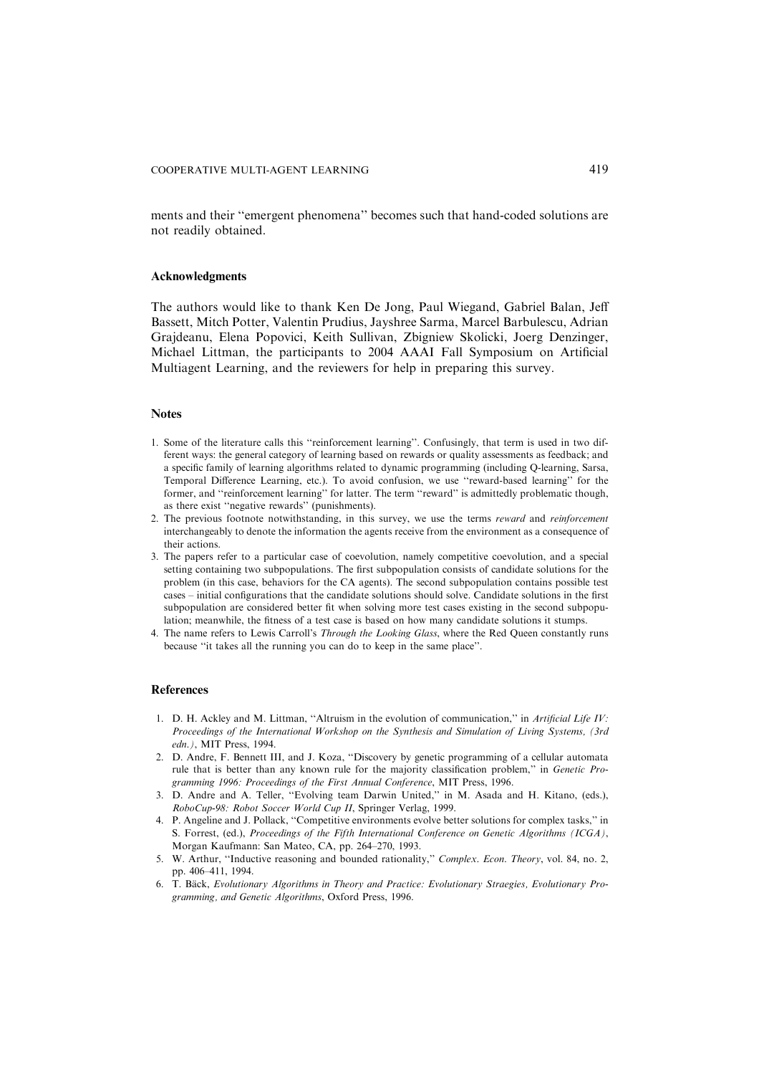ments and their ''emergent phenomena'' becomes such that hand-coded solutions are not readily obtained.

#### Acknowledgments

The authors would like to thank Ken De Jong, Paul Wiegand, Gabriel Balan, Jeff Bassett, Mitch Potter, Valentin Prudius, Jayshree Sarma, Marcel Barbulescu, Adrian Grajdeanu, Elena Popovici, Keith Sullivan, Zbigniew Skolicki, Joerg Denzinger, Michael Littman, the participants to 2004 AAAI Fall Symposium on Artificial Multiagent Learning, and the reviewers for help in preparing this survey.

# **Notes**

- 1. Some of the literature calls this ''reinforcement learning''. Confusingly, that term is used in two different ways: the general category of learning based on rewards or quality assessments as feedback; and a specific family of learning algorithms related to dynamic programming (including Q-learning, Sarsa, Temporal Difference Learning, etc.). To avoid confusion, we use ''reward-based learning'' for the former, and ''reinforcement learning'' for latter. The term ''reward'' is admittedly problematic though, as there exist ''negative rewards'' (punishments).
- 2. The previous footnote notwithstanding, in this survey, we use the terms reward and reinforcement interchangeably to denote the information the agents receive from the environment as a consequence of their actions.
- 3. The papers refer to a particular case of coevolution, namely competitive coevolution, and a special setting containing two subpopulations. The first subpopulation consists of candidate solutions for the problem (in this case, behaviors for the CA agents). The second subpopulation contains possible test cases – initial configurations that the candidate solutions should solve. Candidate solutions in the first subpopulation are considered better fit when solving more test cases existing in the second subpopulation; meanwhile, the fitness of a test case is based on how many candidate solutions it stumps.
- 4. The name refers to Lewis Carroll's Through the Looking Glass, where the Red Queen constantly runs because ''it takes all the running you can do to keep in the same place''.

#### **References**

- 1. D. H. Ackley and M. Littman, "Altruism in the evolution of communication," in Artificial Life IV: Proceedings of the International Workshop on the Synthesis and Simulation of Living Systems, (3rd edn.), MIT Press, 1994.
- 2. D. Andre, F. Bennett III, and J. Koza, ''Discovery by genetic programming of a cellular automata rule that is better than any known rule for the majority classification problem,'' in Genetic Programming 1996: Proceedings of the First Annual Conference, MIT Press, 1996.
- 3. D. Andre and A. Teller, ''Evolving team Darwin United,'' in M. Asada and H. Kitano, (eds.), RoboCup-98: Robot Soccer World Cup II, Springer Verlag, 1999.
- 4. P. Angeline and J. Pollack, ''Competitive environments evolve better solutions for complex tasks,'' in S. Forrest, (ed.), Proceedings of the Fifth International Conference on Genetic Algorithms (ICGA), Morgan Kaufmann: San Mateo, CA, pp. 264–270, 1993.
- 5. W. Arthur, ''Inductive reasoning and bounded rationality,'' Complex. Econ. Theory, vol. 84, no. 2, pp. 406–411, 1994.
- 6. T. Bäck, Evolutionary Algorithms in Theory and Practice: Evolutionary Straegies, Evolutionary Programming, and Genetic Algorithms, Oxford Press, 1996.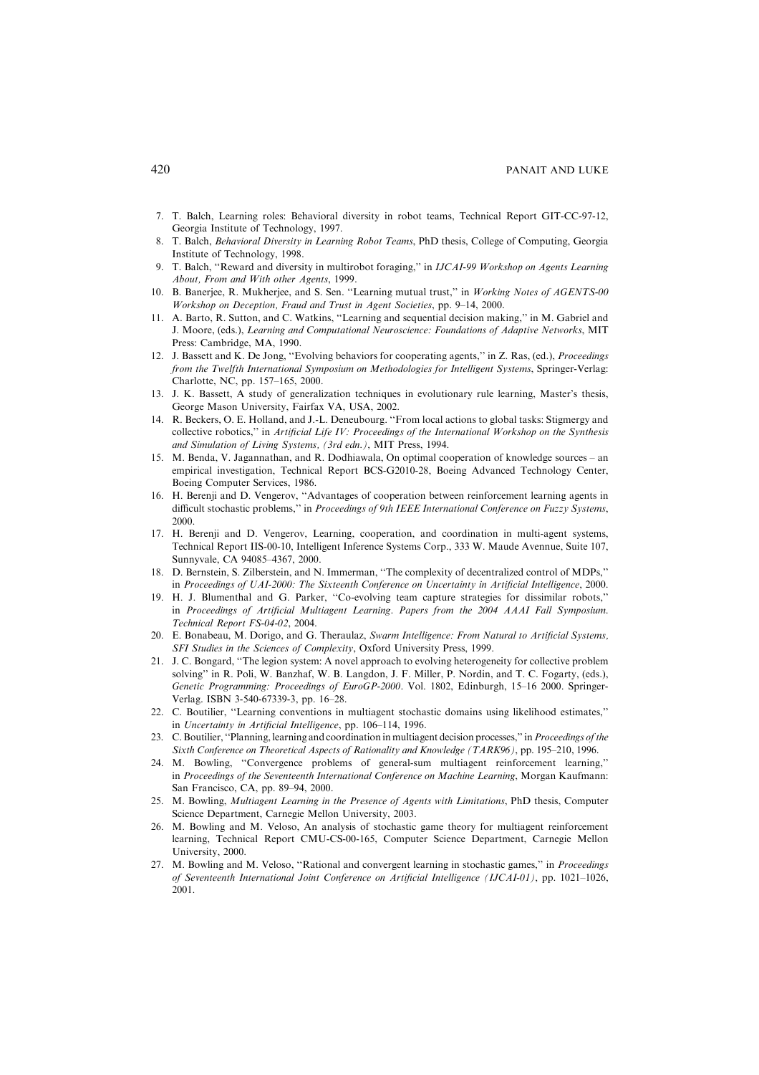- 7. T. Balch, Learning roles: Behavioral diversity in robot teams, Technical Report GIT-CC-97-12, Georgia Institute of Technology, 1997.
- 8. T. Balch, Behavioral Diversity in Learning Robot Teams, PhD thesis, College of Computing, Georgia Institute of Technology, 1998.
- 9. T. Balch, "Reward and diversity in multirobot foraging," in IJCAI-99 Workshop on Agents Learning About, From and With other Agents, 1999.
- 10. B. Banerjee, R. Mukherjee, and S. Sen. "Learning mutual trust," in Working Notes of AGENTS-00 Workshop on Deception, Fraud and Trust in Agent Societies, pp. 9–14, 2000.
- 11. A. Barto, R. Sutton, and C. Watkins, ''Learning and sequential decision making,'' in M. Gabriel and J. Moore, (eds.), Learning and Computational Neuroscience: Foundations of Adaptive Networks, MIT Press: Cambridge, MA, 1990.
- 12. J. Bassett and K. De Jong, ''Evolving behaviors for cooperating agents,'' in Z. Ras, (ed.), Proceedings from the Twelfth International Symposium on Methodologies for Intelligent Systems, Springer-Verlag: Charlotte, NC, pp. 157–165, 2000.
- 13. J. K. Bassett, A study of generalization techniques in evolutionary rule learning, Master's thesis, George Mason University, Fairfax VA, USA, 2002.
- 14. R. Beckers, O. E. Holland, and J.-L. Deneubourg. ''From local actions to global tasks: Stigmergy and collective robotics," in Artificial Life IV: Proceedings of the International Workshop on the Synthesis and Simulation of Living Systems, (3rd edn.), MIT Press, 1994.
- 15. M. Benda, V. Jagannathan, and R. Dodhiawala, On optimal cooperation of knowledge sources an empirical investigation, Technical Report BCS-G2010-28, Boeing Advanced Technology Center, Boeing Computer Services, 1986.
- 16. H. Berenji and D. Vengerov, ''Advantages of cooperation between reinforcement learning agents in difficult stochastic problems," in Proceedings of 9th IEEE International Conference on Fuzzy Systems, 2000.
- 17. H. Berenji and D. Vengerov, Learning, cooperation, and coordination in multi-agent systems, Technical Report IIS-00-10, Intelligent Inference Systems Corp., 333 W. Maude Avennue, Suite 107, Sunnyvale, CA 94085–4367, 2000.
- 18. D. Bernstein, S. Zilberstein, and N. Immerman, ''The complexity of decentralized control of MDPs,'' in Proceedings of UAI-2000: The Sixteenth Conference on Uncertainty in Artificial Intelligence, 2000.
- 19. H. J. Blumenthal and G. Parker, ''Co-evolving team capture strategies for dissimilar robots,'' in Proceedings of Artificial Multiagent Learning. Papers from the 2004 AAAI Fall Symposium. Technical Report FS-04-02, 2004.
- 20. E. Bonabeau, M. Dorigo, and G. Theraulaz, Swarm Intelligence: From Natural to Artificial Systems, SFI Studies in the Sciences of Complexity, Oxford University Press, 1999.
- 21. J. C. Bongard, ''The legion system: A novel approach to evolving heterogeneity for collective problem solving'' in R. Poli, W. Banzhaf, W. B. Langdon, J. F. Miller, P. Nordin, and T. C. Fogarty, (eds.), Genetic Programming: Proceedings of EuroGP-2000. Vol. 1802, Edinburgh, 15–16 2000. Springer-Verlag. ISBN 3-540-67339-3, pp. 16–28.
- 22. C. Boutilier, ''Learning conventions in multiagent stochastic domains using likelihood estimates,'' in Uncertainty in Artificial Intelligence, pp. 106–114, 1996.
- 23. C. Boutilier, "Planning, learning and coordination in multiagent decision processes," in Proceedings of the Sixth Conference on Theoretical Aspects of Rationality and Knowledge (TARK96), pp. 195–210, 1996.
- 24. M. Bowling, ''Convergence problems of general-sum multiagent reinforcement learning,'' in Proceedings of the Seventeenth International Conference on Machine Learning, Morgan Kaufmann: San Francisco, CA, pp. 89–94, 2000.
- 25. M. Bowling, Multiagent Learning in the Presence of Agents with Limitations, PhD thesis, Computer Science Department, Carnegie Mellon University, 2003.
- 26. M. Bowling and M. Veloso, An analysis of stochastic game theory for multiagent reinforcement learning, Technical Report CMU-CS-00-165, Computer Science Department, Carnegie Mellon University, 2000.
- 27. M. Bowling and M. Veloso, ''Rational and convergent learning in stochastic games,'' in Proceedings of Seventeenth International Joint Conference on Artificial Intelligence (IJCAI-01), pp. 1021–1026, 2001.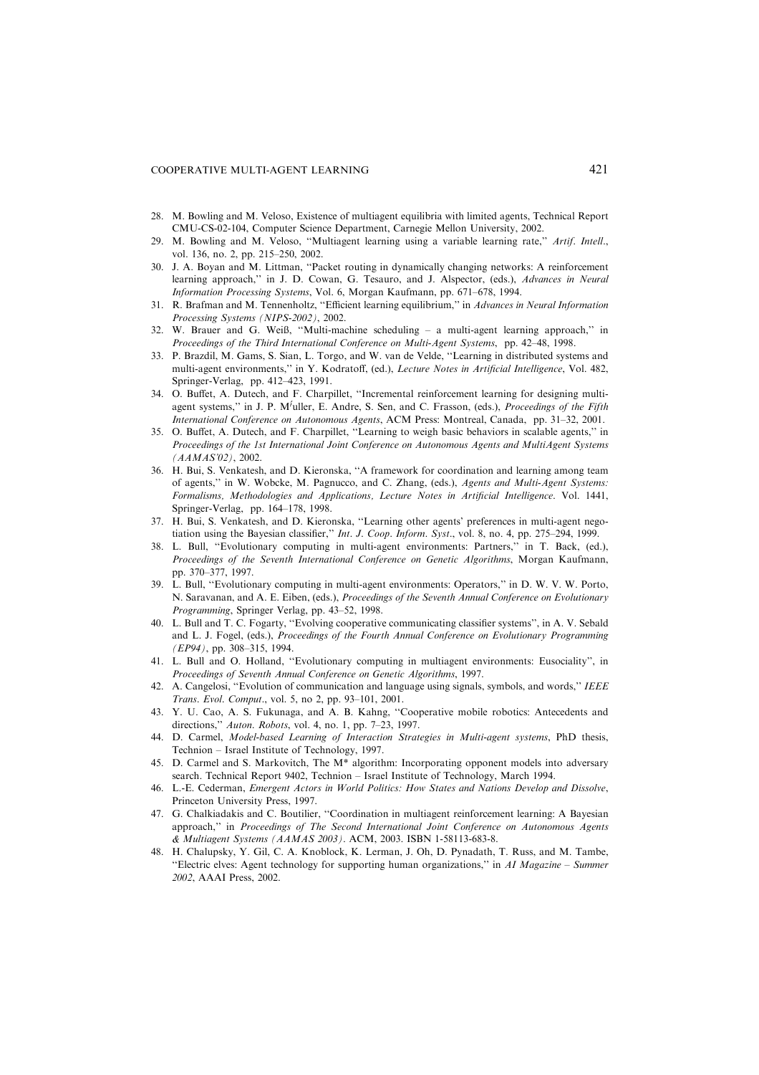- 28. M. Bowling and M. Veloso, Existence of multiagent equilibria with limited agents, Technical Report CMU-CS-02-104, Computer Science Department, Carnegie Mellon University, 2002.
- 29. M. Bowling and M. Veloso, ''Multiagent learning using a variable learning rate,'' Artif. Intell., vol. 136, no. 2, pp. 215–250, 2002.
- 30. J. A. Boyan and M. Littman, ''Packet routing in dynamically changing networks: A reinforcement learning approach," in J. D. Cowan, G. Tesauro, and J. Alspector, (eds.), Advances in Neural Information Processing Systems, Vol. 6, Morgan Kaufmann, pp. 671–678, 1994.
- 31. R. Brafman and M. Tennenholtz, ''Efficient learning equilibrium,'' in Advances in Neural Information Processing Systems (NIPS-2002), 2002.
- 32. W. Brauer and G. Weiß, ''Multi-machine scheduling a multi-agent learning approach,'' in Proceedings of the Third International Conference on Multi-Agent Systems, pp. 42–48, 1998.
- 33. P. Brazdil, M. Gams, S. Sian, L. Torgo, and W. van de Velde, ''Learning in distributed systems and multi-agent environments,'' in Y. Kodratoff, (ed.), Lecture Notes in Artificial Intelligence, Vol. 482, Springer-Verlag, pp. 412–423, 1991.
- 34. O. Buffet, A. Dutech, and F. Charpillet, ''Incremental reinforcement learning for designing multiagent systems," in J. P. M'uller, E. Andre, S. Sen, and C. Frasson, (eds.), Proceedings of the Fifth International Conference on Autonomous Agents, ACM Press: Montreal, Canada, pp. 31–32, 2001.
- 35. O. Buffet, A. Dutech, and F. Charpillet, ''Learning to weigh basic behaviors in scalable agents,'' in Proceedings of the 1st International Joint Conference on Autonomous Agents and MultiAgent Systems (AAMAS'02), 2002.
- 36. H. Bui, S. Venkatesh, and D. Kieronska, ''A framework for coordination and learning among team of agents,'' in W. Wobcke, M. Pagnucco, and C. Zhang, (eds.), Agents and Multi-Agent Systems: Formalisms, Methodologies and Applications, Lecture Notes in Artificial Intelligence. Vol. 1441, Springer-Verlag, pp. 164–178, 1998.
- 37. H. Bui, S. Venkatesh, and D. Kieronska, ''Learning other agents' preferences in multi-agent negotiation using the Bayesian classifier,'' Int. J. Coop. Inform. Syst., vol. 8, no. 4, pp. 275–294, 1999.
- 38. L. Bull, ''Evolutionary computing in multi-agent environments: Partners,'' in T. Back, (ed.), Proceedings of the Seventh International Conference on Genetic Algorithms, Morgan Kaufmann, pp. 370–377, 1997.
- 39. L. Bull, ''Evolutionary computing in multi-agent environments: Operators,'' in D. W. V. W. Porto, N. Saravanan, and A. E. Eiben, (eds.), Proceedings of the Seventh Annual Conference on Evolutionary Programming, Springer Verlag, pp. 43–52, 1998.
- 40. L. Bull and T. C. Fogarty, ''Evolving cooperative communicating classifier systems'', in A. V. Sebald and L. J. Fogel, (eds.), Proceedings of the Fourth Annual Conference on Evolutionary Programming (EP94), pp. 308–315, 1994.
- 41. L. Bull and O. Holland, ''Evolutionary computing in multiagent environments: Eusociality'', in Proceedings of Seventh Annual Conference on Genetic Algorithms, 1997.
- 42. A. Cangelosi, "Evolution of communication and language using signals, symbols, and words," IEEE Trans. Evol. Comput., vol. 5, no 2, pp. 93–101, 2001.
- 43. Y. U. Cao, A. S. Fukunaga, and A. B. Kahng, ''Cooperative mobile robotics: Antecedents and directions,'' Auton. Robots, vol. 4, no. 1, pp. 7–23, 1997.
- 44. D. Carmel, Model-based Learning of Interaction Strategies in Multi-agent systems, PhD thesis, Technion – Israel Institute of Technology, 1997.
- 45. D. Carmel and S. Markovitch, The M\* algorithm: Incorporating opponent models into adversary search. Technical Report 9402, Technion – Israel Institute of Technology, March 1994.
- 46. L.-E. Cederman, Emergent Actors in World Politics: How States and Nations Develop and Dissolve, Princeton University Press, 1997.
- 47. G. Chalkiadakis and C. Boutilier, ''Coordination in multiagent reinforcement learning: A Bayesian approach,'' in Proceedings of The Second International Joint Conference on Autonomous Agents & Multiagent Systems (AAMAS 2003). ACM, 2003. ISBN 1-58113-683-8.
- 48. H. Chalupsky, Y. Gil, C. A. Knoblock, K. Lerman, J. Oh, D. Pynadath, T. Russ, and M. Tambe, "Electric elves: Agent technology for supporting human organizations," in  $AI$  Magazine – Summer 2002, AAAI Press, 2002.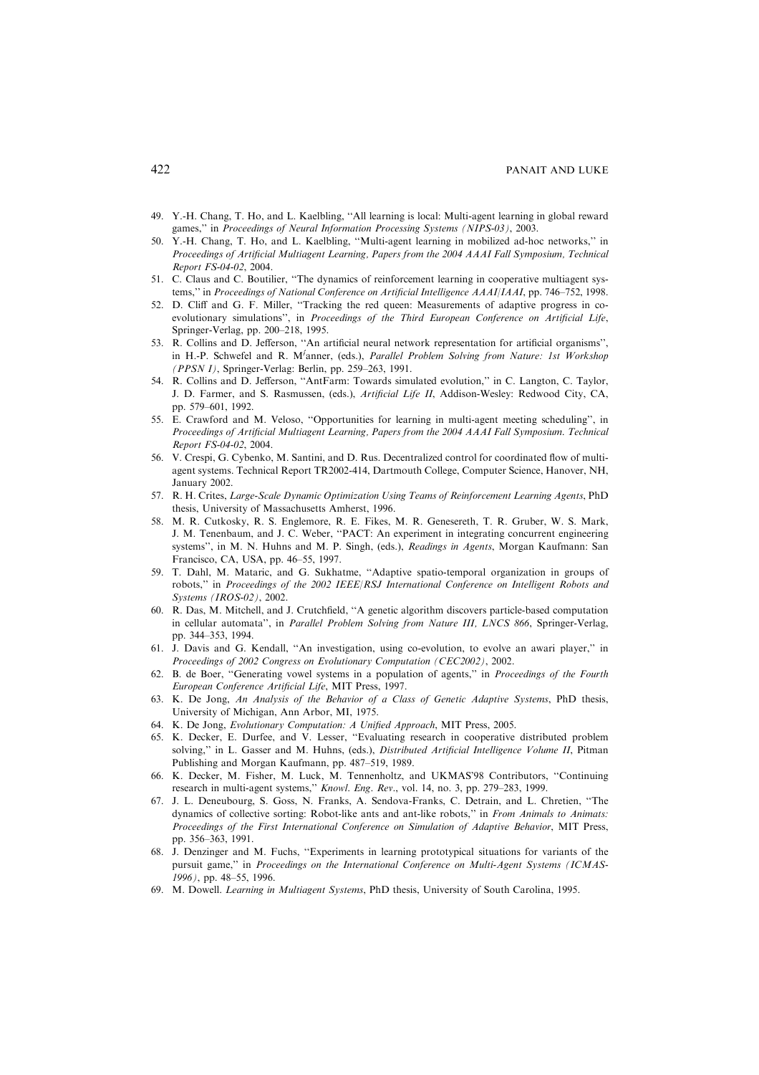- 49. Y.-H. Chang, T. Ho, and L. Kaelbling, ''All learning is local: Multi-agent learning in global reward games," in Proceedings of Neural Information Processing Systems (NIPS-03), 2003.
- 50. Y.-H. Chang, T. Ho, and L. Kaelbling, ''Multi-agent learning in mobilized ad-hoc networks,'' in Proceedings of Artificial Multiagent Learning, Papers from the 2004 AAAI Fall Symposium, Technical Report FS-04-02, 2004.
- 51. C. Claus and C. Boutilier, ''The dynamics of reinforcement learning in cooperative multiagent systems," in Proceedings of National Conference on Artificial Intelligence AAAI/IAAI, pp. 746-752, 1998.
- 52. D. Cliff and G. F. Miller, ''Tracking the red queen: Measurements of adaptive progress in coevolutionary simulations", in Proceedings of the Third European Conference on Artificial Life, Springer-Verlag, pp. 200–218, 1995.
- 53. R. Collins and D. Jefferson, ''An artificial neural network representation for artificial organisms'', in H.-P. Schwefel and R. M'anner, (eds.), Parallel Problem Solving from Nature: 1st Workshop (PPSN I), Springer-Verlag: Berlin, pp. 259–263, 1991.
- 54. R. Collins and D. Jefferson, ''AntFarm: Towards simulated evolution,'' in C. Langton, C. Taylor, J. D. Farmer, and S. Rasmussen, (eds.), Artificial Life II, Addison-Wesley: Redwood City, CA, pp. 579–601, 1992.
- 55. E. Crawford and M. Veloso, ''Opportunities for learning in multi-agent meeting scheduling'', in Proceedings of Artificial Multiagent Learning, Papers from the 2004 AAAI Fall Symposium. Technical Report FS-04-02, 2004.
- 56. V. Crespi, G. Cybenko, M. Santini, and D. Rus. Decentralized control for coordinated flow of multiagent systems. Technical Report TR2002-414, Dartmouth College, Computer Science, Hanover, NH, January 2002.
- 57. R. H. Crites, Large-Scale Dynamic Optimization Using Teams of Reinforcement Learning Agents, PhD thesis, University of Massachusetts Amherst, 1996.
- 58. M. R. Cutkosky, R. S. Englemore, R. E. Fikes, M. R. Genesereth, T. R. Gruber, W. S. Mark, J. M. Tenenbaum, and J. C. Weber, ''PACT: An experiment in integrating concurrent engineering systems", in M. N. Huhns and M. P. Singh, (eds.), Readings in Agents, Morgan Kaufmann: San Francisco, CA, USA, pp. 46–55, 1997.
- 59. T. Dahl, M. Mataric, and G. Sukhatme, ''Adaptive spatio-temporal organization in groups of robots,'' in Proceedings of the 2002 IEEE/RSJ International Conference on Intelligent Robots and Systems (IROS-02), 2002.
- 60. R. Das, M. Mitchell, and J. Crutchfield, ''A genetic algorithm discovers particle-based computation in cellular automata'', in Parallel Problem Solving from Nature III, LNCS 866, Springer-Verlag, pp. 344–353, 1994.
- 61. J. Davis and G. Kendall, ''An investigation, using co-evolution, to evolve an awari player,'' in Proceedings of 2002 Congress on Evolutionary Computation (CEC2002), 2002.
- 62. B. de Boer, ''Generating vowel systems in a population of agents,'' in Proceedings of the Fourth European Conference Artificial Life, MIT Press, 1997.
- 63. K. De Jong, An Analysis of the Behavior of a Class of Genetic Adaptive Systems, PhD thesis, University of Michigan, Ann Arbor, MI, 1975.
- 64. K. De Jong, Evolutionary Computation: A Unified Approach, MIT Press, 2005.
- 65. K. Decker, E. Durfee, and V. Lesser, ''Evaluating research in cooperative distributed problem solving," in L. Gasser and M. Huhns, (eds.), Distributed Artificial Intelligence Volume II, Pitman Publishing and Morgan Kaufmann, pp. 487–519, 1989.
- 66. K. Decker, M. Fisher, M. Luck, M. Tennenholtz, and UKMAS'98 Contributors, ''Continuing research in multi-agent systems," Knowl. Eng. Rev., vol. 14, no. 3, pp. 279-283, 1999.
- 67. J. L. Deneubourg, S. Goss, N. Franks, A. Sendova-Franks, C. Detrain, and L. Chretien, ''The dynamics of collective sorting: Robot-like ants and ant-like robots,'' in From Animals to Animats: Proceedings of the First International Conference on Simulation of Adaptive Behavior, MIT Press, pp. 356–363, 1991.
- 68. J. Denzinger and M. Fuchs, ''Experiments in learning prototypical situations for variants of the pursuit game," in Proceedings on the International Conference on Multi-Agent Systems (ICMAS-1996), pp. 48–55, 1996.
- 69. M. Dowell. Learning in Multiagent Systems, PhD thesis, University of South Carolina, 1995.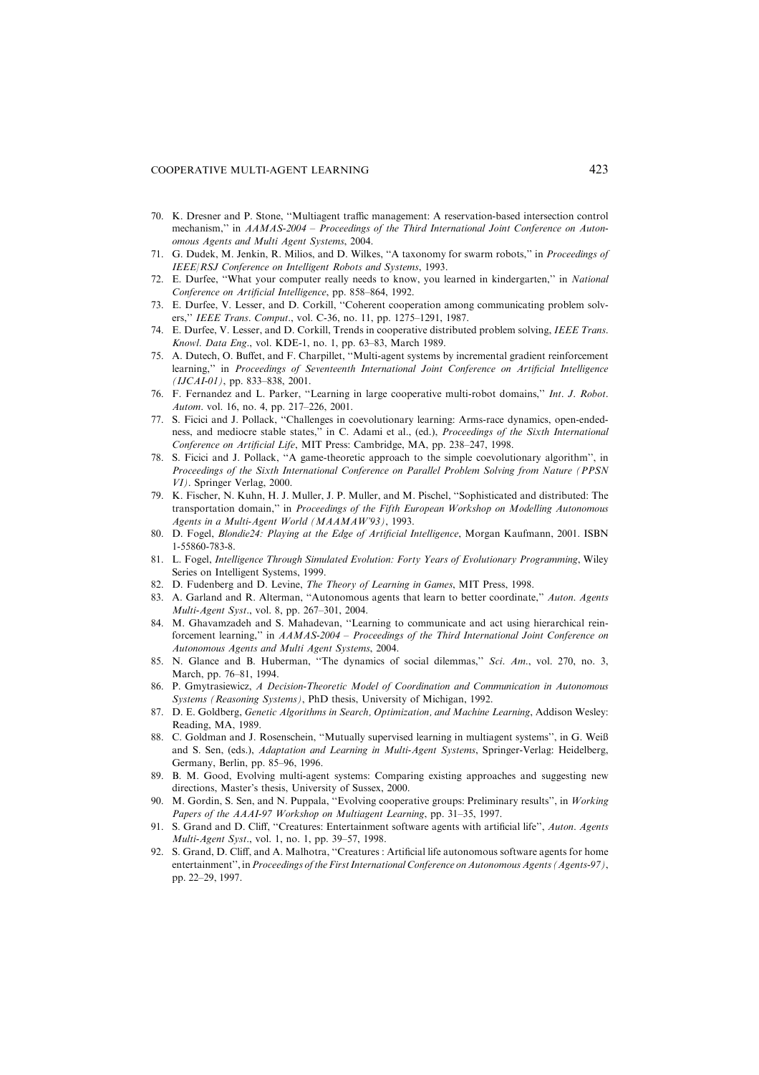- 70. K. Dresner and P. Stone, ''Multiagent traffic management: A reservation-based intersection control mechanism," in AAMAS-2004 – Proceedings of the Third International Joint Conference on Autonomous Agents and Multi Agent Systems, 2004.
- 71. G. Dudek, M. Jenkin, R. Milios, and D. Wilkes, "A taxonomy for swarm robots," in *Proceedings of* IEEE/RSJ Conference on Intelligent Robots and Systems, 1993.
- 72. E. Durfee, ''What your computer really needs to know, you learned in kindergarten,'' in National Conference on Artificial Intelligence, pp. 858–864, 1992.
- 73. E. Durfee, V. Lesser, and D. Corkill, ''Coherent cooperation among communicating problem solvers,'' IEEE Trans. Comput., vol. C-36, no. 11, pp. 1275–1291, 1987.
- 74. E. Durfee, V. Lesser, and D. Corkill, Trends in cooperative distributed problem solving, IEEE Trans. Knowl. Data Eng., vol. KDE-1, no. 1, pp. 63–83, March 1989.
- 75. A. Dutech, O. Buffet, and F. Charpillet, ''Multi-agent systems by incremental gradient reinforcement learning," in Proceedings of Seventeenth International Joint Conference on Artificial Intelligence (IJCAI-01), pp. 833–838, 2001.
- 76. F. Fernandez and L. Parker, ''Learning in large cooperative multi-robot domains,'' Int. J. Robot. Autom. vol. 16, no. 4, pp. 217–226, 2001.
- 77. S. Ficici and J. Pollack, ''Challenges in coevolutionary learning: Arms-race dynamics, open-endedness, and mediocre stable states," in C. Adami et al., (ed.), Proceedings of the Sixth International Conference on Artificial Life, MIT Press: Cambridge, MA, pp. 238–247, 1998.
- 78. S. Ficici and J. Pollack, ''A game-theoretic approach to the simple coevolutionary algorithm'', in Proceedings of the Sixth International Conference on Parallel Problem Solving from Nature (PPSN VI). Springer Verlag, 2000.
- 79. K. Fischer, N. Kuhn, H. J. Muller, J. P. Muller, and M. Pischel, ''Sophisticated and distributed: The transportation domain," in Proceedings of the Fifth European Workshop on Modelling Autonomous Agents in a Multi-Agent World (MAAMAW'93), 1993.
- 80. D. Fogel, Blondie24: Playing at the Edge of Artificial Intelligence, Morgan Kaufmann, 2001. ISBN 1-55860-783-8.
- 81. L. Fogel, Intelligence Through Simulated Evolution: Forty Years of Evolutionary Programming, Wiley Series on Intelligent Systems, 1999.
- 82. D. Fudenberg and D. Levine, The Theory of Learning in Games, MIT Press, 1998.
- 83. A. Garland and R. Alterman, "Autonomous agents that learn to better coordinate," Auton. Agents Multi-Agent Syst., vol. 8, pp. 267–301, 2004.
- 84. M. Ghavamzadeh and S. Mahadevan, ''Learning to communicate and act using hierarchical reinforcement learning,'' in AAMAS-2004 – Proceedings of the Third International Joint Conference on Autonomous Agents and Multi Agent Systems, 2004.
- 85. N. Glance and B. Huberman, ''The dynamics of social dilemmas,'' Sci. Am., vol. 270, no. 3, March, pp. 76–81, 1994.
- 86. P. Gmytrasiewicz, A Decision-Theoretic Model of Coordination and Communication in Autonomous Systems (Reasoning Systems), PhD thesis, University of Michigan, 1992.
- 87. D. E. Goldberg, Genetic Algorithms in Search, Optimization, and Machine Learning, Addison Wesley: Reading, MA, 1989.
- 88. C. Goldman and J. Rosenschein, ''Mutually supervised learning in multiagent systems'', in G. Weiß and S. Sen, (eds.), Adaptation and Learning in Multi-Agent Systems, Springer-Verlag: Heidelberg, Germany, Berlin, pp. 85–96, 1996.
- 89. B. M. Good, Evolving multi-agent systems: Comparing existing approaches and suggesting new directions, Master's thesis, University of Sussex, 2000.
- 90. M. Gordin, S. Sen, and N. Puppala, "Evolving cooperative groups: Preliminary results", in Working Papers of the AAAI-97 Workshop on Multiagent Learning, pp. 31–35, 1997.
- 91. S. Grand and D. Cliff, "Creatures: Entertainment software agents with artificial life", Auton. Agents Multi-Agent Syst., vol. 1, no. 1, pp. 39–57, 1998.
- 92. S. Grand, D. Cliff, and A. Malhotra, ''Creatures : Artificial life autonomous software agents for home entertainment", in Proceedings of the First International Conference on Autonomous Agents (Agents-97), pp. 22–29, 1997.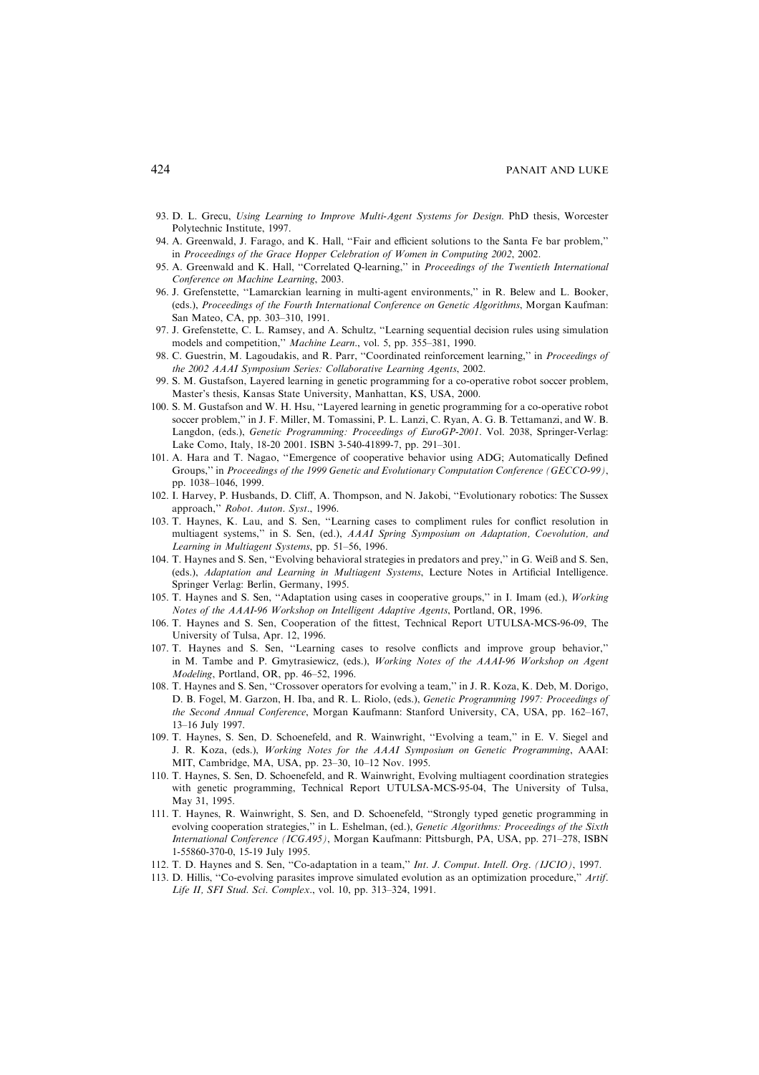- 93. D. L. Grecu, Using Learning to Improve Multi-Agent Systems for Design. PhD thesis, Worcester Polytechnic Institute, 1997.
- 94. A. Greenwald, J. Farago, and K. Hall, ''Fair and efficient solutions to the Santa Fe bar problem,'' in Proceedings of the Grace Hopper Celebration of Women in Computing 2002, 2002.
- 95. A. Greenwald and K. Hall, "Correlated Q-learning," in Proceedings of the Twentieth International Conference on Machine Learning, 2003.
- 96. J. Grefenstette, ''Lamarckian learning in multi-agent environments,'' in R. Belew and L. Booker, (eds.), Proceedings of the Fourth International Conference on Genetic Algorithms, Morgan Kaufman: San Mateo, CA, pp. 303–310, 1991.
- 97. J. Grefenstette, C. L. Ramsey, and A. Schultz, ''Learning sequential decision rules using simulation models and competition,'' Machine Learn., vol. 5, pp. 355–381, 1990.
- 98. C. Guestrin, M. Lagoudakis, and R. Parr, "Coordinated reinforcement learning," in Proceedings of the 2002 AAAI Symposium Series: Collaborative Learning Agents, 2002.
- 99. S. M. Gustafson, Layered learning in genetic programming for a co-operative robot soccer problem, Master's thesis, Kansas State University, Manhattan, KS, USA, 2000.
- 100. S. M. Gustafson and W. H. Hsu, ''Layered learning in genetic programming for a co-operative robot soccer problem,'' in J. F. Miller, M. Tomassini, P. L. Lanzi, C. Ryan, A. G. B. Tettamanzi, and W. B. Langdon, (eds.), Genetic Programming: Proceedings of EuroGP-2001. Vol. 2038, Springer-Verlag: Lake Como, Italy, 18-20 2001. ISBN 3-540-41899-7, pp. 291–301.
- 101. A. Hara and T. Nagao, ''Emergence of cooperative behavior using ADG; Automatically Defined Groups,'' in Proceedings of the 1999 Genetic and Evolutionary Computation Conference (GECCO-99), pp. 1038–1046, 1999.
- 102. I. Harvey, P. Husbands, D. Cliff, A. Thompson, and N. Jakobi, ''Evolutionary robotics: The Sussex approach,'' Robot. Auton. Syst., 1996.
- 103. T. Haynes, K. Lau, and S. Sen, ''Learning cases to compliment rules for conflict resolution in multiagent systems," in S. Sen, (ed.), AAAI Spring Symposium on Adaptation, Coevolution, and Learning in Multiagent Systems, pp. 51–56, 1996.
- 104. T. Haynes and S. Sen, ''Evolving behavioral strategies in predators and prey,'' in G. Weiß and S. Sen, (eds.), Adaptation and Learning in Multiagent Systems, Lecture Notes in Artificial Intelligence. Springer Verlag: Berlin, Germany, 1995.
- 105. T. Haynes and S. Sen, ''Adaptation using cases in cooperative groups,'' in I. Imam (ed.), Working Notes of the AAAI-96 Workshop on Intelligent Adaptive Agents, Portland, OR, 1996.
- 106. T. Haynes and S. Sen, Cooperation of the fittest, Technical Report UTULSA-MCS-96-09, The University of Tulsa, Apr. 12, 1996.
- 107. T. Haynes and S. Sen, ''Learning cases to resolve conflicts and improve group behavior,'' in M. Tambe and P. Gmytrasiewicz, (eds.), Working Notes of the AAAI-96 Workshop on Agent Modeling, Portland, OR, pp. 46–52, 1996.
- 108. T. Haynes and S. Sen, ''Crossover operators for evolving a team,'' in J. R. Koza, K. Deb, M. Dorigo, D. B. Fogel, M. Garzon, H. Iba, and R. L. Riolo, (eds.), Genetic Programming 1997: Proceedings of the Second Annual Conference, Morgan Kaufmann: Stanford University, CA, USA, pp. 162–167, 13–16 July 1997.
- 109. T. Haynes, S. Sen, D. Schoenefeld, and R. Wainwright, ''Evolving a team,'' in E. V. Siegel and J. R. Koza, (eds.), Working Notes for the AAAI Symposium on Genetic Programming, AAAI: MIT, Cambridge, MA, USA, pp. 23–30, 10–12 Nov. 1995.
- 110. T. Haynes, S. Sen, D. Schoenefeld, and R. Wainwright, Evolving multiagent coordination strategies with genetic programming, Technical Report UTULSA-MCS-95-04, The University of Tulsa, May 31, 1995.
- 111. T. Haynes, R. Wainwright, S. Sen, and D. Schoenefeld, ''Strongly typed genetic programming in evolving cooperation strategies," in L. Eshelman, (ed.), Genetic Algorithms: Proceedings of the Sixth International Conference (ICGA95), Morgan Kaufmann: Pittsburgh, PA, USA, pp. 271–278, ISBN 1-55860-370-0, 15-19 July 1995.
- 112. T. D. Haynes and S. Sen, ''Co-adaptation in a team,'' Int. J. Comput. Intell. Org. (IJCIO), 1997.
- 113. D. Hillis, "Co-evolving parasites improve simulated evolution as an optimization procedure," Artif. Life II, SFI Stud. Sci. Complex., vol. 10, pp. 313–324, 1991.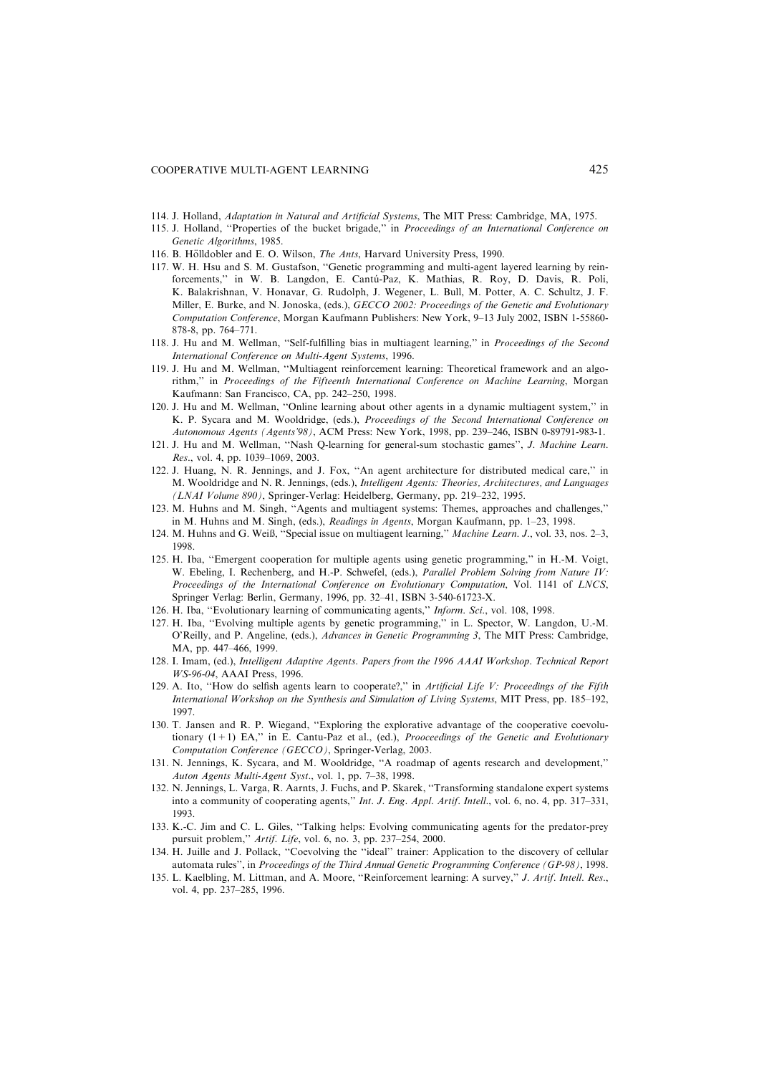- 114. J. Holland, Adaptation in Natural and Artificial Systems, The MIT Press: Cambridge, MA, 1975.
- 115. J. Holland, ''Properties of the bucket brigade,'' in Proceedings of an International Conference on Genetic Algorithms, 1985.
- 116. B. Hölldobler and E. O. Wilson, The Ants, Harvard University Press, 1990.
- 117. W. H. Hsu and S. M. Gustafson, ''Genetic programming and multi-agent layered learning by reinforcements,'' in W. B. Langdon, E. Cantu´-Paz, K. Mathias, R. Roy, D. Davis, R. Poli, K. Balakrishnan, V. Honavar, G. Rudolph, J. Wegener, L. Bull, M. Potter, A. C. Schultz, J. F. Miller, E. Burke, and N. Jonoska, (eds.), GECCO 2002: Proceedings of the Genetic and Evolutionary Computation Conference, Morgan Kaufmann Publishers: New York, 9–13 July 2002, ISBN 1-55860- 878-8, pp. 764–771.
- 118. J. Hu and M. Wellman, "Self-fulfilling bias in multiagent learning," in Proceedings of the Second International Conference on Multi-Agent Systems, 1996.
- 119. J. Hu and M. Wellman, ''Multiagent reinforcement learning: Theoretical framework and an algorithm,'' in Proceedings of the Fifteenth International Conference on Machine Learning, Morgan Kaufmann: San Francisco, CA, pp. 242–250, 1998.
- 120. J. Hu and M. Wellman, ''Online learning about other agents in a dynamic multiagent system,'' in K. P. Sycara and M. Wooldridge, (eds.), Proceedings of the Second International Conference on Autonomous Agents (Agents'98), ACM Press: New York, 1998, pp. 239–246, ISBN 0-89791-983-1.
- 121. J. Hu and M. Wellman, ''Nash Q-learning for general-sum stochastic games'', J. Machine Learn. Res., vol. 4, pp. 1039–1069, 2003.
- 122. J. Huang, N. R. Jennings, and J. Fox, ''An agent architecture for distributed medical care,'' in M. Wooldridge and N. R. Jennings, (eds.), Intelligent Agents: Theories, Architectures, and Languages (LNAI Volume 890), Springer-Verlag: Heidelberg, Germany, pp. 219–232, 1995.
- 123. M. Huhns and M. Singh, ''Agents and multiagent systems: Themes, approaches and challenges,'' in M. Huhns and M. Singh, (eds.), Readings in Agents, Morgan Kaufmann, pp. 1–23, 1998.
- 124. M. Huhns and G. Weiß, ''Special issue on multiagent learning,'' Machine Learn. J., vol. 33, nos. 2–3, 1998.
- 125. H. Iba, ''Emergent cooperation for multiple agents using genetic programming,'' in H.-M. Voigt, W. Ebeling, I. Rechenberg, and H.-P. Schwefel, (eds.), Parallel Problem Solving from Nature IV: Proceedings of the International Conference on Evolutionary Computation, Vol. 1141 of LNCS, Springer Verlag: Berlin, Germany, 1996, pp. 32–41, ISBN 3-540-61723-X.
- 126. H. Iba, "Evolutionary learning of communicating agents," Inform. Sci., vol. 108, 1998.
- 127. H. Iba, ''Evolving multiple agents by genetic programming,'' in L. Spector, W. Langdon, U.-M. O'Reilly, and P. Angeline, (eds.), Advances in Genetic Programming 3, The MIT Press: Cambridge, MA, pp. 447–466, 1999.
- 128. I. Imam, (ed.), Intelligent Adaptive Agents. Papers from the 1996 AAAI Workshop. Technical Report WS-96-04, AAAI Press, 1996.
- 129. A. Ito, "How do selfish agents learn to cooperate?," in Artificial Life V: Proceedings of the Fifth International Workshop on the Synthesis and Simulation of Living Systems, MIT Press, pp. 185–192, 1997.
- 130. T. Jansen and R. P. Wiegand, ''Exploring the explorative advantage of the cooperative coevolutionary  $(1+1)$  EA," in E. Cantu-Paz et al., (ed.), *Prooceedings of the Genetic and Evolutionary* Computation Conference (GECCO), Springer-Verlag, 2003.
- 131. N. Jennings, K. Sycara, and M. Wooldridge, ''A roadmap of agents research and development,'' Auton Agents Multi-Agent Syst., vol. 1, pp. 7–38, 1998.
- 132. N. Jennings, L. Varga, R. Aarnts, J. Fuchs, and P. Skarek, ''Transforming standalone expert systems into a community of cooperating agents," Int. J. Eng. Appl. Artif. Intell., vol. 6, no. 4, pp. 317-331, 1993.
- 133. K.-C. Jim and C. L. Giles, ''Talking helps: Evolving communicating agents for the predator-prey pursuit problem,'' Artif. Life, vol. 6, no. 3, pp. 237–254, 2000.
- 134. H. Juille and J. Pollack, ''Coevolving the ''ideal'' trainer: Application to the discovery of cellular automata rules'', in Proceedings of the Third Annual Genetic Programming Conference (GP-98), 1998.
- 135. L. Kaelbling, M. Littman, and A. Moore, "Reinforcement learning: A survey," J. Artif. Intell. Res., vol. 4, pp. 237–285, 1996.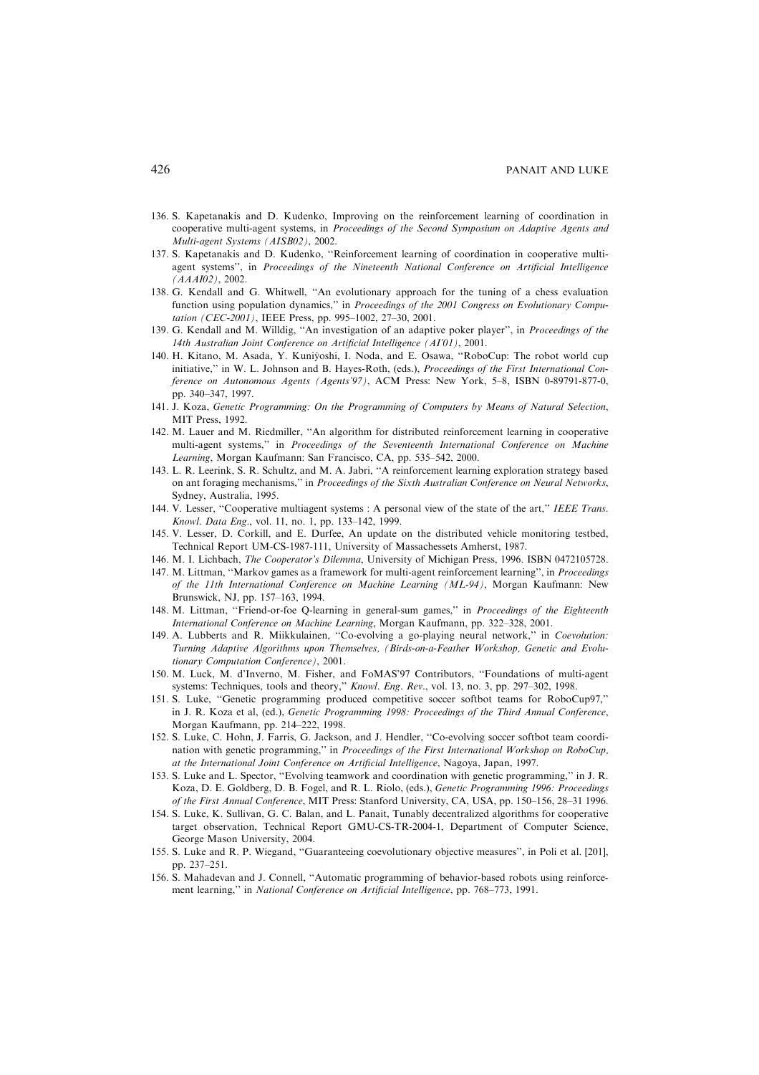- 136. S. Kapetanakis and D. Kudenko, Improving on the reinforcement learning of coordination in cooperative multi-agent systems, in Proceedings of the Second Symposium on Adaptive Agents and Multi-agent Systems (AISB02), 2002.
- 137. S. Kapetanakis and D. Kudenko, ''Reinforcement learning of coordination in cooperative multiagent systems'', in Proceedings of the Nineteenth National Conference on Artificial Intelligence  $(AAAI02)$ , 2002.
- 138. G. Kendall and G. Whitwell, ''An evolutionary approach for the tuning of a chess evaluation function using population dynamics," in *Proceedings of the 2001 Congress on Evolutionary Compu*tation (CEC-2001), IEEE Press, pp. 995–1002, 27–30, 2001.
- 139. G. Kendall and M. Willdig, ''An investigation of an adaptive poker player'', in Proceedings of the 14th Australian Joint Conference on Artificial Intelligence (AI'01), 2001.
- 140. H. Kitano, M. Asada, Y. Kuniyoshi, I. Noda, and E. Osawa, "RoboCup: The robot world cup initiative," in W. L. Johnson and B. Hayes-Roth, (eds.), Proceedings of the First International Conference on Autonomous Agents (Agents'97), ACM Press: New York, 5–8, ISBN 0-89791-877-0, pp. 340–347, 1997.
- 141. J. Koza, Genetic Programming: On the Programming of Computers by Means of Natural Selection, MIT Press, 1992.
- 142. M. Lauer and M. Riedmiller, ''An algorithm for distributed reinforcement learning in cooperative multi-agent systems,'' in Proceedings of the Seventeenth International Conference on Machine Learning, Morgan Kaufmann: San Francisco, CA, pp. 535–542, 2000.
- 143. L. R. Leerink, S. R. Schultz, and M. A. Jabri, ''A reinforcement learning exploration strategy based on ant foraging mechanisms," in Proceedings of the Sixth Australian Conference on Neural Networks, Sydney, Australia, 1995.
- 144. V. Lesser, "Cooperative multiagent systems : A personal view of the state of the art," IEEE Trans. Knowl. Data Eng., vol. 11, no. 1, pp. 133–142, 1999.
- 145. V. Lesser, D. Corkill, and E. Durfee, An update on the distributed vehicle monitoring testbed, Technical Report UM-CS-1987-111, University of Massachessets Amherst, 1987.
- 146. M. I. Lichbach, The Cooperator's Dilemma, University of Michigan Press, 1996. ISBN 0472105728.
- 147. M. Littman, ''Markov games as a framework for multi-agent reinforcement learning'', in Proceedings of the 11th International Conference on Machine Learning (ML-94), Morgan Kaufmann: New Brunswick, NJ, pp. 157–163, 1994.
- 148. M. Littman, "Friend-or-foe Q-learning in general-sum games," in Proceedings of the Eighteenth International Conference on Machine Learning, Morgan Kaufmann, pp. 322–328, 2001.
- 149. A. Lubberts and R. Miikkulainen, "Co-evolving a go-playing neural network," in Coevolution: Turning Adaptive Algorithms upon Themselves, (Birds-on-a-Feather Workshop, Genetic and Evolutionary Computation Conference), 2001.
- 150. M. Luck, M. d'Inverno, M. Fisher, and FoMAS'97 Contributors, ''Foundations of multi-agent systems: Techniques, tools and theory," Knowl. Eng. Rev., vol. 13, no. 3, pp. 297-302, 1998.
- 151. S. Luke, ''Genetic programming produced competitive soccer softbot teams for RoboCup97,'' in J. R. Koza et al, (ed.), Genetic Programming 1998: Proceedings of the Third Annual Conference, Morgan Kaufmann, pp. 214–222, 1998.
- 152. S. Luke, C. Hohn, J. Farris, G. Jackson, and J. Hendler, ''Co-evolving soccer softbot team coordination with genetic programming,'' in Proceedings of the First International Workshop on RoboCup, at the International Joint Conference on Artificial Intelligence, Nagoya, Japan, 1997.
- 153. S. Luke and L. Spector, ''Evolving teamwork and coordination with genetic programming,'' in J. R. Koza, D. E. Goldberg, D. B. Fogel, and R. L. Riolo, (eds.), Genetic Programming 1996: Proceedings of the First Annual Conference, MIT Press: Stanford University, CA, USA, pp. 150–156, 28–31 1996.
- 154. S. Luke, K. Sullivan, G. C. Balan, and L. Panait, Tunably decentralized algorithms for cooperative target observation, Technical Report GMU-CS-TR-2004-1, Department of Computer Science, George Mason University, 2004.
- 155. S. Luke and R. P. Wiegand, ''Guaranteeing coevolutionary objective measures'', in Poli et al. [201], pp. 237–251.
- 156. S. Mahadevan and J. Connell, ''Automatic programming of behavior-based robots using reinforcement learning," in National Conference on Artificial Intelligence, pp. 768-773, 1991.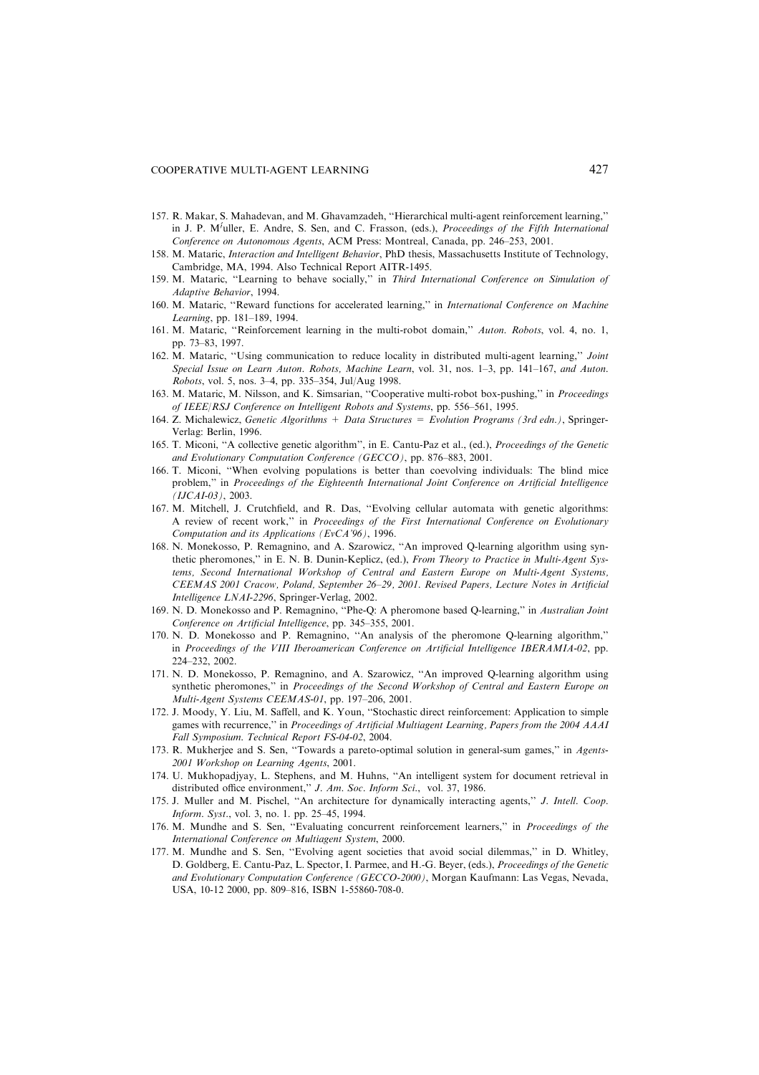- 157. R. Makar, S. Mahadevan, and M. Ghavamzadeh, ''Hierarchical multi-agent reinforcement learning,'' in J. P. M'uller, E. Andre, S. Sen, and C. Frasson, (eds.), Proceedings of the Fifth International Conference on Autonomous Agents, ACM Press: Montreal, Canada, pp. 246–253, 2001.
- 158. M. Mataric, Interaction and Intelligent Behavior, PhD thesis, Massachusetts Institute of Technology, Cambridge, MA, 1994. Also Technical Report AITR-1495.
- 159. M. Mataric, "Learning to behave socially," in Third International Conference on Simulation of Adaptive Behavior, 1994.
- 160. M. Mataric, "Reward functions for accelerated learning," in *International Conference on Machine* Learning, pp. 181–189, 1994.
- 161. M. Mataric, ''Reinforcement learning in the multi-robot domain,'' Auton. Robots, vol. 4, no. 1, pp. 73–83, 1997.
- 162. M. Mataric, "Using communication to reduce locality in distributed multi-agent learning," Joint Special Issue on Learn Auton. Robots, Machine Learn, vol. 31, nos. 1–3, pp. 141–167, and Auton. Robots, vol. 5, nos. 3–4, pp. 335–354, Jul/Aug 1998.
- 163. M. Mataric, M. Nilsson, and K. Simsarian, "Cooperative multi-robot box-pushing," in Proceedings of IEEE/RSJ Conference on Intelligent Robots and Systems, pp. 556–561, 1995.
- 164. Z. Michalewicz, Genetic Algorithms  $+$  Data Structures  $=$  Evolution Programs (3rd edn.), Springer-Verlag: Berlin, 1996.
- 165. T. Miconi, ''A collective genetic algorithm'', in E. Cantu-Paz et al., (ed.), Proceedings of the Genetic and Evolutionary Computation Conference (GECCO), pp. 876–883, 2001.
- 166. T. Miconi, ''When evolving populations is better than coevolving individuals: The blind mice problem," in Proceedings of the Eighteenth International Joint Conference on Artificial Intelligence (IJCAI-03), 2003.
- 167. M. Mitchell, J. Crutchfield, and R. Das, ''Evolving cellular automata with genetic algorithms: A review of recent work,'' in Proceedings of the First International Conference on Evolutionary Computation and its Applications (EvCA'96), 1996.
- 168. N. Monekosso, P. Remagnino, and A. Szarowicz, ''An improved Q-learning algorithm using synthetic pheromones," in E. N. B. Dunin-Keplicz, (ed.), From Theory to Practice in Multi-Agent Systems, Second International Workshop of Central and Eastern Europe on Multi-Agent Systems, CEEMAS 2001 Cracow, Poland, September 26–29, 2001. Revised Papers, Lecture Notes in Artificial Intelligence LNAI-2296, Springer-Verlag, 2002.
- 169. N. D. Monekosso and P. Remagnino, "Phe-Q: A pheromone based Q-learning," in Australian Joint Conference on Artificial Intelligence, pp. 345–355, 2001.
- 170. N. D. Monekosso and P. Remagnino, ''An analysis of the pheromone Q-learning algorithm,'' in Proceedings of the VIII Iberoamerican Conference on Artificial Intelligence IBERAMIA-02, pp. 224–232, 2002.
- 171. N. D. Monekosso, P. Remagnino, and A. Szarowicz, ''An improved Q-learning algorithm using synthetic pheromones," in Proceedings of the Second Workshop of Central and Eastern Europe on Multi-Agent Systems CEEMAS-01, pp. 197–206, 2001.
- 172. J. Moody, Y. Liu, M. Saffell, and K. Youn, ''Stochastic direct reinforcement: Application to simple games with recurrence," in Proceedings of Artificial Multiagent Learning, Papers from the 2004 AAAI Fall Symposium. Technical Report FS-04-02, 2004.
- 173. R. Mukherjee and S. Sen, "Towards a pareto-optimal solution in general-sum games," in Agents-2001 Workshop on Learning Agents, 2001.
- 174. U. Mukhopadjyay, L. Stephens, and M. Huhns, ''An intelligent system for document retrieval in distributed office environment," J. Am. Soc. Inform Sci., vol. 37, 1986.
- 175. J. Muller and M. Pischel, "An architecture for dynamically interacting agents," J. Intell. Coop. Inform. Syst., vol. 3, no. 1. pp. 25–45, 1994.
- 176. M. Mundhe and S. Sen, "Evaluating concurrent reinforcement learners," in *Proceedings of the* International Conference on Multiagent System, 2000.
- 177. M. Mundhe and S. Sen, ''Evolving agent societies that avoid social dilemmas,'' in D. Whitley, D. Goldberg, E. Cantu-Paz, L. Spector, I. Parmee, and H.-G. Beyer, (eds.), Proceedings of the Genetic and Evolutionary Computation Conference (GECCO-2000), Morgan Kaufmann: Las Vegas, Nevada, USA, 10-12 2000, pp. 809–816, ISBN 1-55860-708-0.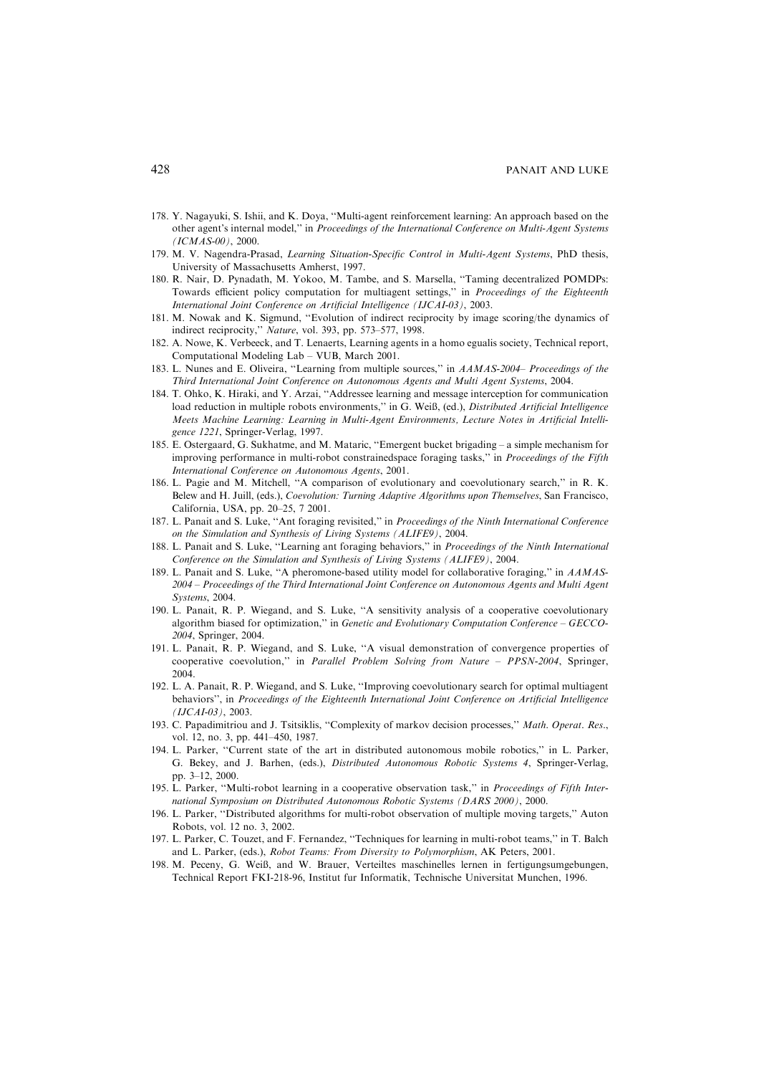- 178. Y. Nagayuki, S. Ishii, and K. Doya, ''Multi-agent reinforcement learning: An approach based on the other agent's internal model,'' in Proceedings of the International Conference on Multi-Agent Systems  $(ICMAS-00)$ , 2000.
- 179. M. V. Nagendra-Prasad, Learning Situation-Specific Control in Multi-Agent Systems, PhD thesis, University of Massachusetts Amherst, 1997.
- 180. R. Nair, D. Pynadath, M. Yokoo, M. Tambe, and S. Marsella, ''Taming decentralized POMDPs: Towards efficient policy computation for multiagent settings," in Proceedings of the Eighteenth International Joint Conference on Artificial Intelligence (IJCAI-03), 2003.
- 181. M. Nowak and K. Sigmund, ''Evolution of indirect reciprocity by image scoring/the dynamics of indirect reciprocity,'' Nature, vol. 393, pp. 573–577, 1998.
- 182. A. Nowe, K. Verbeeck, and T. Lenaerts, Learning agents in a homo egualis society, Technical report, Computational Modeling Lab – VUB, March 2001.
- 183. L. Nunes and E. Oliveira, "Learning from multiple sources," in AAMAS-2004– Proceedings of the Third International Joint Conference on Autonomous Agents and Multi Agent Systems, 2004.
- 184. T. Ohko, K. Hiraki, and Y. Arzai, ''Addressee learning and message interception for communication load reduction in multiple robots environments,'' in G. Weiß, (ed.), Distributed Artificial Intelligence Meets Machine Learning: Learning in Multi-Agent Environments, Lecture Notes in Artificial Intelligence 1221, Springer-Verlag, 1997.
- 185. E. Ostergaard, G. Sukhatme, and M. Mataric, ''Emergent bucket brigading a simple mechanism for improving performance in multi-robot constrainedspace foraging tasks," in Proceedings of the Fifth International Conference on Autonomous Agents, 2001.
- 186. L. Pagie and M. Mitchell, ''A comparison of evolutionary and coevolutionary search,'' in R. K. Belew and H. Juill, (eds.), Coevolution: Turning Adaptive Algorithms upon Themselves, San Francisco, California, USA, pp. 20–25, 7 2001.
- 187. L. Panait and S. Luke, "Ant foraging revisited," in Proceedings of the Ninth International Conference on the Simulation and Synthesis of Living Systems (ALIFE9), 2004.
- 188. L. Panait and S. Luke, "Learning ant foraging behaviors," in Proceedings of the Ninth International Conference on the Simulation and Synthesis of Living Systems (ALIFE9), 2004.
- 189. L. Panait and S. Luke, "A pheromone-based utility model for collaborative foraging," in AAMAS-2004 – Proceedings of the Third International Joint Conference on Autonomous Agents and Multi Agent Systems, 2004.
- 190. L. Panait, R. P. Wiegand, and S. Luke, ''A sensitivity analysis of a cooperative coevolutionary algorithm biased for optimization,'' in Genetic and Evolutionary Computation Conference – GECCO-2004, Springer, 2004.
- 191. L. Panait, R. P. Wiegand, and S. Luke, ''A visual demonstration of convergence properties of cooperative coevolution,'' in Parallel Problem Solving from Nature – PPSN-2004, Springer, 2004.
- 192. L. A. Panait, R. P. Wiegand, and S. Luke, ''Improving coevolutionary search for optimal multiagent behaviors'', in Proceedings of the Eighteenth International Joint Conference on Artificial Intelligence  $(IJCAI-03), 2003.$
- 193. C. Papadimitriou and J. Tsitsiklis, ''Complexity of markov decision processes,'' Math. Operat. Res., vol. 12, no. 3, pp. 441–450, 1987.
- 194. L. Parker, ''Current state of the art in distributed autonomous mobile robotics,'' in L. Parker, G. Bekey, and J. Barhen, (eds.), Distributed Autonomous Robotic Systems 4, Springer-Verlag, pp. 3–12, 2000.
- 195. L. Parker, "Multi-robot learning in a cooperative observation task," in Proceedings of Fifth International Symposium on Distributed Autonomous Robotic Systems (DARS 2000), 2000.
- 196. L. Parker, ''Distributed algorithms for multi-robot observation of multiple moving targets,'' Auton Robots, vol. 12 no. 3, 2002.
- 197. L. Parker, C. Touzet, and F. Fernandez, ''Techniques for learning in multi-robot teams,'' in T. Balch and L. Parker, (eds.), Robot Teams: From Diversity to Polymorphism, AK Peters, 2001.
- 198. M. Peceny, G. Weiß, and W. Brauer, Verteiltes maschinelles lernen in fertigungsumgebungen, Technical Report FKI-218-96, Institut fur Informatik, Technische Universitat Munchen, 1996.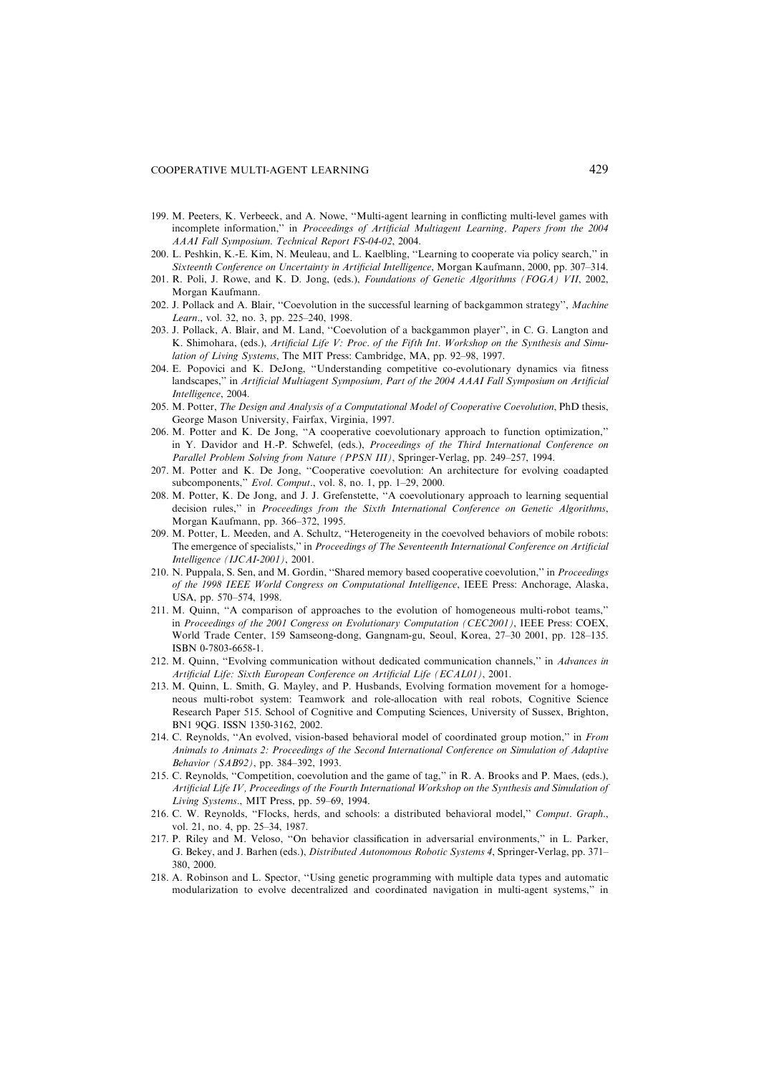- 199. M. Peeters, K. Verbeeck, and A. Nowe, ''Multi-agent learning in conflicting multi-level games with incomplete information,'' in Proceedings of Artificial Multiagent Learning, Papers from the 2004 AAAI Fall Symposium. Technical Report FS-04-02, 2004.
- 200. L. Peshkin, K.-E. Kim, N. Meuleau, and L. Kaelbling, ''Learning to cooperate via policy search,'' in Sixteenth Conference on Uncertainty in Artificial Intelligence, Morgan Kaufmann, 2000, pp. 307–314.
- 201. R. Poli, J. Rowe, and K. D. Jong, (eds.), Foundations of Genetic Algorithms (FOGA) VII, 2002, Morgan Kaufmann.
- 202. J. Pollack and A. Blair, ''Coevolution in the successful learning of backgammon strategy'', Machine Learn., vol. 32, no. 3, pp. 225–240, 1998.
- 203. J. Pollack, A. Blair, and M. Land, ''Coevolution of a backgammon player'', in C. G. Langton and K. Shimohara, (eds.), Artificial Life V: Proc. of the Fifth Int. Workshop on the Synthesis and Simulation of Living Systems, The MIT Press: Cambridge, MA, pp. 92–98, 1997.
- 204. E. Popovici and K. DeJong, ''Understanding competitive co-evolutionary dynamics via fitness landscapes,'' in Artificial Multiagent Symposium, Part of the 2004 AAAI Fall Symposium on Artificial Intelligence, 2004.
- 205. M. Potter, The Design and Analysis of a Computational Model of Cooperative Coevolution, PhD thesis, George Mason University, Fairfax, Virginia, 1997.
- 206. M. Potter and K. De Jong, ''A cooperative coevolutionary approach to function optimization,'' in Y. Davidor and H.-P. Schwefel, (eds.), *Proceedings of the Third International Conference on* Parallel Problem Solving from Nature (PPSN III), Springer-Verlag, pp. 249–257, 1994.
- 207. M. Potter and K. De Jong, ''Cooperative coevolution: An architecture for evolving coadapted subcomponents,'' Evol. Comput., vol. 8, no. 1, pp. 1–29, 2000.
- 208. M. Potter, K. De Jong, and J. J. Grefenstette, ''A coevolutionary approach to learning sequential decision rules," in Proceedings from the Sixth International Conference on Genetic Algorithms, Morgan Kaufmann, pp. 366–372, 1995.
- 209. M. Potter, L. Meeden, and A. Schultz, ''Heterogeneity in the coevolved behaviors of mobile robots: The emergence of specialists,'' in Proceedings of The Seventeenth International Conference on Artificial Intelligence (IJCAI-2001), 2001.
- 210. N. Puppala, S. Sen, and M. Gordin, ''Shared memory based cooperative coevolution,'' in Proceedings of the 1998 IEEE World Congress on Computational Intelligence, IEEE Press: Anchorage, Alaska, USA, pp. 570–574, 1998.
- 211. M. Quinn, ''A comparison of approaches to the evolution of homogeneous multi-robot teams,'' in Proceedings of the 2001 Congress on Evolutionary Computation (CEC2001), IEEE Press: COEX, World Trade Center, 159 Samseong-dong, Gangnam-gu, Seoul, Korea, 27–30 2001, pp. 128–135. ISBN 0-7803-6658-1.
- 212. M. Quinn, "Evolving communication without dedicated communication channels," in Advances in Artificial Life: Sixth European Conference on Artificial Life (ECAL01), 2001.
- 213. M. Quinn, L. Smith, G. Mayley, and P. Husbands, Evolving formation movement for a homogeneous multi-robot system: Teamwork and role-allocation with real robots, Cognitive Science Research Paper 515. School of Cognitive and Computing Sciences, University of Sussex, Brighton, BN1 9QG. ISSN 1350-3162, 2002.
- 214. C. Reynolds, "An evolved, vision-based behavioral model of coordinated group motion," in From Animals to Animats 2: Proceedings of the Second International Conference on Simulation of Adaptive Behavior (SAB92), pp. 384–392, 1993.
- 215. C. Reynolds, ''Competition, coevolution and the game of tag,'' in R. A. Brooks and P. Maes, (eds.), Artificial Life IV, Proceedings of the Fourth International Workshop on the Synthesis and Simulation of Living Systems., MIT Press, pp. 59–69, 1994.
- 216. C. W. Reynolds, ''Flocks, herds, and schools: a distributed behavioral model,'' Comput. Graph., vol. 21, no. 4, pp. 25–34, 1987.
- 217. P. Riley and M. Veloso, ''On behavior classification in adversarial environments,'' in L. Parker, G. Bekey, and J. Barhen (eds.), Distributed Autonomous Robotic Systems 4, Springer-Verlag, pp. 371– 380, 2000.
- 218. A. Robinson and L. Spector, ''Using genetic programming with multiple data types and automatic modularization to evolve decentralized and coordinated navigation in multi-agent systems,'' in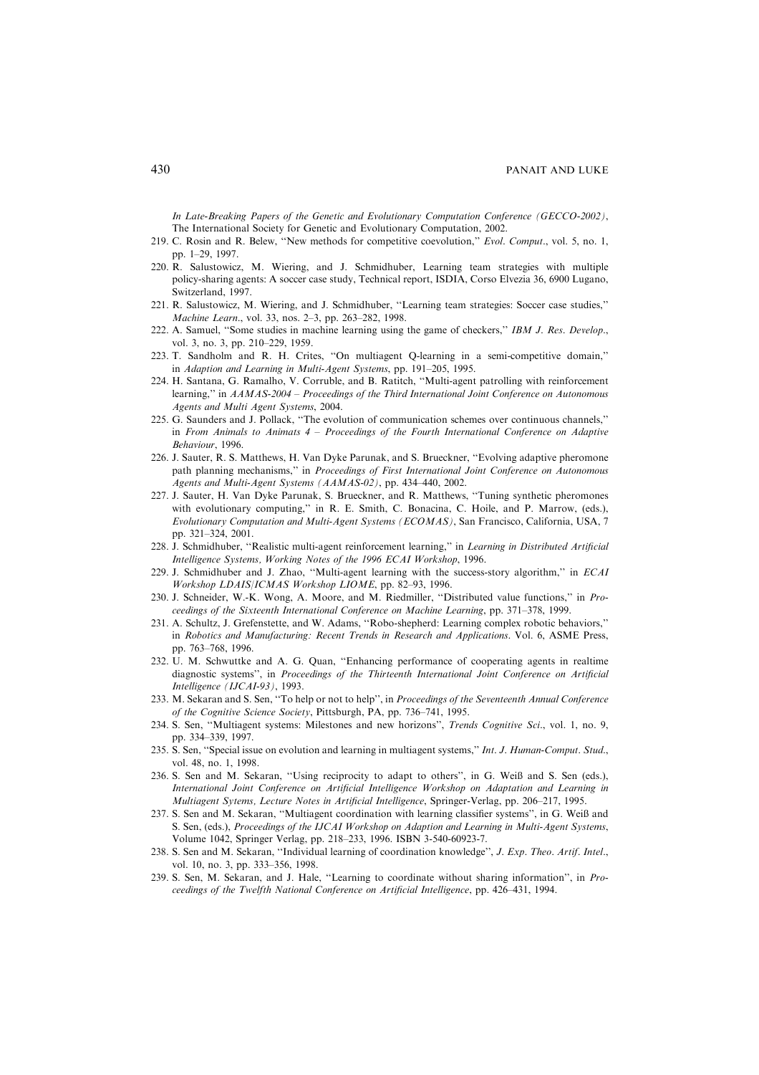In Late-Breaking Papers of the Genetic and Evolutionary Computation Conference (GECCO-2002), The International Society for Genetic and Evolutionary Computation, 2002.

- 219. C. Rosin and R. Belew, ''New methods for competitive coevolution,'' Evol. Comput., vol. 5, no. 1, pp. 1–29, 1997.
- 220. R. Salustowicz, M. Wiering, and J. Schmidhuber, Learning team strategies with multiple policy-sharing agents: A soccer case study, Technical report, ISDIA, Corso Elvezia 36, 6900 Lugano, Switzerland, 1997.
- 221. R. Salustowicz, M. Wiering, and J. Schmidhuber, ''Learning team strategies: Soccer case studies,'' Machine Learn., vol. 33, nos. 2–3, pp. 263–282, 1998.
- 222. A. Samuel, "Some studies in machine learning using the game of checkers," IBM J. Res. Develop., vol. 3, no. 3, pp. 210–229, 1959.
- 223. T. Sandholm and R. H. Crites, ''On multiagent Q-learning in a semi-competitive domain,'' in Adaption and Learning in Multi-Agent Systems, pp. 191–205, 1995.
- 224. H. Santana, G. Ramalho, V. Corruble, and B. Ratitch, ''Multi-agent patrolling with reinforcement learning," in  $AAMAS-2004$  – Proceedings of the Third International Joint Conference on Autonomous Agents and Multi Agent Systems, 2004.
- 225. G. Saunders and J. Pollack, ''The evolution of communication schemes over continuous channels,'' in From Animals to Animats 4 – Proceedings of the Fourth International Conference on Adaptive Behaviour, 1996.
- 226. J. Sauter, R. S. Matthews, H. Van Dyke Parunak, and S. Brueckner, ''Evolving adaptive pheromone path planning mechanisms," in Proceedings of First International Joint Conference on Autonomous Agents and Multi-Agent Systems (AAMAS-02), pp. 434–440, 2002.
- 227. J. Sauter, H. Van Dyke Parunak, S. Brueckner, and R. Matthews, ''Tuning synthetic pheromones with evolutionary computing," in R. E. Smith, C. Bonacina, C. Hoile, and P. Marrow, (eds.), Evolutionary Computation and Multi-Agent Systems (ECOMAS), San Francisco, California, USA, 7 pp. 321–324, 2001.
- 228. J. Schmidhuber, "Realistic multi-agent reinforcement learning," in Learning in Distributed Artificial Intelligence Systems, Working Notes of the 1996 ECAI Workshop, 1996.
- 229. J. Schmidhuber and J. Zhao, ''Multi-agent learning with the success-story algorithm,'' in ECAI Workshop LDAIS/ICMAS Workshop LIOME, pp. 82–93, 1996.
- 230. J. Schneider, W.-K. Wong, A. Moore, and M. Riedmiller, ''Distributed value functions,'' in Proceedings of the Sixteenth International Conference on Machine Learning, pp. 371–378, 1999.
- 231. A. Schultz, J. Grefenstette, and W. Adams, ''Robo-shepherd: Learning complex robotic behaviors,'' in Robotics and Manufacturing: Recent Trends in Research and Applications. Vol. 6, ASME Press, pp. 763–768, 1996.
- 232. U. M. Schwuttke and A. G. Quan, ''Enhancing performance of cooperating agents in realtime diagnostic systems'', in Proceedings of the Thirteenth International Joint Conference on Artificial Intelligence (IJCAI-93), 1993.
- 233. M. Sekaran and S. Sen, ''To help or not to help'', in Proceedings of the Seventeenth Annual Conference of the Cognitive Science Society, Pittsburgh, PA, pp. 736–741, 1995.
- 234. S. Sen, ''Multiagent systems: Milestones and new horizons'', Trends Cognitive Sci., vol. 1, no. 9, pp. 334–339, 1997.
- 235. S. Sen, "Special issue on evolution and learning in multiagent systems," Int. J. Human-Comput. Stud., vol. 48, no. 1, 1998.
- 236. S. Sen and M. Sekaran, ''Using reciprocity to adapt to others'', in G. Weiß and S. Sen (eds.), International Joint Conference on Artificial Intelligence Workshop on Adaptation and Learning in Multiagent Sytems, Lecture Notes in Artificial Intelligence, Springer-Verlag, pp. 206–217, 1995.
- 237. S. Sen and M. Sekaran, ''Multiagent coordination with learning classifier systems'', in G. Weiß and S. Sen, (eds.), Proceedings of the IJCAI Workshop on Adaption and Learning in Multi-Agent Systems, Volume 1042, Springer Verlag, pp. 218–233, 1996. ISBN 3-540-60923-7.
- 238. S. Sen and M. Sekaran, ''Individual learning of coordination knowledge'', J. Exp. Theo. Artif. Intel., vol. 10, no. 3, pp. 333–356, 1998.
- 239. S. Sen, M. Sekaran, and J. Hale, ''Learning to coordinate without sharing information'', in Proceedings of the Twelfth National Conference on Artificial Intelligence, pp. 426–431, 1994.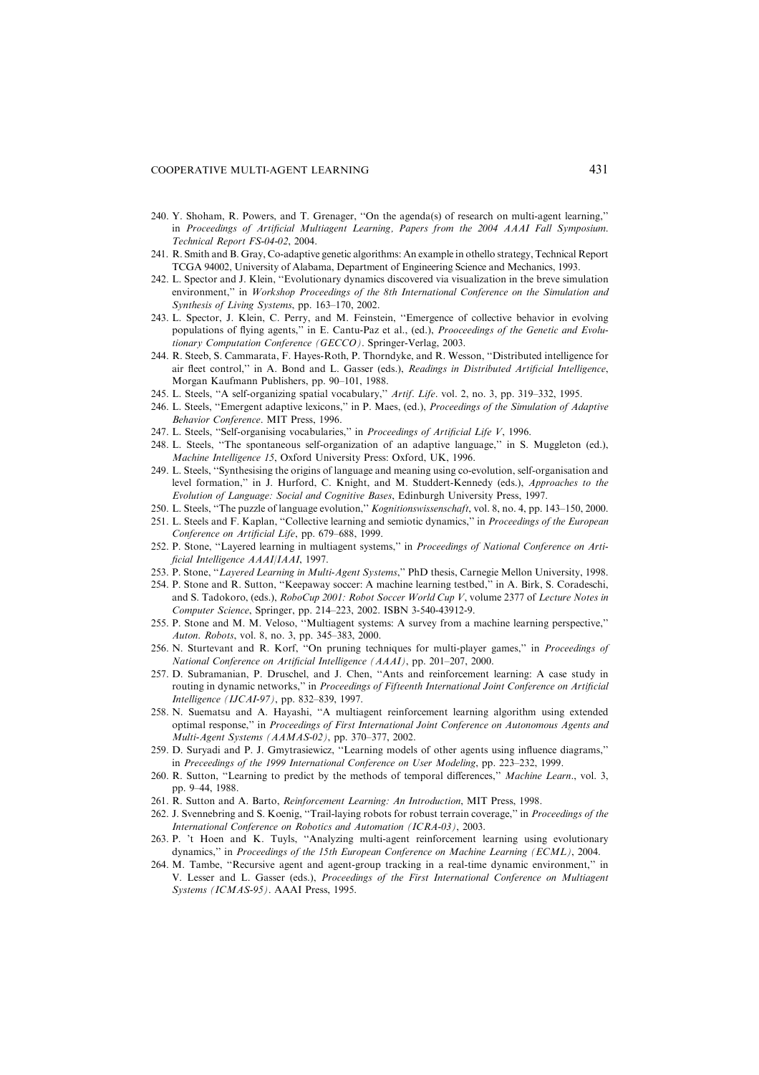- 240. Y. Shoham, R. Powers, and T. Grenager, ''On the agenda(s) of research on multi-agent learning,'' in Proceedings of Artificial Multiagent Learning, Papers from the 2004 AAAI Fall Symposium. Technical Report FS-04-02, 2004.
- 241. R. Smith and B. Gray, Co-adaptive genetic algorithms: An example in othello strategy, Technical Report TCGA 94002, University of Alabama, Department of Engineering Science and Mechanics, 1993.
- 242. L. Spector and J. Klein, ''Evolutionary dynamics discovered via visualization in the breve simulation environment," in Workshop Proceedings of the 8th International Conference on the Simulation and Synthesis of Living Systems, pp. 163–170, 2002.
- 243. L. Spector, J. Klein, C. Perry, and M. Feinstein, ''Emergence of collective behavior in evolving populations of flying agents," in E. Cantu-Paz et al., (ed.), Prooceedings of the Genetic and Evolutionary Computation Conference (GECCO). Springer-Verlag, 2003.
- 244. R. Steeb, S. Cammarata, F. Hayes-Roth, P. Thorndyke, and R. Wesson, ''Distributed intelligence for air fleet control,'' in A. Bond and L. Gasser (eds.), Readings in Distributed Artificial Intelligence, Morgan Kaufmann Publishers, pp. 90–101, 1988.
- 245. L. Steels, ''A self-organizing spatial vocabulary,'' Artif. Life. vol. 2, no. 3, pp. 319–332, 1995.
- 246. L. Steels, "Emergent adaptive lexicons," in P. Maes, (ed.), Proceedings of the Simulation of Adaptive Behavior Conference. MIT Press, 1996.
- 247. L. Steels, "Self-organising vocabularies," in Proceedings of Artificial Life V, 1996.
- 248. L. Steels, ''The spontaneous self-organization of an adaptive language,'' in S. Muggleton (ed.), Machine Intelligence 15, Oxford University Press: Oxford, UK, 1996.
- 249. L. Steels, ''Synthesising the origins of language and meaning using co-evolution, self-organisation and level formation," in J. Hurford, C. Knight, and M. Studdert-Kennedy (eds.), Approaches to the Evolution of Language: Social and Cognitive Bases, Edinburgh University Press, 1997.
- 250. L. Steels, ''The puzzle of language evolution,'' Kognitionswissenschaft, vol. 8, no. 4, pp. 143–150, 2000.
- 251. L. Steels and F. Kaplan, "Collective learning and semiotic dynamics," in Proceedings of the European Conference on Artificial Life, pp. 679–688, 1999.
- 252. P. Stone, "Layered learning in multiagent systems," in Proceedings of National Conference on Artificial Intelligence AAAI/IAAI, 1997.
- 253. P. Stone, ''Layered Learning in Multi-Agent Systems,'' PhD thesis, Carnegie Mellon University, 1998.
- 254. P. Stone and R. Sutton, ''Keepaway soccer: A machine learning testbed,'' in A. Birk, S. Coradeschi, and S. Tadokoro, (eds.), RoboCup 2001: Robot Soccer World Cup V, volume 2377 of Lecture Notes in Computer Science, Springer, pp. 214–223, 2002. ISBN 3-540-43912-9.
- 255. P. Stone and M. M. Veloso, ''Multiagent systems: A survey from a machine learning perspective,'' Auton. Robots, vol. 8, no. 3, pp. 345–383, 2000.
- 256. N. Sturtevant and R. Korf, "On pruning techniques for multi-player games," in Proceedings of National Conference on Artificial Intelligence (AAAI), pp. 201–207, 2000.
- 257. D. Subramanian, P. Druschel, and J. Chen, ''Ants and reinforcement learning: A case study in routing in dynamic networks," in Proceedings of Fifteenth International Joint Conference on Artificial Intelligence (IJCAI-97), pp. 832–839, 1997.
- 258. N. Suematsu and A. Hayashi, ''A multiagent reinforcement learning algorithm using extended optimal response,'' in Proceedings of First International Joint Conference on Autonomous Agents and Multi-Agent Systems (AAMAS-02), pp. 370–377, 2002.
- 259. D. Suryadi and P. J. Gmytrasiewicz, ''Learning models of other agents using influence diagrams,'' in Preceedings of the 1999 International Conference on User Modeling, pp. 223–232, 1999.
- 260. R. Sutton, ''Learning to predict by the methods of temporal differences,'' Machine Learn., vol. 3, pp. 9–44, 1988.
- 261. R. Sutton and A. Barto, Reinforcement Learning: An Introduction, MIT Press, 1998.
- 262. J. Svennebring and S. Koenig, ''Trail-laying robots for robust terrain coverage,'' in Proceedings of the International Conference on Robotics and Automation (ICRA-03), 2003.
- 263. P. 't Hoen and K. Tuyls, ''Analyzing multi-agent reinforcement learning using evolutionary dynamics," in Proceedings of the 15th European Conference on Machine Learning (ECML), 2004.
- 264. M. Tambe, ''Recursive agent and agent-group tracking in a real-time dynamic environment,'' in V. Lesser and L. Gasser (eds.), Proceedings of the First International Conference on Multiagent Systems (ICMAS-95). AAAI Press, 1995.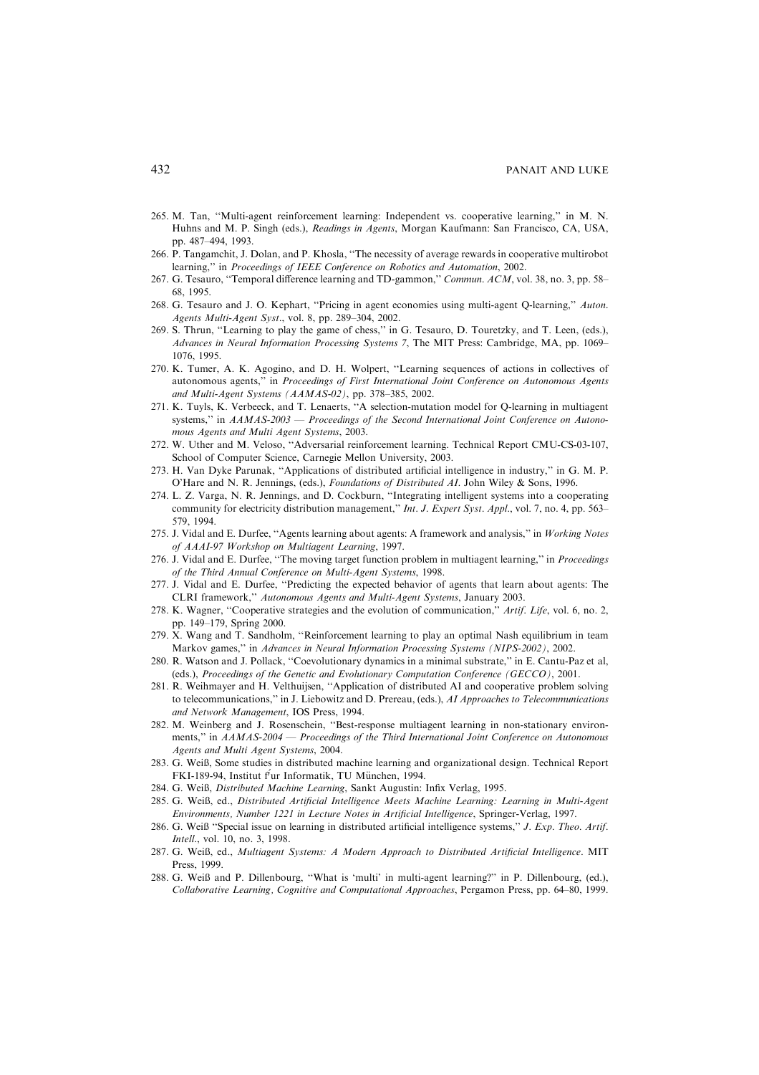- 265. M. Tan, ''Multi-agent reinforcement learning: Independent vs. cooperative learning,'' in M. N. Huhns and M. P. Singh (eds.), Readings in Agents, Morgan Kaufmann: San Francisco, CA, USA, pp. 487–494, 1993.
- 266. P. Tangamchit, J. Dolan, and P. Khosla, ''The necessity of average rewards in cooperative multirobot learning," in Proceedings of IEEE Conference on Robotics and Automation, 2002.
- 267. G. Tesauro, "Temporal difference learning and TD-gammon," Commun. ACM, vol. 38, no. 3, pp. 58– 68, 1995.
- 268. G. Tesauro and J. O. Kephart, ''Pricing in agent economies using multi-agent Q-learning,'' Auton. Agents Multi-Agent Syst., vol. 8, pp. 289–304, 2002.
- 269. S. Thrun, ''Learning to play the game of chess,'' in G. Tesauro, D. Touretzky, and T. Leen, (eds.), Advances in Neural Information Processing Systems 7, The MIT Press: Cambridge, MA, pp. 1069– 1076, 1995.
- 270. K. Tumer, A. K. Agogino, and D. H. Wolpert, ''Learning sequences of actions in collectives of autonomous agents,'' in Proceedings of First International Joint Conference on Autonomous Agents and Multi-Agent Systems (AAMAS-02), pp. 378–385, 2002.
- 271. K. Tuyls, K. Verbeeck, and T. Lenaerts, ''A selection-mutation model for Q-learning in multiagent systems," in AAMAS-2003 – Proceedings of the Second International Joint Conference on Autonomous Agents and Multi Agent Systems, 2003.
- 272. W. Uther and M. Veloso, ''Adversarial reinforcement learning. Technical Report CMU-CS-03-107, School of Computer Science, Carnegie Mellon University, 2003.
- 273. H. Van Dyke Parunak, ''Applications of distributed artificial intelligence in industry,'' in G. M. P. O'Hare and N. R. Jennings, (eds.), Foundations of Distributed AI. John Wiley & Sons, 1996.
- 274. L. Z. Varga, N. R. Jennings, and D. Cockburn, ''Integrating intelligent systems into a cooperating community for electricity distribution management," Int. J. Expert Syst. Appl., vol. 7, no. 4, pp. 563– 579, 1994.
- 275. J. Vidal and E. Durfee, ''Agents learning about agents: A framework and analysis,'' in Working Notes of AAAI-97 Workshop on Multiagent Learning, 1997.
- 276. J. Vidal and E. Durfee, ''The moving target function problem in multiagent learning,'' in Proceedings of the Third Annual Conference on Multi-Agent Systems, 1998.
- 277. J. Vidal and E. Durfee, ''Predicting the expected behavior of agents that learn about agents: The CLRI framework,'' Autonomous Agents and Multi-Agent Systems, January 2003.
- 278. K. Wagner, "Cooperative strategies and the evolution of communication," Artif. Life, vol. 6, no. 2, pp. 149–179, Spring 2000.
- 279. X. Wang and T. Sandholm, ''Reinforcement learning to play an optimal Nash equilibrium in team Markov games,'' in Advances in Neural Information Processing Systems (NIPS-2002), 2002.
- 280. R. Watson and J. Pollack, ''Coevolutionary dynamics in a minimal substrate,'' in E. Cantu-Paz et al, (eds.), Proceedings of the Genetic and Evolutionary Computation Conference (GECCO), 2001.
- 281. R. Weihmayer and H. Velthuijsen, ''Application of distributed AI and cooperative problem solving to telecommunications," in J. Liebowitz and D. Prereau, (eds.), AI Approaches to Telecommunications and Network Management, IOS Press, 1994.
- 282. M. Weinberg and J. Rosenschein, ''Best-response multiagent learning in non-stationary environments," in AAMAS-2004 — Proceedings of the Third International Joint Conference on Autonomous Agents and Multi Agent Systems, 2004.
- 283. G. Weiß, Some studies in distributed machine learning and organizational design. Technical Report FKI-189-94, Institut f<sup>í</sup>ur Informatik, TU München, 1994.
- 284. G. Weiß, Distributed Machine Learning, Sankt Augustin: Infix Verlag, 1995.
- 285. G. Weiß, ed., Distributed Artificial Intelligence Meets Machine Learning: Learning in Multi-Agent Environments, Number 1221 in Lecture Notes in Artificial Intelligence, Springer-Verlag, 1997.
- 286. G. Weiß ''Special issue on learning in distributed artificial intelligence systems,'' J. Exp. Theo. Artif. Intell., vol. 10, no. 3, 1998.
- 287. G. Weiß, ed., Multiagent Systems: A Modern Approach to Distributed Artificial Intelligence. MIT Press, 1999.
- 288. G. Weiß and P. Dillenbourg, ''What is 'multi' in multi-agent learning?'' in P. Dillenbourg, (ed.), Collaborative Learning, Cognitive and Computational Approaches, Pergamon Press, pp. 64–80, 1999.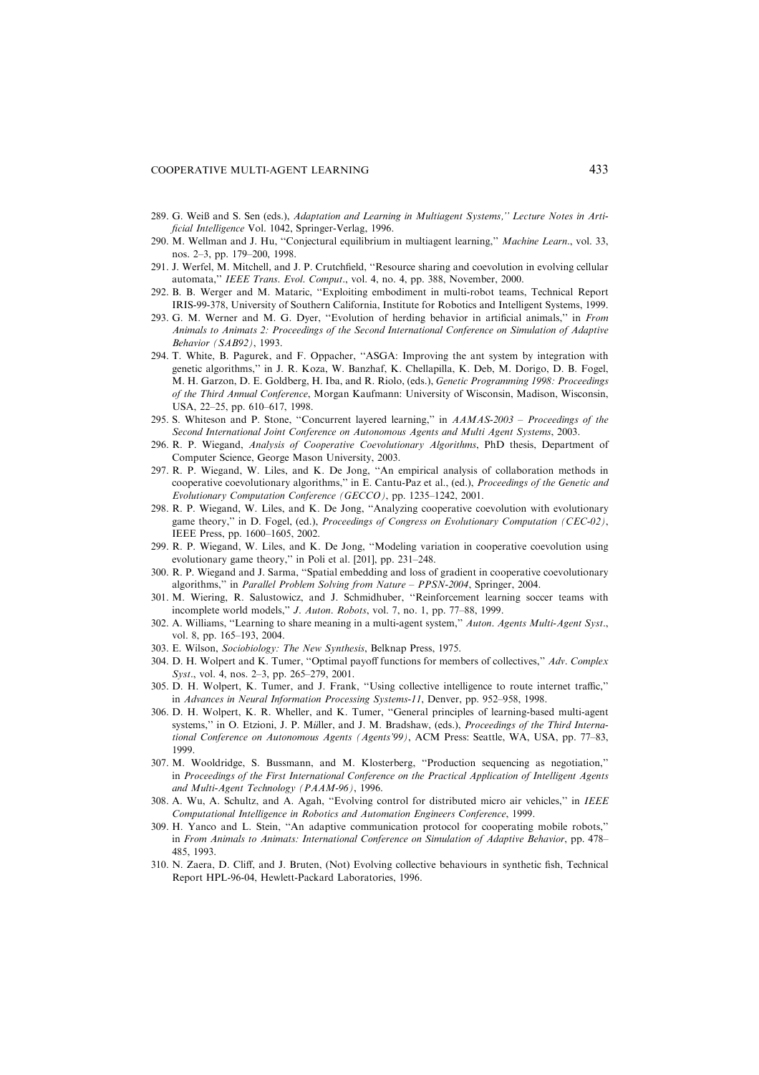- 289. G. Weiß and S. Sen (eds.), Adaptation and Learning in Multiagent Systems," Lecture Notes in Artificial Intelligence Vol. 1042, Springer-Verlag, 1996.
- 290. M. Wellman and J. Hu, ''Conjectural equilibrium in multiagent learning,'' Machine Learn., vol. 33, nos. 2–3, pp. 179–200, 1998.
- 291. J. Werfel, M. Mitchell, and J. P. Crutchfield, ''Resource sharing and coevolution in evolving cellular automata,'' IEEE Trans. Evol. Comput., vol. 4, no. 4, pp. 388, November, 2000.
- 292. B. B. Werger and M. Mataric, ''Exploiting embodiment in multi-robot teams, Technical Report IRIS-99-378, University of Southern California, Institute for Robotics and Intelligent Systems, 1999.
- 293. G. M. Werner and M. G. Dyer, ''Evolution of herding behavior in artificial animals,'' in From Animals to Animats 2: Proceedings of the Second International Conference on Simulation of Adaptive Behavior (SAB92), 1993.
- 294. T. White, B. Pagurek, and F. Oppacher, ''ASGA: Improving the ant system by integration with genetic algorithms,'' in J. R. Koza, W. Banzhaf, K. Chellapilla, K. Deb, M. Dorigo, D. B. Fogel, M. H. Garzon, D. E. Goldberg, H. Iba, and R. Riolo, (eds.), Genetic Programming 1998: Proceedings of the Third Annual Conference, Morgan Kaufmann: University of Wisconsin, Madison, Wisconsin, USA, 22–25, pp. 610–617, 1998.
- 295. S. Whiteson and P. Stone, "Concurrent layered learning," in  $AAMAS-2003 Proceedings$  of the Second International Joint Conference on Autonomous Agents and Multi Agent Systems, 2003.
- 296. R. P. Wiegand, Analysis of Cooperative Coevolutionary Algorithms, PhD thesis, Department of Computer Science, George Mason University, 2003.
- 297. R. P. Wiegand, W. Liles, and K. De Jong, ''An empirical analysis of collaboration methods in cooperative coevolutionary algorithms,'' in E. Cantu-Paz et al., (ed.), Proceedings of the Genetic and Evolutionary Computation Conference (GECCO), pp. 1235–1242, 2001.
- 298. R. P. Wiegand, W. Liles, and K. De Jong, ''Analyzing cooperative coevolution with evolutionary game theory," in D. Fogel, (ed.), Proceedings of Congress on Evolutionary Computation (CEC-02), IEEE Press, pp. 1600–1605, 2002.
- 299. R. P. Wiegand, W. Liles, and K. De Jong, ''Modeling variation in cooperative coevolution using evolutionary game theory,'' in Poli et al. [201], pp. 231–248.
- 300. R. P. Wiegand and J. Sarma, ''Spatial embedding and loss of gradient in cooperative coevolutionary algorithms,'' in Parallel Problem Solving from Nature – PPSN-2004, Springer, 2004.
- 301. M. Wiering, R. Salustowicz, and J. Schmidhuber, ''Reinforcement learning soccer teams with incomplete world models,'' J. Auton. Robots, vol. 7, no. 1, pp. 77–88, 1999.
- 302. A. Williams, ''Learning to share meaning in a multi-agent system,'' Auton. Agents Multi-Agent Syst., vol. 8, pp. 165–193, 2004.
- 303. E. Wilson, Sociobiology: The New Synthesis, Belknap Press, 1975.
- 304. D. H. Wolpert and K. Tumer, "Optimal payoff functions for members of collectives," Adv. Complex Syst., vol. 4, nos. 2–3, pp. 265–279, 2001.
- 305. D. H. Wolpert, K. Tumer, and J. Frank, ''Using collective intelligence to route internet traffic,'' in Advances in Neural Information Processing Systems-11, Denver, pp. 952–958, 1998.
- 306. D. H. Wolpert, K. R. Wheller, and K. Tumer, ''General principles of learning-based multi-agent systems," in O. Etzioni, J. P. Müller, and J. M. Bradshaw, (eds.), Proceedings of the Third International Conference on Autonomous Agents (Agents'99), ACM Press: Seattle, WA, USA, pp. 77-83, 1999.
- 307. M. Wooldridge, S. Bussmann, and M. Klosterberg, ''Production sequencing as negotiation,'' in Proceedings of the First International Conference on the Practical Application of Intelligent Agents and Multi-Agent Technology (PAAM-96), 1996.
- 308. A. Wu, A. Schultz, and A. Agah, ''Evolving control for distributed micro air vehicles,'' in IEEE Computational Intelligence in Robotics and Automation Engineers Conference, 1999.
- 309. H. Yanco and L. Stein, ''An adaptive communication protocol for cooperating mobile robots,'' in From Animals to Animats: International Conference on Simulation of Adaptive Behavior, pp. 478– 485, 1993.
- 310. N. Zaera, D. Cliff, and J. Bruten, (Not) Evolving collective behaviours in synthetic fish, Technical Report HPL-96-04, Hewlett-Packard Laboratories, 1996.